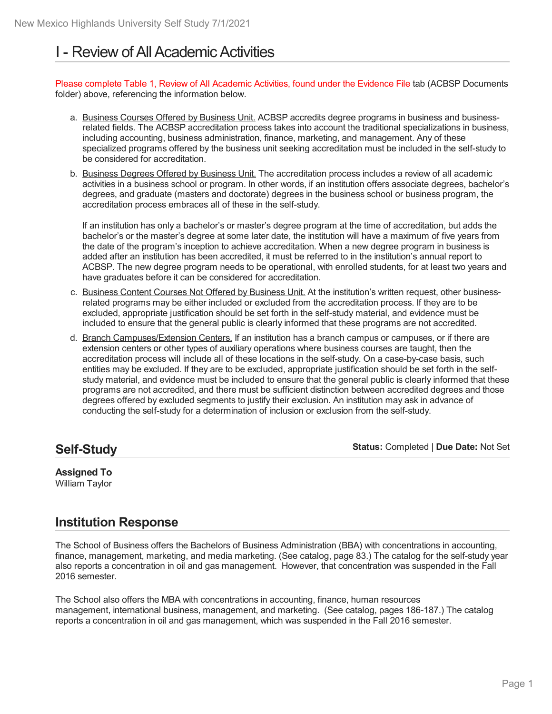# I - Review of All Academic Activities

Please complete Table 1, Review of All Academic Activities, found under the Evidence File tab (ACBSP Documents folder) above, referencing the information below.

- a. Business Courses Offered by Business Unit. ACBSP accredits degree programs in business and businessrelated fields. The ACBSP accreditation process takes into account the traditional specializations in business, including accounting, business administration, finance, marketing, and management. Any of these specialized programs offered by the business unit seeking accreditation must be included in the self-study to be considered for accreditation.
- b. Business Degrees Offered by Business Unit. The accreditation process includes a review of all academic activities in a business school or program. In other words, if an institution offers associate degrees, bachelor's degrees, and graduate (masters and doctorate) degrees in the business school or business program, the accreditation process embraces all of these in the self-study.

If an institution has only a bachelor's or master's degree program at the time of accreditation, but adds the bachelor's or the master's degree at some later date, the institution will have a maximum of five years from the date of the program's inception to achieve accreditation. When a new degree program in business is added after an institution has been accredited, it must be referred to in the institution's annual report to ACBSP. The new degree program needs to be operational, with enrolled students, for at least two years and have graduates before it can be considered for accreditation.

- c. Business Content Courses Not Offered by Business Unit. At the institution's written request, other businessrelated programs may be either included or excluded from the accreditation process. If they are to be excluded, appropriate justification should be set forth in the self-study material, and evidence must be included to ensure that the general public is clearly informed that these programs are not accredited.
- d. Branch Campuses/Extension Centers. If an institution has a branch campus or campuses, or if there are extension centers or other types of auxiliary operations where business courses are taught, then the accreditation process will include all of these locations in the self-study. On a case-by-case basis, such entities may be excluded. If they are to be excluded, appropriate justification should be set forth in the self study material, and evidence must be included to ensure that the general public is clearly informed that these programs are not accredited, and there must be sufficient distinction between accredited degrees and those degrees offered by excluded segments to justify their exclusion. An institution may ask in advance of conducting the self-study for a determination of inclusion or exclusion from the self-study.

**Self-Study**

**Status:** Completed | **Due Date:** Not Set

#### **Assigned To** William Taylor

# **Institution Response**

The School of Business offers the Bachelors of Business Administration (BBA) with concentrations in accounting, finance, management, marketing, and media marketing. (See catalog, page 83.) The catalog for the self-study year also reports a concentration in oil and gas management. However, that concentration was suspended in the Fall 2016 semester.

The School also offers the MBA with concentrations in accounting, finance, human resources management, international business, management, and marketing. (See catalog, pages 186-187.) The catalog reports a concentration in oil and gas management, which was suspended in the Fall 2016 semester.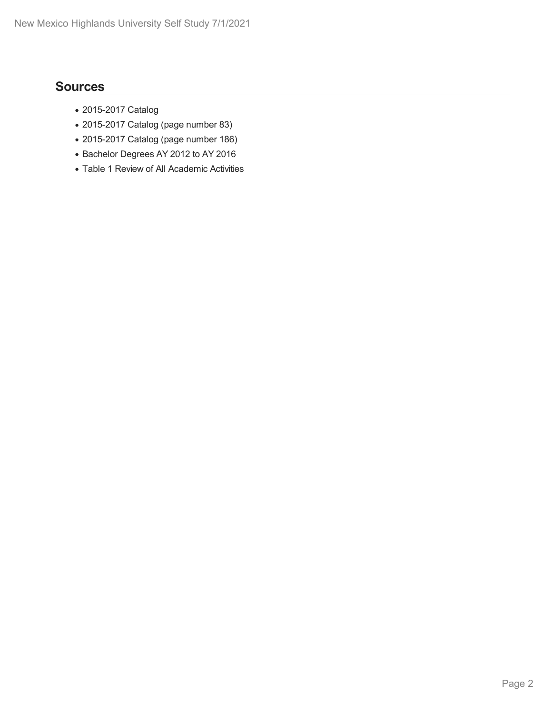- 2015-2017 Catalog
- 2015-2017 Catalog (page number 83)
- 2015-2017 Catalog (page number 186)
- Bachelor Degrees AY 2012 to AY 2016
- Table 1 Review of All Academic Activities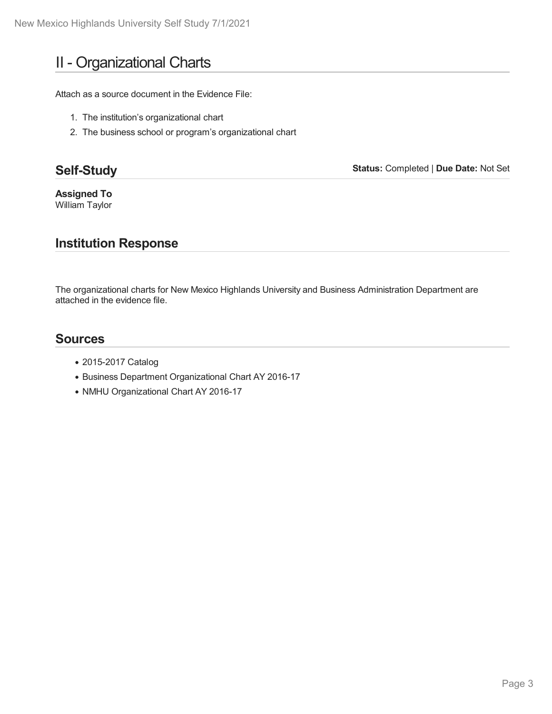# II - Organizational Charts

Attach as a source document in the Evidence File:

- 1. The institution's organizational chart
- 2. The business school or program's organizational chart

# **Self-Study**

**Status:** Completed | **Due Date:** Not Set

**Assigned To** William Taylor

# **Institution Response**

The organizational charts for New Mexico Highlands University and Business Administration Department are attached in the evidence file.

- 2015-2017 Catalog
- Business Department Organizational Chart AY 2016-17
- NMHU Organizational Chart AY 2016-17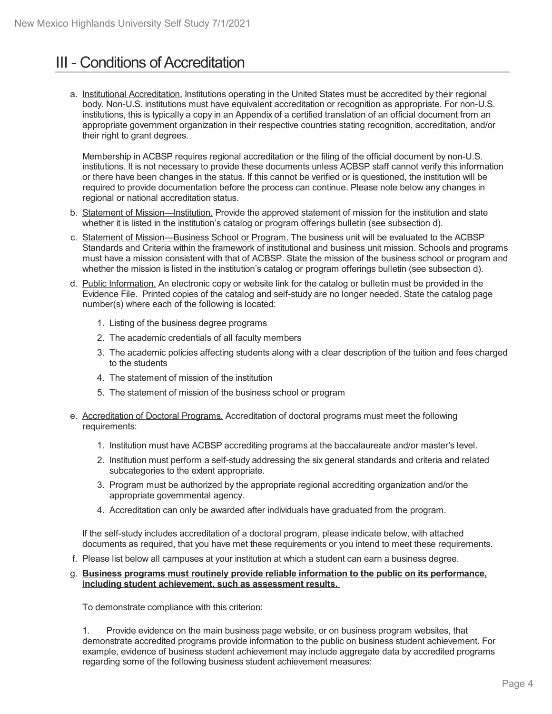# **III - Conditions of Accreditation**

a. Institutional Accreditation. Institutions operating in the United States must be accredited by their regional body. Non-U.S. institutions must have equivalent accreditation or recognition as appropriate. For non-U.S. institutions, this is typically a copy in an Appendix of a certified translation of an official document from an appropriate government organization in their respective countries stating recognition, accreditation, and/or their right to grant degrees.

Membership in ACBSP requires regional accreditation or the filing of the official document by non-U.S. institutions. It is not necessary to provide these documents unless ACBSP staff cannot verify this information or there have been changes in the status. If this cannot be verified or is questioned, the institution will be required to provide documentation before the process can continue. Please note below any changes in regional or national accreditation status.

- b. Statement of Mission—Institution. Provide the approved statement of mission for the institution and state whether it is listed in the institution's catalog or program offerings bulletin (see subsection d).
- c. Statement of Mission—Business School or Program. The business unit will be evaluated to the ACBSP Standards and Criteria within the framework of institutional and business unit mission. Schools and programs must have a mission consistent with that of ACBSP. State the mission of the business school or program and whether the mission is listed in the institution's catalog or program offerings bulletin (see subsection d).
- d. Public Information. An electronic copy or website link for the catalog or bulletin must be provided in the Evidence File. Printed copies of the catalog and self-study are no longer needed. State the catalog page number(s) where each of the following is located:
	- 1. Listing of the business degree programs
	- 2. The academic credentials of all faculty members
	- 3. The academic policies affecting students along with a clear description of the tuition and fees charged to the students
	- 4. The statement of mission of the institution
	- 5. The statement of mission of the business school or program
- e. Accreditation of Doctoral Programs. Accreditation of doctoral programs must meet the following requirements:
	- 1. Institution must have ACBSP accrediting programs at the baccalaureate and/or master's level.
	- 2. Institution must perform aself-study addressing the six general standards and criteria and related subcategories to the extent appropriate.
	- 3. Program must be authorized by the appropriate regional accrediting organization and/or the appropriate governmental agency.
	- 4. Accreditation can only be awarded after individuals have graduated from the program.

If the self-study includes accreditation of a doctoral program, please indicate below, with attached documents as required, that you have met these requirements or you intend to meet these requirements.

f. Please list below all campuses at your institution at which a student can earn a business degree.

#### g. **Business programs must routinely provide reliable information to the public on its performance, including student achievement, such as assessment results.**

To demonstrate compliance with this criterion:

1. Provide evidence on the main business page website, or on business program websites, that demonstrate accredited programs provide information to the public on business student achievement. For example, evidence of business student achievement may include aggregate data by accredited programs regarding some of the following business student achievement measures: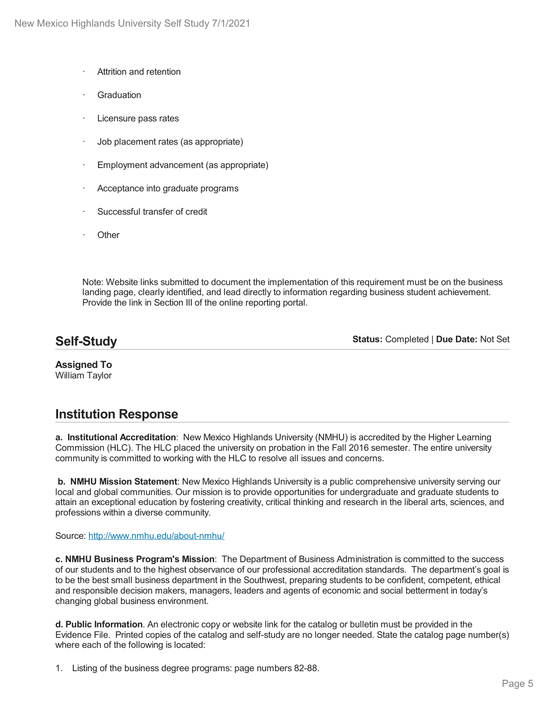- Attrition and retention
- **Graduation**
- Licensure pass rates
- · Job placement rates (as appropriate)
- Employment advancement (as appropriate)
- Acceptance into graduate programs
- Successful transfer of credit
- **Other**

Note: Website links submitted to document the implementation of this requirement must be on the business landing page, clearly identified, and lead directly to information regarding business student achievement. Provide the link in Section III of the online reporting portal.

# **Self-Study**

**Status:** Completed | **Due Date:** Not Set

**Assigned To** William Taylor

### **Institution Response**

**a. Institutional Accreditation**: New Mexico Highlands University (NMHU) is accredited by the Higher Learning Commission (HLC). The HLC placed the university on probation in the Fall 2016 semester. The entire university community is committed to working with the HLC to resolve all issues and concerns.

**b. NMHU Mission Statement**: New Mexico Highlands University is a public comprehensive university serving our local and global communities. Our mission is to provide opportunities for undergraduate and graduate students to attain an exceptional education by fostering creativity, critical thinking and research in the liberal arts, sciences, and professions within a diverse community.

Source: <http://www.nmhu.edu/about-nmhu/>

**c. NMHU Business Program's Mission**: The Department of Business Administration is committed to the success of our students and to the highest observance of our professional accreditation standards. The department's goal is to be the best small business department in the Southwest, preparing students to be confident, competent, ethical and responsible decision makers, managers, leaders and agents of economic and social betterment in today's changing global business environment.

**d. Public Information**. An electronic copy or website link for the catalog or bulletin must be provided in the Evidence File. Printed copies of the catalog and self-study are no longer needed. State the catalog page number(s) where each of the following is located:

1. Listing of the business degree programs: page numbers 82-88.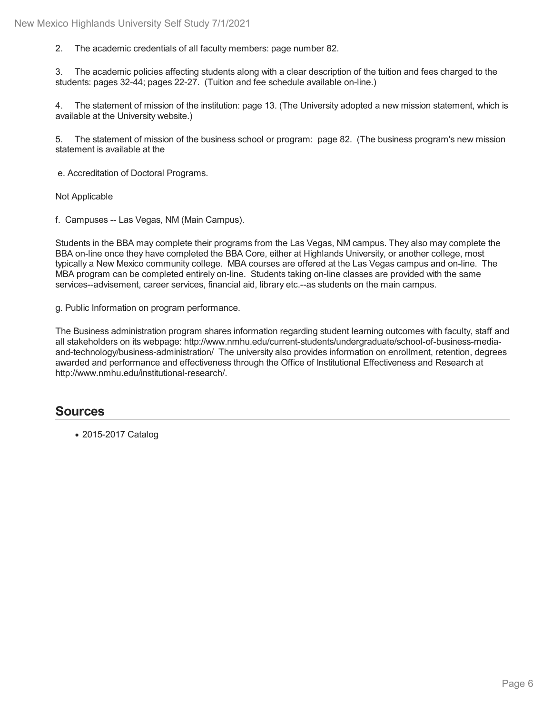2. The academic credentials of all faculty members: page number 82.

3. The academic policies affecting students along with a clear description of the tuition and fees charged to the students: pages 32-44; pages 22-27. (Tuition and fee schedule available on-line.)

4. The statement of mission of the institution: page 13. (The University adopted a new mission statement, which is available at the University website.)

5. The statement of mission of the business school or program: page 82. (The business program's new mission statement is available at the

e. Accreditation of Doctoral Programs.

Not Applicable

f. Campuses -- Las Vegas, NM (Main Campus).

Students in the BBA may complete their programs from the Las Vegas, NM campus. They also may complete the BBA on-line once they have completed the BBA Core, either at Highlands University, or another college, most typically a New Mexico community college. MBA courses are offered at the Las Vegas campus and on-line. The MBA program can be completed entirely on-line. Students taking on-line classes are provided with the same services--advisement, career services, financial aid, library etc.--as students on the main campus.

g. Public Information on program performance.

The Business administration program shares information regarding student learning outcomes with faculty, staff and all stakeholders on its webpage: http://www.nmhu.edu/current-students/undergraduate/school-of-business-media and-technology/business-administration/ The university also provides information on enrollment, retention, degrees awarded and performance and effectiveness through the Office of Institutional Effectiveness and Research at http://www.nmhu.edu/institutional-research/.

### **Sources**

2015-2017 Catalog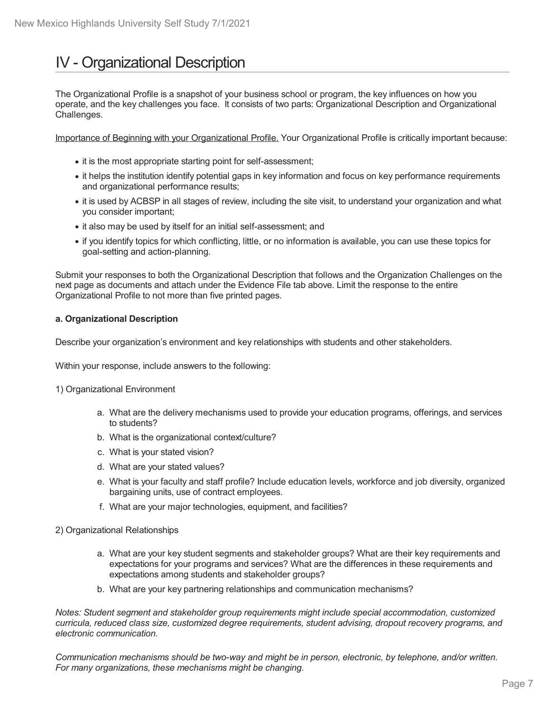# IV - Organizational Description

The Organizational Profile is a snapshot of your business school or program, the key influences on how you operate, and the key challenges you face. It consists of two parts: Organizational Description and Organizational Challenges.

Importance of Beginning with your Organizational Profile. Your Organizational Profile is critically important because:

- it is the most appropriate starting point for self-assessment;
- it helps the institution identify potential gaps in key information and focus on key performance requirements and organizational performance results;
- it is used by ACBSP in all stages of review, including the site visit, to understand your organization and what you consider important;
- it also may be used by itself for an initial self-assessment; and
- if you identify topics for which conflicting, little, or no information is available, you can use these topics for goal-setting and action-planning.

Submit your responses to both the Organizational Description that follows and the Organization Challenges on the next page as documents and attach under the Evidence File tab above. Limit the response to the entire Organizational Profile to not more than five printed pages.

#### **a. Organizational Description**

Describe your organization's environment and key relationships with students and other stakeholders.

Within your response, include answers to the following:

- 1) Organizational Environment
	- a. What are the delivery mechanisms used to provide your education programs, offerings, and services to students?
	- b. What is the organizational context/culture?
	- c. What is your stated vision?
	- d. What are your stated values?
	- e. What is your faculty and staff profile? Include education levels, workforce and job diversity, organized bargaining units, use of contract employees.
	- f. What are your major technologies, equipment, and facilities?
- 2) Organizational Relationships
	- a. What are your key student segments and stakeholder groups? What are their key requirements and expectations for your programs and services? What are the differences in these requirements and expectations among students and stakeholder groups?
	- b. What are your key partnering relationships and communication mechanisms?

*Notes: Student segment and stakeholder group requirements might include special accommodation, customized curricula, reduced class size, customized degree requirements, student advising, dropout recovery programs, and electronic communication.*

*Communication mechanisms should be two-way and might be in person, electronic, by telephone, and/or written. For many organizations, these mechanisms might be changing.*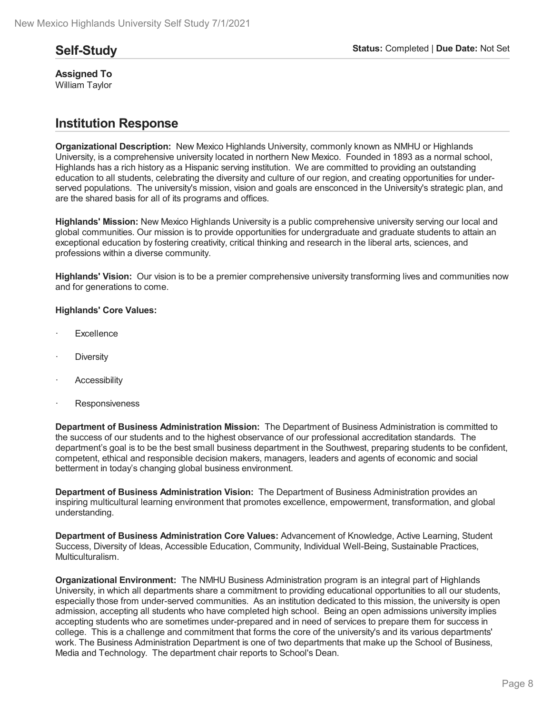**Assigned To** William Taylor

# **Institution Response**

**Organizational Description:** New Mexico Highlands University, commonly known as NMHU or Highlands University, is a comprehensive university located in northern New Mexico. Founded in 1893 as a normal school, Highlands has a rich history as a Hispanic serving institution. We are committed to providing an outstanding education to all students, celebrating the diversity and culture of our region, and creating opportunities for under served populations. The university's mission, vision and goals are ensconced in the University's strategic plan, and are the shared basis for all of its programs and offices.

**Highlands' Mission:** New Mexico Highlands University is a public comprehensive university serving our local and global communities. Our mission is to provide opportunities for undergraduate and graduate students to attain an exceptional education by fostering creativity, critical thinking and research in the liberal arts, sciences, and professions within a diverse community.

**Highlands' Vision:** Our vision is to be a premier comprehensive university transforming lives and communities now and for generations to come.

#### **Highlands' Core Values:**

- **Excellence**
- **Diversity**
- **Accessibility**
- **Responsiveness**

**Department of Business Administration Mission:** The Department of Business Administration is committed to the success of our students and to the highest observance of our professional accreditation standards. The department's goal is to be the best small business department in the Southwest, preparing students to be confident, competent, ethical and responsible decision makers, managers, leaders and agents of economic and social betterment in today's changing global business environment.

**Department of Business Administration Vision:** The Department of Business Administration provides an inspiring multicultural learning environment that promotes excellence, empowerment, transformation, and global understanding.

**Department of Business Administration Core Values:** Advancement of Knowledge, Active Learning, Student Success, Diversity of Ideas, Accessible Education, Community, Individual Well-Being, Sustainable Practices, Multiculturalism.

**Organizational Environment:** The NMHU Business Administration program isan integral part of Highlands University, in which all departments share a commitment to providing educational opportunities to all our students, especially those from under-served communities. As an institution dedicated to this mission, the university is open admission, accepting all students who have completed high school. Being an open admissions university implies accepting students who are sometimes under-prepared and in need of services to prepare them for success in college. This is a challenge and commitment that forms the core of the university's and its various departments' work. The Business Administration Department is one of two departments that make up the School of Business, Media and Technology. The department chair reports to School's Dean.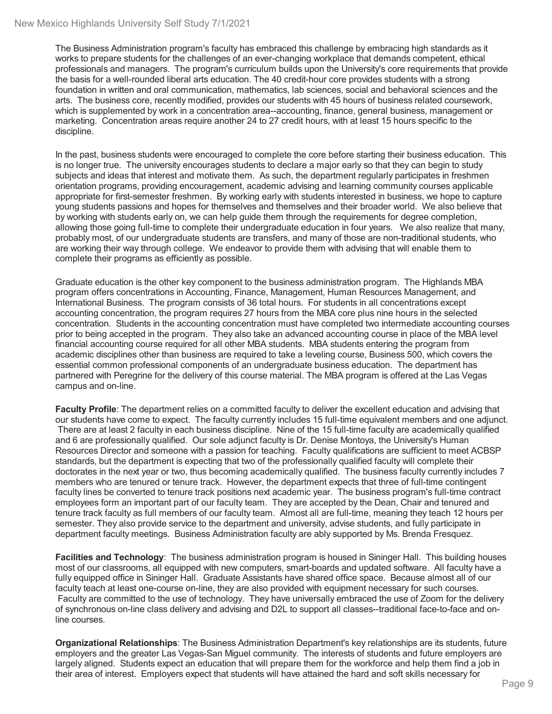The Business Administration program's faculty has embraced this challenge by embracing high standards as it works to prepare students for the challenges of an ever-changing workplace that demands competent, ethical professionals and managers. The program's curriculum builds upon the University's core requirements that provide the basis for a well-rounded liberal arts education. The 40 credit-hour core provides students with a strong foundation in written and oral communication, mathematics, lab sciences, social and behavioral sciences and the arts. The business core, recently modified, provides our students with 45 hours of business related coursework, which is supplemented by work in a concentration area--accounting, finance, general business, management or marketing. Concentration areas require another 24 to 27 credit hours, with at least 15 hours specific to the discipline.

In the past, business students were encouraged to complete the core before starting their business education. This is no longer true. The university encourages students to declare a major early so that they can begin to study subjects and ideas that interest and motivate them. As such, the department regularly participates in freshmen orientation programs, providing encouragement, academic advising and learning community courses applicable appropriate for first-semester freshmen. By working early with students interested in business, we hope to capture young students passions and hopes for themselves and themselves and their broader world. We also believe that by working with students early on, we can help guide them through the requirements for degree completion, allowing those going full-time to complete their undergraduate education in four years. We also realize that many, probably most, of our undergraduate students are transfers, and many of those are non-traditional students, who are working their way through college. We endeavor to provide them with advising that will enable them to complete their programs as efficiently as possible.

Graduate education is the other key component to the business administration program. The Highlands MBA program offers concentrations in Accounting, Finance, Management, Human Resources Management, and International Business. The program consists of 36 total hours. For students in all concentrations except accounting concentration, the program requires 27 hours from the MBA core plus nine hours in the selected concentration. Students in the accounting concentration must have completed two intermediate accounting courses prior to being accepted in the program. They also take an advanced accounting course in place of the MBA level financial accounting course required for all other MBA students. MBA students entering the program from academic disciplines other than business are required to take a leveling course, Business 500, which covers the essential common professional components of an undergraduate business education. The department has partnered with Peregrine for the delivery of this course material. The MBA program is offered at the Las Vegas campus and on-line.

**Faculty Profile**: The department relies on a committed faculty to deliver the excellent education and advising that our students have come to expect. The faculty currently includes 15 full-time equivalent members and one adjunct. There are at least 2 faculty in each business discipline. Nine of the 15 full-time faculty are academically qualified and 6 are professionally qualified. Our sole adjunct faculty is Dr. Denise Montoya, the University's Human Resources Director and someone with a passion for teaching. Faculty qualifications are sufficient to meet ACBSP standards, but the department is expecting that two of the professionally qualified faculty will complete their doctorates in the next year or two, thus becoming academically qualified. The business faculty currently includes 7 members who are tenured or tenure track. However, the department expects that three of full-time contingent faculty lines be converted to tenure track positions next academic year. The business program's full-time contract employees form an important part of our faculty team. They are accepted by the Dean, Chair and tenured and tenure track faculty as full members of our faculty team. Almost all are full-time, meaning they teach 12 hours per semester. They also provide service to the department and university, advise students, and fully participate in department faculty meetings. Business Administration faculty are ably supported by Ms. Brenda Fresquez.

**Facilities and Technology**: The business administration program is housed in Sininger Hall. This building houses most of our classrooms, all equipped with new computers, smart-boards and updated software. All faculty have a fully equipped office in Sininger Hall. Graduate Assistants have shared office space. Because almost all of our faculty teach at least one-course on-line, they are also provided with equipment necessary for such courses. Faculty are committed to the use of technology. They have universally embraced the use of Zoom for the delivery of synchronous on-line class delivery and advising and D2L to support all classes--traditional face-to-face and online courses.

**Organizational Relationships**: The Business Administration Department's key relationships are its students, future employers and the greater Las Vegas-San Miguel community. The interests of students and future employers are largely aligned. Students expect an education that will prepare them for the workforce and help them find a job in their area of interest. Employers expect that students will have attained the hard and soft skills necessary for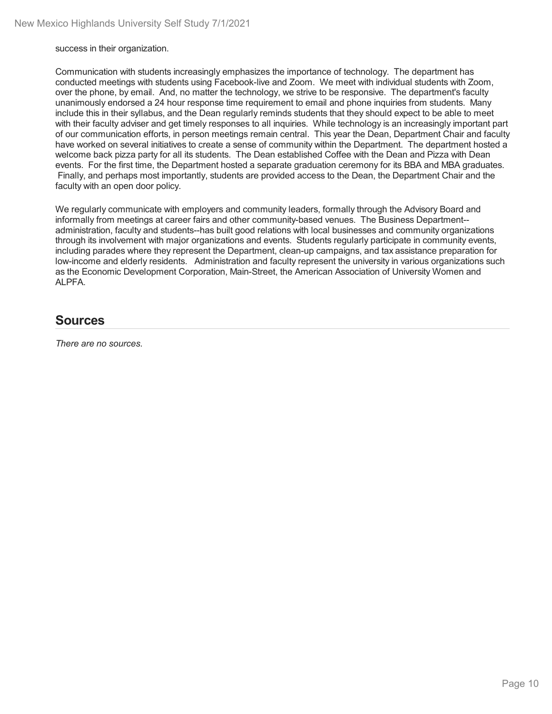success in their organization.

Communication with students increasingly emphasizes the importance of technology. The department has conducted meetings with students using Facebook-live and Zoom. We meet with individual students with Zoom, over the phone, by email. And, no matter the technology, we strive to be responsive. The department's faculty unanimously endorsed a 24 hour response time requirement to email and phone inquiries from students. Many include this in their syllabus, and the Dean regularly reminds students that they should expect to be able to meet with their faculty adviser and get timely responses to all inquiries. While technology is an increasingly important part of our communication efforts, in person meetings remain central. This year the Dean, Department Chair and faculty have worked on several initiatives to create a sense of community within the Department. The department hosted a welcome back pizza party for all its students. The Dean established Coffee with the Dean and Pizza with Dean events. For the first time, the Department hosted a separate graduation ceremony for its BBA and MBA graduates. Finally, and perhaps most importantly, students are provided access to the Dean, the Department Chair and the faculty with an open door policy.

We regularly communicate with employers and community leaders, formally through the Advisory Board and informally from meetings at career fairs and other community-based venues. The Business Department- administration, faculty and students--has built good relations with local businesses and community organizations through its involvement with major organizations and events. Students regularly participate in community events, including parades where they represent the Department, clean-up campaigns, and tax assistance preparation for low-income and elderly residents. Administration and faculty represent the university in various organizations such as the Economic Development Corporation, Main-Street, the American Association of University Women and ALPFA.

### **Sources**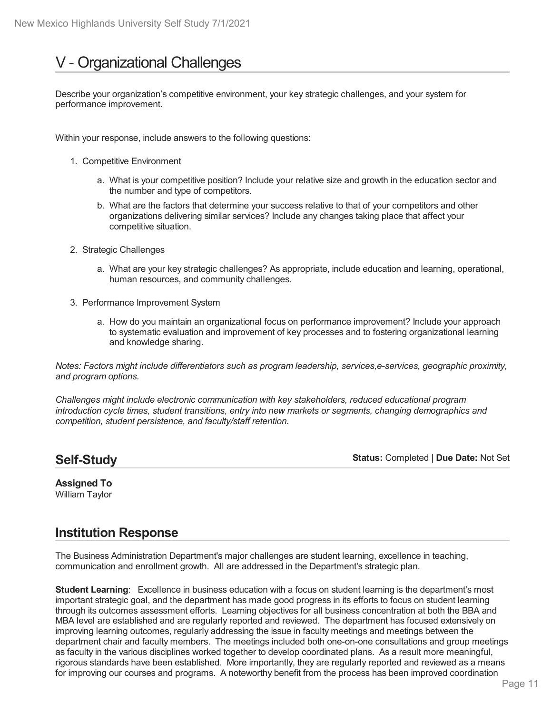# V - Organizational Challenges

Describe your organization's competitive environment, your key strategic challenges, and your system for performance improvement.

Within your response, include answers to the following questions:

- 1. Competitive Environment
	- a. What is your competitive position? Include your relative size and growth in the education sector and the number and type of competitors.
	- b. What are the factors that determine your success relative to that of your competitors and other organizations delivering similar services? Include any changes taking place that affect your competitive situation.
- 2. Strategic Challenges
	- a. What are your key strategic challenges? As appropriate, include education and learning, operational, human resources, and community challenges.
- 3. Performance Improvement System
	- a. How do you maintain an organizational focus on performance improvement? Include your approach to systematic evaluation and improvement of key processes and to fostering organizational learning and knowledge sharing.

*Notes: Factors might include differentiators such as program leadership, services,e-services, geographic proximity, and program options.*

*Challenges might include electronic communication with key stakeholders, reduced educational program introduction cycle times, student transitions, entry into new markets or segments, changing demographics and competition, student persistence, and faculty/staff retention.*

# **Self-Study**

**Status:** Completed | **Due Date:** Not Set

#### **Assigned To** William Taylor

### **Institution Response**

The Business Administration Department's major challenges are student learning, excellence in teaching, communication and enrollment growth. All are addressed in the Department's strategic plan.

**Student Learning**: Excellence in business education with a focus on student learning is the department's most important strategic goal, and the department has made good progress in its efforts to focus on student learning through its outcomes assessment efforts. Learning objectives for all business concentration at both the BBA and MBA level are established and are regularly reported and reviewed. The department has focused extensively on improving learning outcomes, regularly addressing the issue in faculty meetings and meetings between the department chair and faculty members. The meetings included both one-on-one consultations and group meetings as faculty in the various disciplines worked together to develop coordinated plans. As a result more meaningful, rigorous standards have been established. More importantly, they are regularly reported and reviewed as a means for improving our courses and programs. A noteworthy benefit from the process has been improved coordination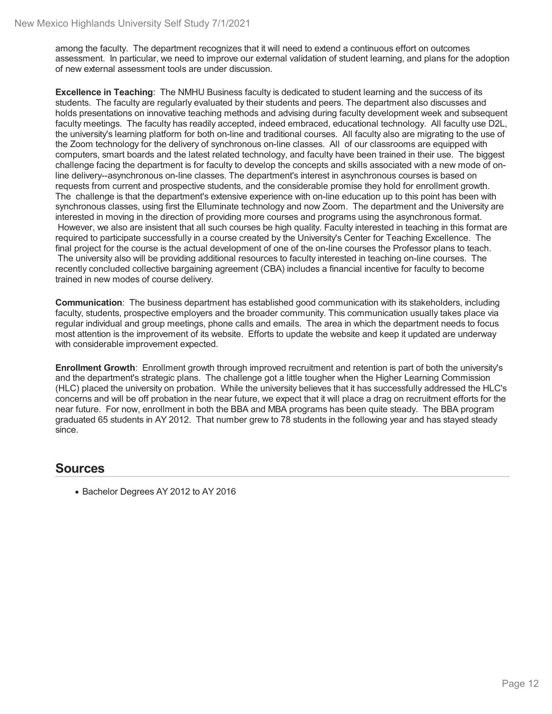among the faculty. The department recognizes that it will need to extend a continuous effort on outcomes assessment. In particular, we need to improve our external validation of student learning, and plans for the adoption of new external assessment tools are under discussion.

**Excellence in Teaching**: The NMHU Business faculty is dedicated to student learning and the success of its students. The faculty are regularly evaluated by their students and peers. The department also discusses and holds presentations on innovative teaching methods and advising during faculty development week and subsequent faculty meetings. The faculty has readily accepted, indeed embraced, educational technology. All faculty use D2L, the university's learning platform for both on-line and traditional courses. All faculty also are migrating to the use of the Zoom technology for the delivery of synchronous on-line classes. All of our classrooms are equipped with computers, smart boards and the latest related technology, and faculty have been trained in their use. The biggest challenge facing the department is for faculty to develop the concepts and skills associated with a new mode of online delivery--asynchronous on-line classes. The department's interest in asynchronous courses is based on requests from current and prospective students, and the considerable promise they hold for enrollment growth. The challenge is that the department's extensive experience with on-line education up to this point has been with synchronous classes, using first the Elluminate technology and now Zoom. The department and the University are interested in moving in the direction of providing more courses and programs using the asynchronous format. However, we also are insistent that all such courses be high quality. Faculty interested in teaching in this format are required to participate successfully in a course created by the University's Center for Teaching Excellence. The final project for the course is the actual development of one of the on-line courses the Professor plans to teach. The university also will be providing additional resources to faculty interested in teaching on-line courses. The recently concluded collective bargaining agreement (CBA) includes a financial incentive for faculty to become trained in new modes of course delivery.

**Communication**: The business department has established good communication with its stakeholders, including faculty, students, prospective employers and the broader community. This communication usually takes place via regular individual and group meetings, phone calls and emails. The area in which the department needs to focus most attention is the improvement of its website. Efforts to update the website and keep it updated are underway with considerable improvement expected.

**Enrollment Growth**: Enrollment growth through improved recruitment and retention is part of both the university's and the department's strategic plans. The challenge got a little tougher when the Higher Learning Commission (HLC) placed the university on probation. While the university believes that it has successfully addressed the HLC's concerns and will be off probation in the near future, we expect that it will place a drag on recruitment efforts for the near future. For now, enrollment in both the BBA and MBA programs has been quite steady. The BBA program graduated 65 students in AY 2012. That number grew to 78 students in the following year and has stayed steady since.

### **Sources**

• Bachelor Degrees AY 2012 to AY 2016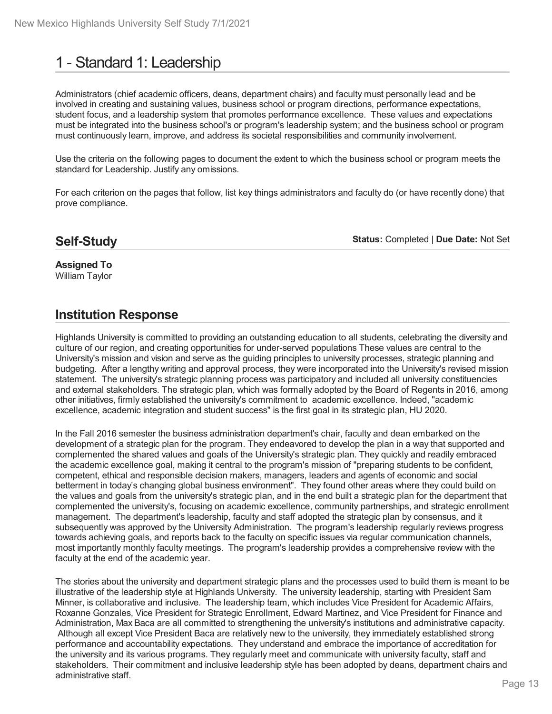# 1 - Standard 1: Leadership

Administrators (chief academic officers, deans, department chairs) and faculty must personally lead and be involved in creating and sustaining values, business school or program directions, performance expectations, student focus, and a leadership system that promotes performance excellence. These values and expectations must be integrated into the business school's or program's leadership system; and the business school or program must continuously learn, improve, and address its societal responsibilities and community involvement.

Use the criteria on the following pages to document the extent to which the business school or program meets the standard for Leadership. Justify any omissions.

For each criterion on the pages that follow, list key things administrators and faculty do (or have recently done) that prove compliance.

# **Self-Study**

**Status:** Completed | **Due Date:** Not Set

**Assigned To** William Taylor

# **Institution Response**

Highlands University is committed to providing an outstanding education to all students, celebrating the diversity and culture of our region, and creating opportunities for under-served populations These values are central to the University's mission and vision and serve as the guiding principles to university processes, strategic planning and budgeting. After a lengthy writing and approval process, they were incorporated into the University's revised mission statement. The university's strategic planning process was participatory and included all university constituencies and external stakeholders. The strategic plan, which was formally adopted by the Board of Regents in 2016, among other initiatives, firmly established the university's commitment to academic excellence. Indeed, "academic excellence, academic integration and student success" is the first goal in its strategic plan, HU 2020.

In the Fall 2016 semester the business administration department's chair, faculty and dean embarked on the development of a strategic plan for the program. They endeavored to develop the plan in a way that supported and complemented the shared values and goals of the University's strategic plan. They quickly and readily embraced the academic excellence goal, making it central to the program's mission of "preparing students to be confident, competent, ethical and responsible decision makers, managers, leaders and agents of economic and social betterment in today's changing global business environment". They found other areas where they could build on the values and goals from the university's strategic plan, and in the end built a strategic plan for the department that complemented the university's, focusing on academic excellence, community partnerships, and strategic enrollment management. The department's leadership, faculty and staff adopted the strategic plan by consensus, and it subsequently was approved by the University Administration. The program's leadership regularly reviews progress towards achieving goals, and reports back to the faculty on specific issues via regular communication channels, most importantly monthly faculty meetings. The program's leadership provides a comprehensive review with the faculty at the end of the academic year.

The stories about the university and department strategic plans and the processes used to build them is meant to be illustrative of the leadership style at Highlands University. The university leadership, starting with President Sam Minner, is collaborative and inclusive. The leadership team, which includes Vice President for Academic Affairs, Roxanne Gonzales, Vice President for Strategic Enrollment, Edward Martinez, and Vice President for Finance and Administration, Max Baca are all committed to strengthening the university's institutions and administrative capacity. Although all except Vice President Baca are relatively new to the university, they immediately established strong performance and accountability expectations. They understand and embrace the importance of accreditation for the university and its various programs. They regularly meet and communicate with university faculty, staff and stakeholders. Their commitment and inclusive leadership style has been adopted by deans, department chairs and administrative staff.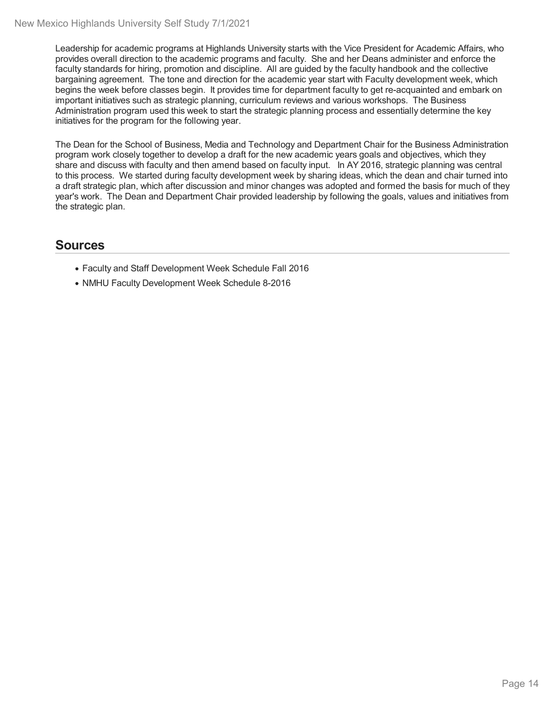Leadership for academic programs at Highlands University starts with the Vice President for Academic Affairs, who provides overall direction to the academic programs and faculty. She and her Deans administer and enforce the faculty standards for hiring, promotion and discipline. All are guided by the faculty handbook and the collective bargaining agreement. The tone and direction for the academic year start with Faculty development week, which begins the week before classes begin. It provides time for department faculty to get re-acquainted and embark on important initiatives such as strategic planning, curriculum reviews and various workshops. The Business Administration program used this week to start the strategic planning process and essentially determine the key initiatives for the program for the following year.

The Dean for the School of Business, Media and Technology and Department Chair for the Business Administration program work closely together to develop a draft for the new academic years goals and objectives, which they share and discuss with faculty and then amend based on faculty input. In AY 2016, strategic planning was central to this process. We started during faculty development week by sharing ideas, which the dean and chair turned into a draft strategic plan, which after discussion and minor changes was adopted and formed the basis for much of they year's work. The Dean and Department Chair provided leadership by following the goals, values and initiatives from the strategic plan.

- Faculty and Staff Development Week Schedule Fall 2016
- NMHU Faculty Development Week Schedule 8-2016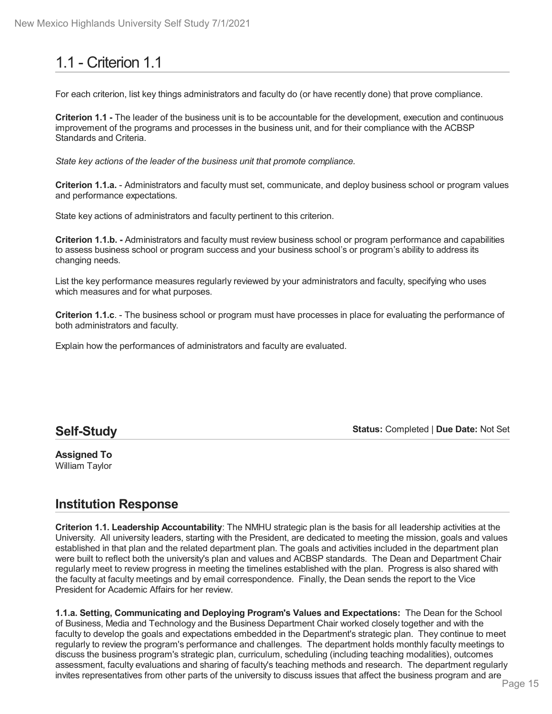# 1.1 - Criterion 1.1

For each criterion, list key things administrators and faculty do (or have recently done) that prove compliance.

**Criterion 1.1 -** The leader of the business unit is to be accountable for the development, execution and continuous improvement of the programs and processes in the business unit, and for their compliance with the ACBSP Standards and Criteria.

*State key actions of the leader of the business unit that promote compliance.*

**Criterion 1.1.a.** - Administrators and faculty must set, communicate, and deploy business school or program values and performance expectations.

State key actions of administrators and faculty pertinent to this criterion.

**Criterion 1.1.b. -** Administrators and faculty must review business school or program performance and capabilities to assess business school or program success and your business school's or program's ability to address its changing needs.

List the key performance measures regularly reviewed by your administrators and faculty, specifying who uses which measures and for what purposes.

**Criterion 1.1.c**. - The business school or program must have processes in place for evaluating the performance of both administrators and faculty.

Explain how the performances of administrators and faculty are evaluated.

### **Self-Study**

**Status:** Completed | **Due Date:** Not Set

**Assigned To** William Taylor

# **Institution Response**

**Criterion 1.1. Leadership Accountability**: The NMHU strategic plan is the basis for all leadership activities at the University. All university leaders, starting with the President, are dedicated to meeting the mission, goals and values established in that plan and the related department plan. The goals and activities included in the department plan were built to reflect both the university's plan and values and ACBSP standards. The Dean and Department Chair regularly meet to review progress in meeting the timelines established with the plan. Progress is also shared with the faculty at faculty meetings and by email correspondence. Finally, the Dean sends the report to the Vice President for Academic Affairs for her review.

**1.1.a. Setting, Communicating and Deploying Program's Values and Expectations:** The Dean for the School of Business, Media and Technology and the Business Department Chair worked closely together and with the faculty to develop the goals and expectations embedded in the Department's strategic plan. They continue to meet regularly to review the program's performance and challenges. The department holds monthly faculty meetings to discuss the business program's strategic plan, curriculum, scheduling (including teaching modalities), outcomes assessment, faculty evaluations and sharing of faculty's teaching methods and research. The department regularly invites representatives from other parts of the university to discuss issues that affect the business program and are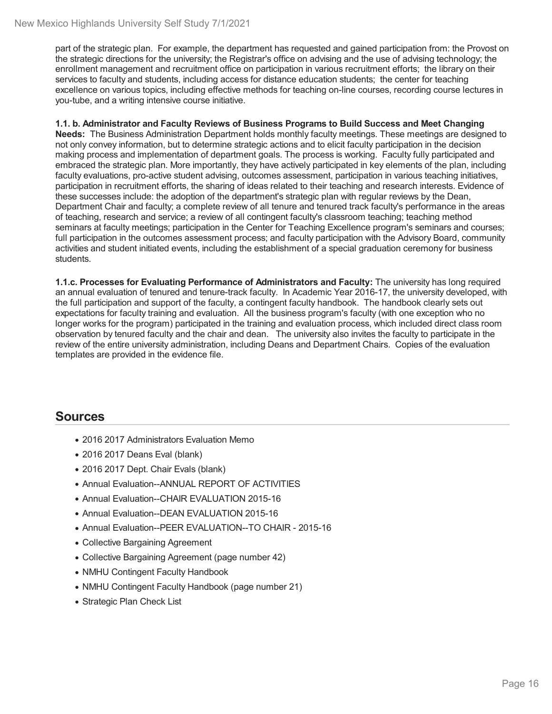part of the strategic plan. For example, the department has requested and gained participation from: the Provost on the strategic directions for the university; the Registrar's office on advising and the use of advising technology; the enrollment management and recruitment office on participation in various recruitment efforts; the library on their services to faculty and students, including access for distance education students; the center for teaching excellence on various topics, including effective methods for teaching on-line courses, recording course lectures in you-tube, and a writing intensive course initiative.

#### **1.1. b. Administrator and Faculty Reviews of Business Programs to Build Success and Meet Changing**

**Needs:** The Business Administration Department holds monthly faculty meetings. These meetings are designed to not only convey information, but to determine strategic actions and to elicit faculty participation in the decision making process and implementation of department goals. The process is working. Faculty fully participated and embraced the strategic plan. More importantly, they have actively participated in key elements of the plan, including faculty evaluations, pro-active student advising, outcomes assessment, participation in various teaching initiatives, participation in recruitment efforts, the sharing of ideas related to their teaching and research interests. Evidence of these successes include: the adoption of the department's strategic plan with regular reviews by the Dean, Department Chair and faculty; a complete review of all tenure and tenured track faculty's performance in the areas of teaching, research and service; a review of all contingent faculty's classroom teaching; teaching method seminars at faculty meetings; participation in the Center for Teaching Excellence program's seminars and courses; full participation in the outcomes assessment process; and faculty participation with the Advisory Board, community activities and student initiated events, including the establishment of a special graduation ceremony for business students.

**1.1.c. Processes for Evaluating Performance of Administrators and Faculty:** The university has long required an annual evaluation of tenured and tenure-track faculty. In Academic Year 2016-17, the university developed, with the full participation and support of the faculty, a contingent faculty handbook. The handbook clearly sets out expectations for faculty training and evaluation. All the business program's faculty (with one exception who no longer works for the program) participated in the training and evaluation process, which included direct class room observation by tenured faculty and the chair and dean. The university also invites the faculty to participate in the review of the entire university administration, including Deans and Department Chairs. Copies of the evaluation templates are provided in the evidence file.

- 2016 2017 Administrators Evaluation Memo
- 2016 2017 Deans Eval (blank)
- 2016 2017 Dept. Chair Evals (blank)
- Annual Evaluation--ANNUAL REPORT OF ACTIVITIES
- Annual Evaluation--CHAIR EVALUATION 2015-16
- Annual Evaluation--DEAN EVALUATION 2015-16
- Annual Evaluation--PEER EVALUATION--TO CHAIR 2015-16
- Collective Bargaining Agreement
- Collective Bargaining Agreement (page number 42)
- NMHU Contingent Faculty Handbook
- NMHU Contingent Faculty Handbook (page number 21)
- Strategic Plan Check List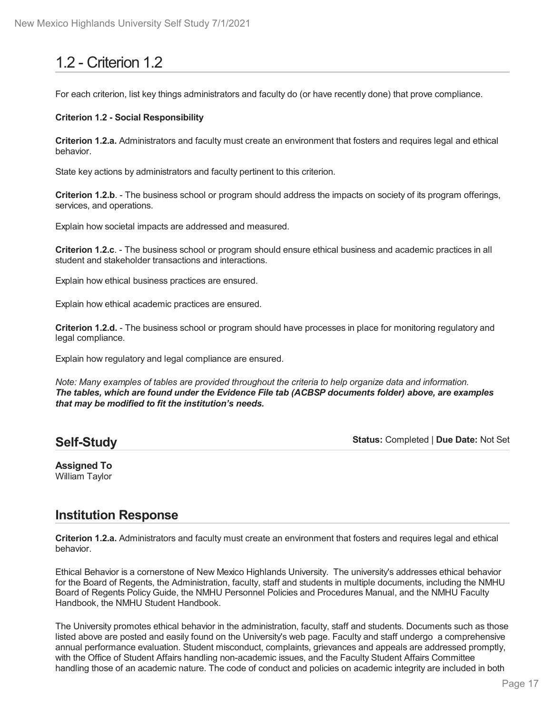# 1.2 - Criterion 1.2

For each criterion, list key things administrators and faculty do (or have recently done) that prove compliance.

#### **Criterion 1.2 - Social Responsibility**

**Criterion 1.2.a.** Administrators and faculty must create an environment that fosters and requires legal and ethical behavior.

State key actions by administrators and faculty pertinent to this criterion.

**Criterion 1.2.b**. - The business school or program should address the impacts on society of its program offerings, services, and operations.

Explain how societal impacts are addressed and measured.

**Criterion 1.2.c**. - The business school or program should ensure ethical business and academic practices in all student and stakeholder transactions and interactions.

Explain how ethical business practices are ensured.

Explain how ethical academic practices are ensured.

**Criterion 1.2.d.** - The business school or program should have processes in place for monitoring regulatory and legal compliance.

Explain how regulatory and legal compliance are ensured.

*Note: Many examples of tables are provided throughout the criteria to help organize data and information. The tables, which are found under the Evidence File tab (ACBSP documents folder) above, are examples that may be modified to fit the institution's needs.*

# **Self-Study**

**Status:** Completed | **Due Date:** Not Set

#### **Assigned To** William Taylor

# **Institution Response**

**Criterion 1.2.a.** Administrators and faculty must create an environment that fosters and requires legal and ethical behavior.

Ethical Behavior is a cornerstone of New Mexico Highlands University. The university's addresses ethical behavior for the Board of Regents, the Administration, faculty, staff and students in multiple documents, including the NMHU Board of Regents Policy Guide, the NMHU Personnel Policies and Procedures Manual, and the NMHU Faculty Handbook, the NMHU Student Handbook.

The University promotes ethical behavior in the administration, faculty, staff and students. Documents such as those listed above are posted and easily found on the University's web page. Faculty and staff undergo a comprehensive annual performance evaluation. Student misconduct, complaints, grievances and appeals are addressed promptly, with the Office of Student Affairs handling non-academic issues, and the Faculty Student Affairs Committee handling those of an academic nature. The code of conduct and policies on academic integrity are included in both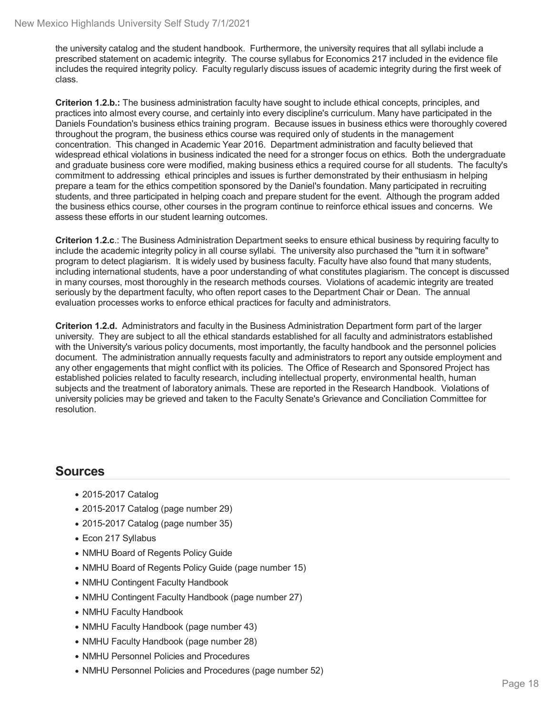the university catalog and the student handbook. Furthermore, the university requires that all syllabi include a prescribed statement on academic integrity. The course syllabus for Economics 217 included in the evidence file includes the required integrity policy. Faculty regularly discuss issues of academic integrity during the first week of class.

**Criterion 1.2.b.:** The business administration faculty have sought to include ethical concepts, principles, and practices into almost every course, and certainly into every discipline's curriculum. Many have participated in the Daniels Foundation's business ethics training program. Because issues in business ethics were thoroughly covered throughout the program, the business ethics course was required only of students in the management concentration. This changed in Academic Year 2016. Department administration and faculty believed that widespread ethical violations in business indicated the need for a stronger focus on ethics. Both the undergraduate and graduate business core were modified, making business ethics a required course for all students. The faculty's commitment to addressing ethical principles and issues is further demonstrated by their enthusiasm in helping prepare a team for the ethics competition sponsored by the Daniel's foundation. Many participated in recruiting students, and three participated in helping coach and prepare student for the event. Although the program added the business ethics course, other courses in the program continue to reinforce ethical issues and concerns. We assess these efforts in our student learning outcomes.

**Criterion 1.2.c**.: The Business Administration Department seeks to ensure ethical business by requiring faculty to include the academic integrity policy in all course syllabi. The university also purchased the "turn it in software" program to detect plagiarism. It is widely used by business faculty. Faculty have also found that many students, including international students, have a poor understanding of what constitutes plagiarism. The concept is discussed in many courses, most thoroughly in the research methods courses. Violations of academic integrity are treated seriously by the department faculty, who often report cases to the Department Chair or Dean. The annual evaluation processes works to enforce ethical practices for faculty and administrators.

**Criterion 1.2.d.** Administrators and faculty in the Business Administration Department form part of the larger university. They are subject to all the ethical standards established for all faculty and administrators established with the University's various policy documents, most importantly, the faculty handbook and the personnel policies document. The administration annually requests faculty and administrators to report any outside employment and any other engagements that might conflict with its policies. The Office of Research and Sponsored Project has established policies related to faculty research, including intellectual property, environmental health, human subjects and the treatment of laboratory animals. These are reported in the Research Handbook. Violations of university policies may be grieved and taken to the Faculty Senate's Grievance and Conciliation Committee for resolution.

- 2015-2017 Catalog
- 2015-2017 Catalog (page number 29)
- 2015-2017 Catalog (page number 35)
- Econ 217 Syllabus
- NMHU Board of Regents Policy Guide
- NMHU Board of Regents Policy Guide (page number 15)
- NMHU Contingent Faculty Handbook
- NMHU Contingent Faculty Handbook (page number 27)
- NMHU Faculty Handbook
- NMHU Faculty Handbook (page number 43)
- NMHU Faculty Handbook (page number 28)
- NMHU Personnel Policies and Procedures
- NMHU Personnel Policies and Procedures (page number 52)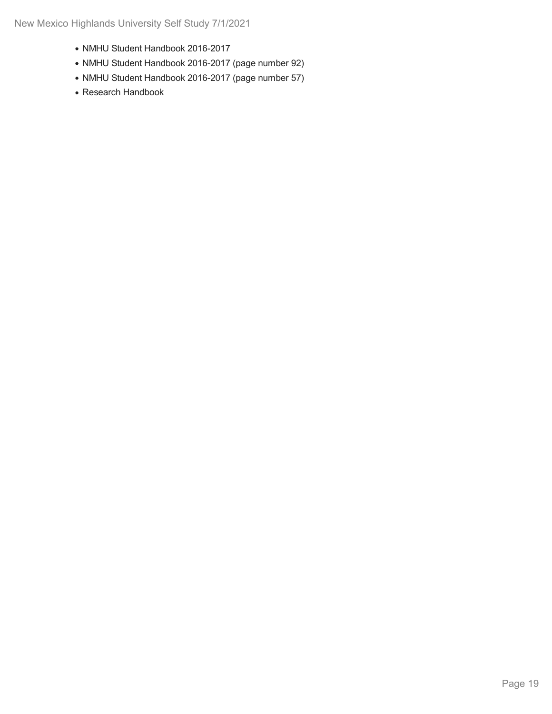- NMHU Student Handbook 2016-2017
- NMHU Student Handbook 2016-2017 (page number 92)
- NMHU Student Handbook 2016-2017 (page number 57)
- Research Handbook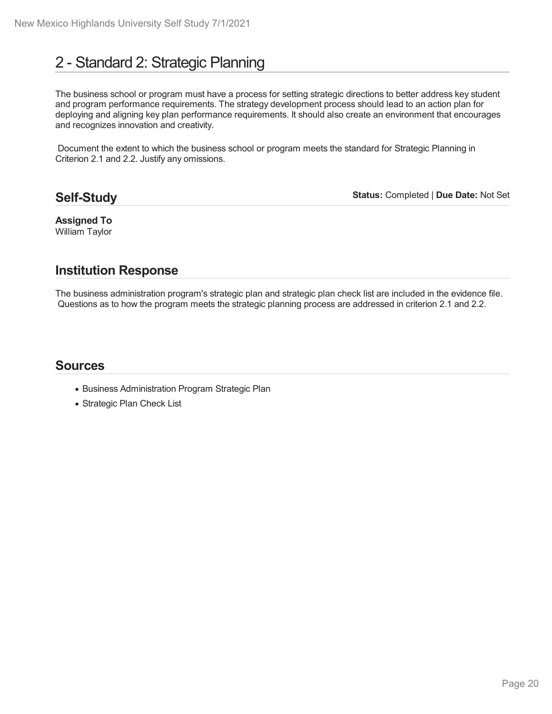# 2 - Standard 2: Strategic Planning

The business school or program must have a process for setting strategic directions to better address key student and program performance requirements. The strategy development process should lead to an action plan for deploying and aligning key plan performance requirements. It should also create an environment that encourages and recognizes innovation and creativity.

Document the extent to which the business school or program meets the standard for Strategic Planning in Criterion 2.1 and 2.2. Justify any omissions.

# **Self-Study**

**Status:** Completed | **Due Date:** Not Set

**Assigned To** William Taylor

# **Institution Response**

The business administration program's strategic plan and strategic plan check list are included in the evidence file. Questions as to how the program meets the strategic planning process are addressed in criterion 2.1 and 2.2.

- Business Administration Program Strategic Plan
- Strategic Plan Check List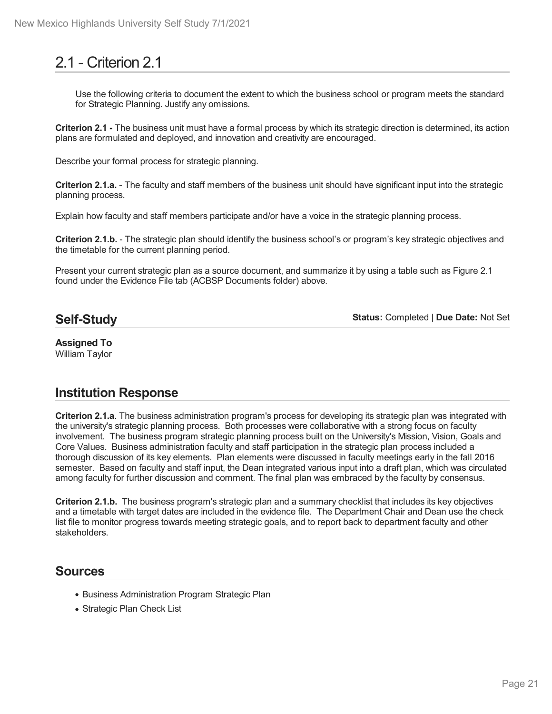# 2.1 - Criterion 2.1

Use the following criteria to document the extent to which the business school or program meets the standard for Strategic Planning. Justify any omissions.

**Criterion 2.1 -** The business unit must have a formal process by which its strategic direction is determined, its action plans are formulated and deployed, and innovation and creativity are encouraged.

Describe your formal process for strategic planning.

**Criterion 2.1.a.** - The faculty and staff members of the business unit should have significant input into the strategic planning process.

Explain how faculty and staff members participate and/or have a voice in the strategic planning process.

**Criterion 2.1.b.** - The strategic plan should identify the business school's or program's key strategic objectives and the timetable for the current planning period.

Present your current strategic plan as a source document, and summarize it by using a table such as Figure 2.1 found under the Evidence File tab (ACBSP Documents folder) above*.*

# **Self-Study**

**Status:** Completed | **Due Date:** Not Set

**Assigned To** William Taylor

# **Institution Response**

**Criterion 2.1.a**. The business administration program's process for developing its strategic plan was integrated with the university's strategic planning process. Both processes were collaborative with a strong focus on faculty involvement. The business program strategic planning process built on the University's Mission, Vision, Goals and Core Values. Business administration faculty and staff participation in the strategic plan process included a thorough discussion of its key elements. Plan elements were discussed in faculty meetings early in the fall 2016 semester. Based on faculty and staff input, the Dean integrated various input into a draft plan, which was circulated among faculty for further discussion and comment. The final plan was embraced by the faculty by consensus.

**Criterion 2.1.b.** The business program's strategic plan and a summary checklist that includes its key objectives and a timetable with target dates are included in the evidence file. The Department Chair and Dean use the check list file to monitor progress towards meeting strategic goals, and to report back to department faculty and other stakeholders.

- Business Administration Program Strategic Plan
- Strategic Plan Check List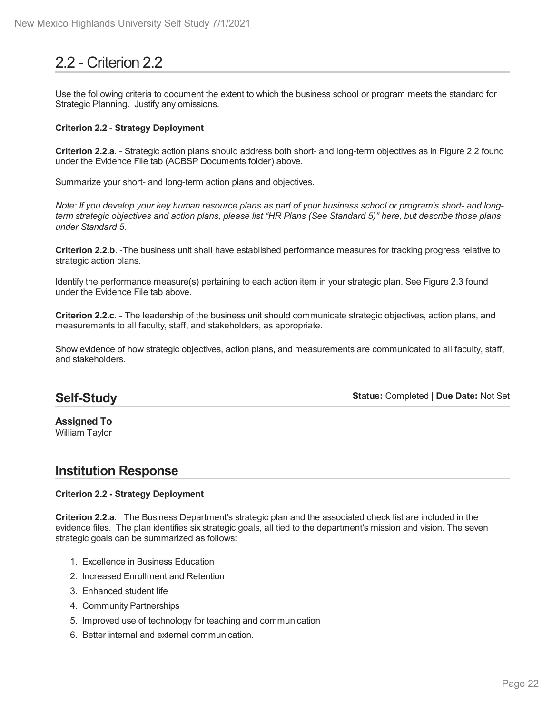# 2.2 - Criterion 2.2

Use the following criteria to document the extent to which the business school or program meets the standard for Strategic Planning. Justify any omissions.

#### **Criterion 2.2** - **Strategy Deployment**

**Criterion 2.2.a**. - Strategic action plans should address both short- and long-term objectives as in Figure 2.2 found under the Evidence File tab (ACBSP Documents folder) above.

Summarize your short- and long-term action plans and objectives.

Note: If you develop your key human resource plans as part of your business school or program's short- and longterm strategic objectives and action plans, please list "HR Plans (See Standard 5)" here, but describe those plans *under Standard 5.*

**Criterion 2.2.b**. -The business unit shall have established performance measures for tracking progress relative to strategic action plans.

Identify the performance measure(s) pertaining to each action item in your strategic plan. See Figure 2.3 found under the Evidence File tab above.

**Criterion 2.2.c**. - The leadership of the business unit should communicate strategic objectives, action plans, and measurements to all faculty, staff, and stakeholders, as appropriate.

Show evidence of how strategic objectives, action plans, and measurements are communicated to all faculty, staff, and stakeholders.

# **Self-Study**

**Status:** Completed | **Due Date:** Not Set

**Assigned To** William Taylor

# **Institution Response**

#### **Criterion 2.2 - Strategy Deployment**

**Criterion 2.2.a**.: The Business Department's strategic plan and the associated check list are included in the evidence files. The plan identifies six strategic goals, all tied to the department's mission and vision. The seven strategic goals can be summarized as follows:

- 1. Excellence in Business Education
- 2. Increased Enrollment and Retention
- 3. Enhanced student life
- 4. Community Partnerships
- 5. Improved use of technology for teaching and communication
- 6. Better internal and external communication.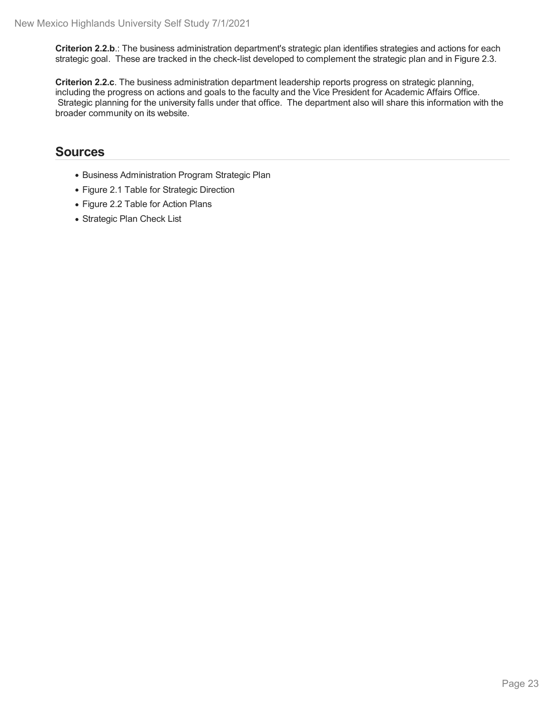**Criterion 2.2.b**.: The business administration department's strategic plan identifies strategies and actions for each strategic goal. These are tracked in the check-list developed to complement the strategic plan and in Figure 2.3.

**Criterion 2.2.c**. The business administration department leadership reports progress on strategic planning, including the progress on actions and goals to the faculty and the Vice President for Academic Affairs Office. Strategic planning for the university falls under that office. The department also will share this information with the broader community on its website.

- Business Administration Program Strategic Plan
- Figure 2.1 Table for Strategic Direction
- Figure 2.2 Table for Action Plans
- Strategic Plan Check List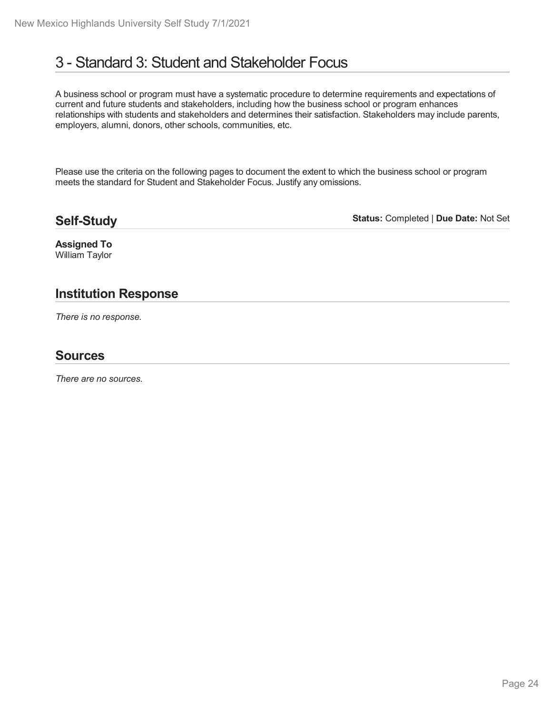# 3 - Standard 3: Student and Stakeholder Focus

A business school or program must have a systematic procedure to determine requirements and expectations of current and future students and stakeholders, including how the business school or program enhances relationships with students and stakeholders and determines their satisfaction. Stakeholders may include parents, employers, alumni, donors, other schools, communities, etc.

Please use the criteria on the following pages to document the extent to which the business school or program meets the standard for Student and Stakeholder Focus. Justify any omissions.

### **Self-Study**

**Status:** Completed | **Due Date:** Not Set

**Assigned To** William Taylor

# **Institution Response**

*There is no response.*

### **Sources**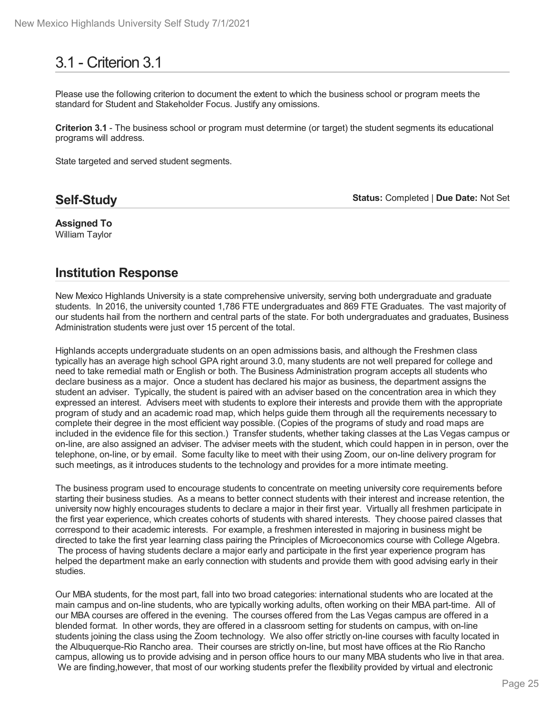# 3.1 - Criterion 3.1

Please use the following criterion to document the extent to which the business school or program meets the standard for Student and Stakeholder Focus. Justify any omissions.

**Criterion 3.1** - The business school or program must determine (or target) the student segments its educational programs will address.

State targeted and served student segments.

# **Self-Study**

**Status:** Completed | **Due Date:** Not Set

**Assigned To** William Taylor

# **Institution Response**

New Mexico Highlands University is a state comprehensive university, serving both undergraduate and graduate students. In 2016, the university counted 1,786 FTE undergraduates and 869 FTE Graduates. The vast majority of our students hail from the northern and central parts of the state. For both undergraduates and graduates, Business Administration students were just over 15 percent of the total.

Highlands accepts undergraduate students on an open admissions basis, and although the Freshmen class typically has an average high school GPA right around 3.0, many students are not well prepared for college and need to take remedial math or English or both. The Business Administration program accepts all students who declare business as a major. Once a student has declared his major as business, the department assigns the student an adviser. Typically, the student is paired with an adviser based on the concentration area in which they expressed an interest. Advisers meet with students to explore their interests and provide them with the appropriate program of study and an academic road map, which helps guide them through all the requirements necessary to complete their degree in the most efficient way possible. (Copies of the programs of study and road maps are included in the evidence file for this section.) Transfer students, whether taking classes at the Las Vegas campus or on-line, are also assigned an adviser. The adviser meets with the student, which could happen in in person, over the telephone, on-line, or by email. Some faculty like to meet with their using Zoom, our on-line delivery program for such meetings, as it introduces students to the technology and provides for a more intimate meeting.

The business program used to encourage students to concentrate on meeting university core requirements before starting their business studies. As a means to better connect students with their interest and increase retention, the university now highly encourages students to declare a major in their first year. Virtually all freshmen participate in the first year experience, which creates cohorts of students with shared interests. They choose paired classes that correspond to their academic interests. For example, a freshmen interested in majoring in business might be directed to take the first year learning class pairing the Principles of Microeconomics course with College Algebra. The process of having students declare a major early and participate in the first year experience program has helped the department make an early connection with students and provide them with good advising early in their studies.

Our MBA students, for the most part, fall into two broad categories: international students who are located at the main campus and on-line students, who are typically working adults, often working on their MBA part-time. All of our MBA courses are offered in the evening. The courses offered from the Las Vegas campus are offered in a blended format. In other words, they are offered in a classroom setting for students on campus, with on-line students joining the class using the Zoom technology. We also offer strictly on-line courses with faculty located in the Albuquerque-Rio Rancho area. Their courses are strictly on-line, but most have offices at the Rio Rancho campus, allowing us to provide advising and in person office hours to our many MBA students who live in that area. We are finding,however, that most of our working students prefer the flexibility provided by virtual and electronic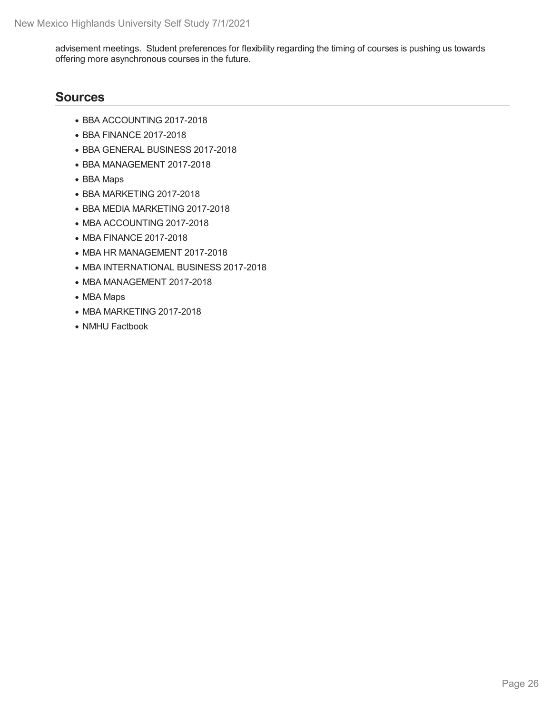advisement meetings. Student preferences for flexibility regarding the timing of courses is pushing us towards offering more asynchronous courses in the future.

- BBA ACCOUNTING 2017-2018
- BBA FINANCE 2017-2018
- BBA GENERAL BUSINESS 2017-2018
- BBA MANAGEMENT 2017-2018
- BBA Maps
- BBA MARKETING 2017-2018
- BBA MEDIA MARKETING 2017-2018
- MBA ACCOUNTING 2017-2018
- MBA FINANCE 2017-2018
- MBA HR MANAGEMENT 2017-2018
- MBA INTERNATIONAL BUSINESS 2017-2018
- MBA MANAGEMENT 2017-2018
- MBA Maps
- MBA MARKETING 2017-2018
- NMHU Factbook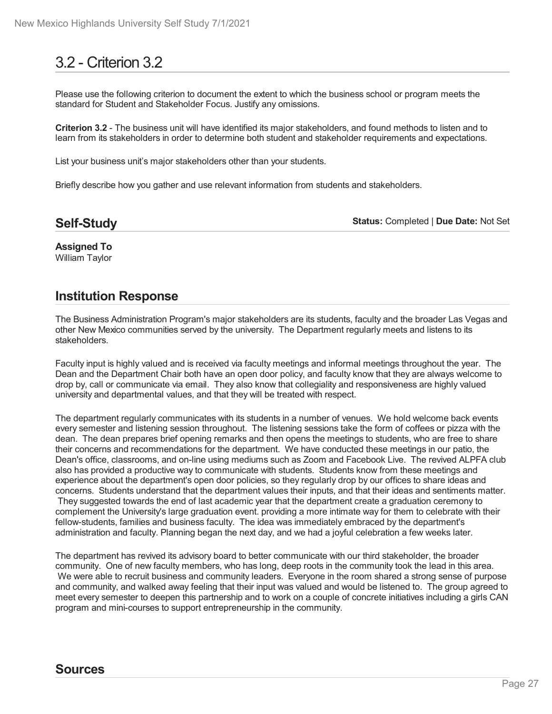# 3.2 - Criterion 3.2

Please use the following criterion to document the extent to which the business school or program meets the standard for Student and Stakeholder Focus. Justify any omissions.

**Criterion 3.2** - The business unit will have identified its major stakeholders, and found methods to listen and to learn from its stakeholders in order to determine both student and stakeholder requirements and expectations.

List your business unit's major stakeholders other than your students.

Briefly describe how you gather and use relevant information from students and stakeholders.

### **Self-Study**

**Status:** Completed | **Due Date:** Not Set

**Assigned To** William Taylor

# **Institution Response**

The Business Administration Program's major stakeholders are its students, faculty and the broader Las Vegas and other New Mexico communities served by the university. The Department regularly meets and listens to its stakeholders.

Faculty input is highly valued and is received via faculty meetings and informal meetings throughout the year. The Dean and the Department Chair both have an open door policy, and faculty know that they are always welcome to drop by, call or communicate via email. They also know that collegiality and responsiveness are highly valued university and departmental values, and that they will be treated with respect.

The department regularly communicates with its students in a number of venues. We hold welcome back events every semester and listening session throughout. The listening sessions take the form of coffees or pizza with the dean. The dean prepares brief opening remarks and then opens the meetings to students, who are free to share their concerns and recommendations for the department. We have conducted these meetings in our patio, the Dean's office, classrooms, and on-line using mediums such as Zoom and Facebook Live. The revived ALPFA club also has provided a productive way to communicate with students. Students know from these meetings and experience about the department's open door policies, so they regularly drop by our offices to share ideas and concerns. Students understand that the department values their inputs, and that their ideas and sentiments matter. They suggested towards the end of last academic year that the department create a graduation ceremony to complement the University's large graduation event. providing a more intimate way for them to celebrate with their fellow-students, families and business faculty. The idea was immediately embraced by the department's administration and faculty. Planning began the next day, and we had a joyful celebration a few weeks later.

The department has revived its advisory board to better communicate with our third stakeholder, the broader community. One of new faculty members, who has long, deep roots in the community took the lead in this area. We were able to recruit business and community leaders. Everyone in the room shared a strong sense of purpose and community, and walked away feeling that their input was valued and would be listened to. The group agreed to meet every semester to deepen this partnership and to work on a couple of concrete initiatives including a girls CAN program and mini-courses to support entrepreneurship in the community.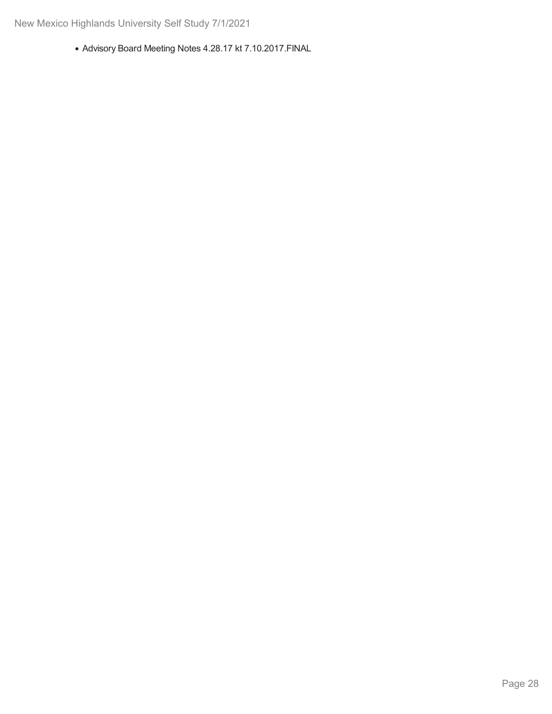Advisory Board Meeting Notes 4.28.17 kt 7.10.2017.FINAL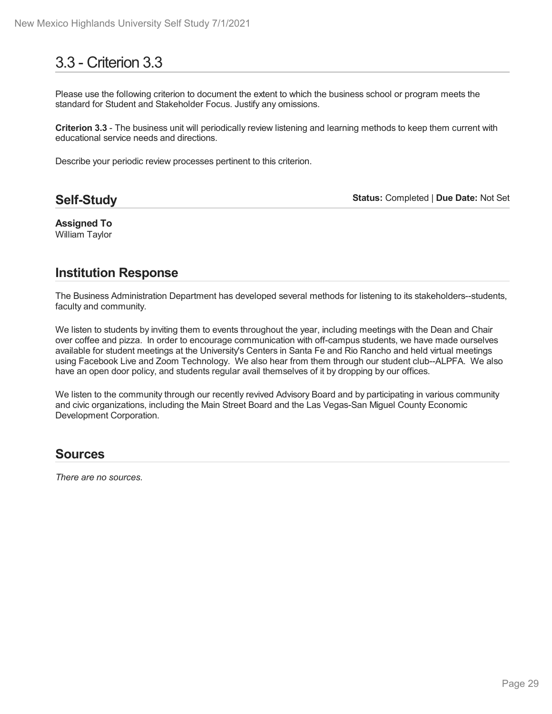# 3.3 - Criterion 3.3

Please use the following criterion to document the extent to which the business school or program meets the standard for Student and Stakeholder Focus. Justify any omissions.

**Criterion 3.3** - The business unit will periodically review listening and learning methods to keep them current with educational service needs and directions.

Describe your periodic review processes pertinent to this criterion.

**Self-Study**

**Status:** Completed | **Due Date:** Not Set

**Assigned To** William Taylor

# **Institution Response**

The Business Administration Department has developed several methods for listening to its stakeholders--students, faculty and community.

We listen to students by inviting them to events throughout the year, including meetings with the Dean and Chair over coffee and pizza. In order to encourage communication with off-campus students, we have made ourselves available for student meetings at the University's Centers in Santa Fe and Rio Rancho and held virtual meetings using Facebook Live and Zoom Technology. We also hear from them through our student club--ALPFA. We also have an open door policy, and students regular avail themselves of it by dropping by our offices.

We listen to the community through our recently revived Advisory Board and by participating in various community and civic organizations, including the Main Street Board and the Las Vegas-San Miguel County Economic Development Corporation.

### **Sources**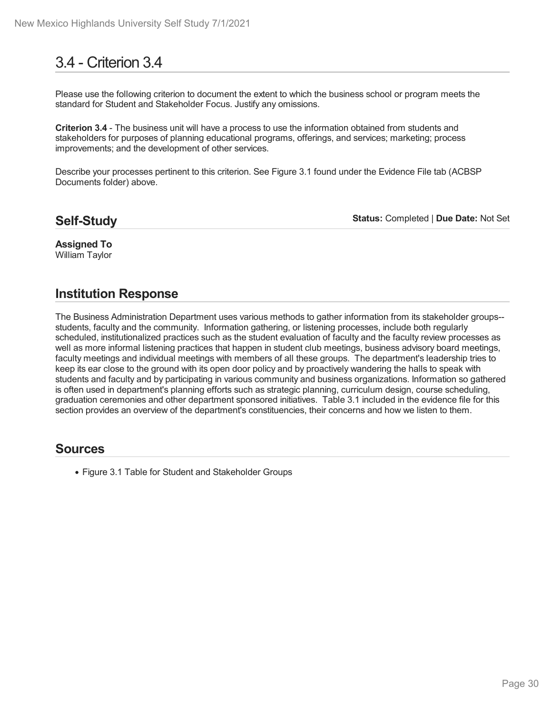# 3.4 - Criterion 3.4

Please use the following criterion to document the extent to which the business school or program meets the standard for Student and Stakeholder Focus. Justify any omissions.

**Criterion 3.4** - The business unit will have a process to use the information obtained from students and stakeholders for purposes of planning educational programs, offerings, and services; marketing; process improvements; and the development of other services.

Describe your processes pertinent to this criterion. See Figure 3.1 found under the Evidence File tab (ACBSP Documents folder) above.

### **Self-Study**

**Status:** Completed | **Due Date:** Not Set

#### **Assigned To** William Taylor

# **Institution Response**

The Business Administration Department uses various methods to gather information from its stakeholder groups- students, faculty and the community. Information gathering, or listening processes, include both regularly scheduled, institutionalized practices such as the student evaluation of faculty and the faculty review processes as well as more informal listening practices that happen in student club meetings, business advisory board meetings, faculty meetings and individual meetings with members of all these groups. The department's leadership tries to keep its ear close to the ground with its open door policy and by proactively wandering the halls to speak with students and faculty and by participating in various community and business organizations. Information so gathered is often used in department's planning efforts such as strategic planning, curriculum design, course scheduling, graduation ceremonies and other department sponsored initiatives. Table 3.1 included in the evidence file for this section provides an overview of the department's constituencies, their concerns and how we listen to them.

### **Sources**

Figure 3.1 Table for Student and Stakeholder Groups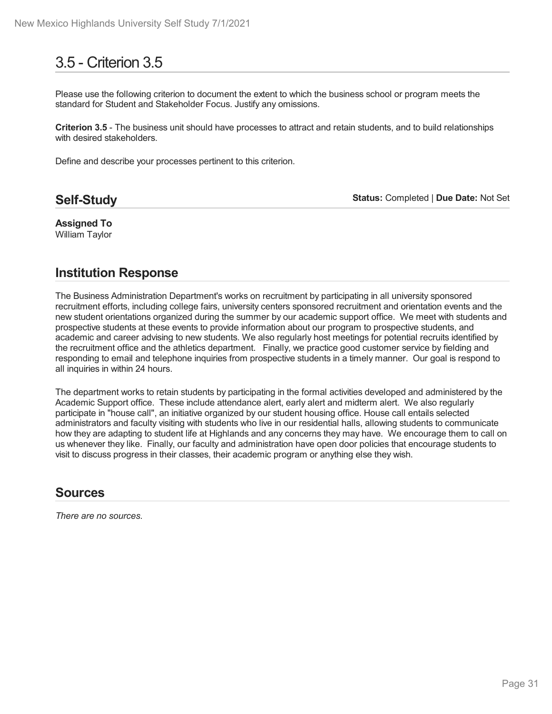# 3.5 - Criterion 3.5

Please use the following criterion to document the extent to which the business school or program meets the standard for Student and Stakeholder Focus. Justify any omissions.

**Criterion 3.5** - The business unit should have processes to attract and retain students, and to build relationships with desired stakeholders.

Define and describe your processes pertinent to this criterion.

# **Self-Study**

**Status:** Completed | **Due Date:** Not Set

**Assigned To** William Taylor

# **Institution Response**

The Business Administration Department's works on recruitment by participating in all university sponsored recruitment efforts, including college fairs, university centers sponsored recruitment and orientation events and the new student orientations organized during the summer by our academic support office. We meet with students and prospective students at these events to provide information about our program to prospective students, and academic and career advising to new students. We also regularly host meetings for potential recruits identified by the recruitment office and the athletics department. Finally, we practice good customer service by fielding and responding to email and telephone inquiries from prospective students in a timely manner. Our goal is respond to all inquiries in within 24 hours.

The department works to retain students by participating in the formal activities developed and administered by the Academic Support office. These include attendance alert, early alert and midterm alert. We also regularly participate in "house call", an initiative organized by our student housing office. House call entails selected administrators and faculty visiting with students who live in our residential halls, allowing students to communicate how they are adapting to student life at Highlands and any concerns they may have. We encourage them to call on us whenever they like. Finally, our faculty and administration have open door policies that encourage students to visit to discuss progress in their classes, their academic program or anything else they wish.

### **Sources**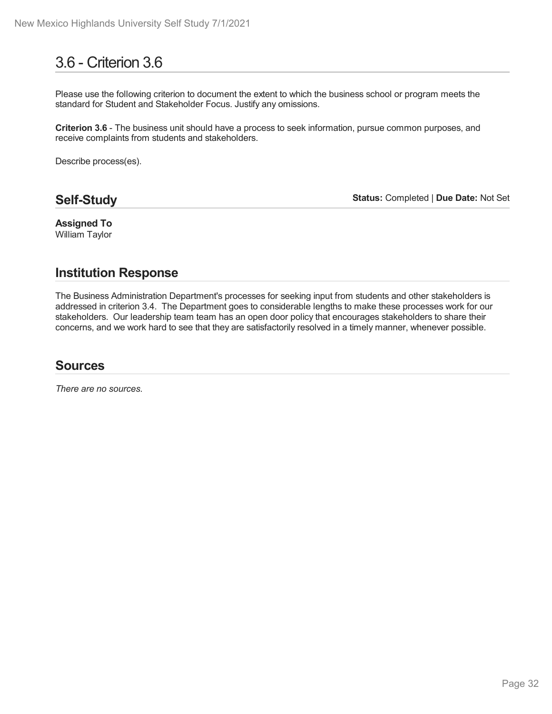# 3.6 - Criterion 3.6

Please use the following criterion to document the extent to which the business school or program meets the standard for Student and Stakeholder Focus. Justify any omissions.

**Criterion 3.6** - The business unit should have a process to seek information, pursue common purposes, and receive complaints from students and stakeholders.

Describe process(es).

# **Self-Study**

**Status:** Completed | **Due Date:** Not Set

**Assigned To** William Taylor

# **Institution Response**

The Business Administration Department's processes for seeking input from students and other stakeholders is addressed in criterion 3.4. The Department goes to considerable lengths to make these processes work for our stakeholders. Our leadership team team has an open door policy that encourages stakeholders to share their concerns, and we work hard to see that they are satisfactorily resolved in a timely manner, whenever possible.

# **Sources**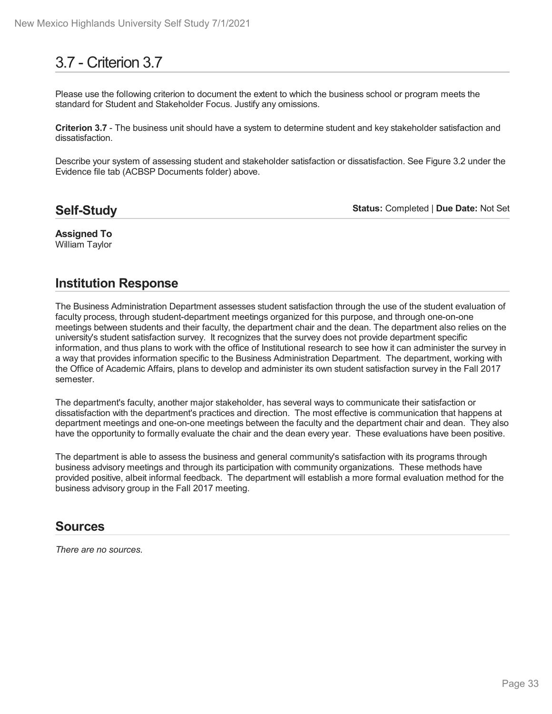# 3.7 - Criterion 3.7

Please use the following criterion to document the extent to which the business school or program meets the standard for Student and Stakeholder Focus. Justify any omissions.

**Criterion 3.7** - The business unit should have a system to determine student and key stakeholder satisfaction and dissatisfaction.

Describe your system of assessing student and stakeholder satisfaction or dissatisfaction. See Figure 3.2 under the Evidence file tab (ACBSP Documents folder) above.

### **Self-Study**

**Status:** Completed | **Due Date:** Not Set

#### **Assigned To** William Taylor

# **Institution Response**

The Business Administration Department assesses student satisfaction through the use of the student evaluation of faculty process, through student-department meetings organized for this purpose, and through one-on-one meetings between students and their faculty, the department chair and the dean. The department also relies on the university's student satisfaction survey. It recognizes that the survey does not provide department specific information, and thus plans to work with the office of Institutional research to see how it can administer the survey in a way that provides information specific to the Business Administration Department. The department, working with the Office of Academic Affairs, plans to develop and administer its own student satisfaction survey in the Fall 2017 semester.

The department's faculty, another major stakeholder, has several ways to communicate their satisfaction or dissatisfaction with the department's practices and direction. The most effective is communication that happens at department meetings and one-on-one meetings between the faculty and the department chair and dean. They also have the opportunity to formally evaluate the chair and the dean every year. These evaluations have been positive.

The department is able to assess the business and general community's satisfaction with its programs through business advisory meetings and through its participation with community organizations. These methods have provided positive, albeit informal feedback. The department will establish a more formal evaluation method for the business advisory group in the Fall 2017 meeting.

### **Sources**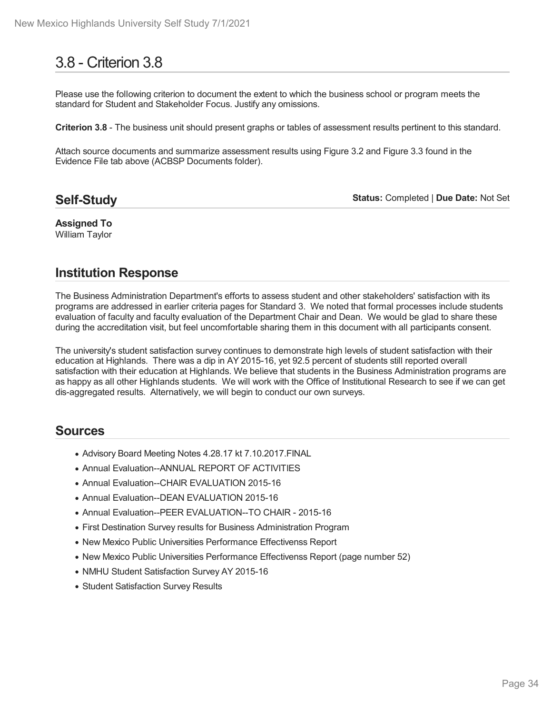# 3.8 - Criterion 3.8

Please use the following criterion to document the extent to which the business school or program meets the standard for Student and Stakeholder Focus. Justify any omissions.

**Criterion 3.8** - The business unit should present graphs or tables of assessment results pertinent to this standard.

Attach source documents and summarize assessment results using Figure 3.2 and Figure 3.3 found in the Evidence File tab above (ACBSP Documents folder).

# **Self-Study**

**Status:** Completed | **Due Date:** Not Set

**Assigned To** William Taylor

# **Institution Response**

The Business Administration Department's efforts to assess student and other stakeholders' satisfaction with its programs are addressed in earlier criteria pages for Standard 3. We noted that formal processes include students evaluation of faculty and faculty evaluation of the Department Chair and Dean. We would be glad to share these during the accreditation visit, but feel uncomfortable sharing them in this document with all participants consent.

The university's student satisfaction survey continues to demonstrate high levels of student satisfaction with their education at Highlands. There was a dip in AY 2015-16, yet 92.5 percent of students still reported overall satisfaction with their education at Highlands. We believe that students in the Business Administration programs are as happy as all other Highlands students. We will work with the Office of Institutional Research to see if we can get dis-aggregated results. Alternatively, we will begin to conduct our own surveys.

- Advisory Board Meeting Notes 4.28.17 kt 7.10.2017.FINAL
- Annual Evaluation--ANNUAL REPORT OF ACTIVITIES
- Annual Evaluation--CHAIR EVALUATION 2015-16
- Annual Evaluation--DEAN EVALUATION 2015-16
- Annual Evaluation--PEER EVALUATION--TO CHAIR 2015-16
- First Destination Survey results for Business Administration Program
- New Mexico Public Universities Performance Effectivenss Report
- New Mexico Public Universities Performance Effectivenss Report (page number 52)
- NMHU Student Satisfaction Survey AY 2015-16
- Student Satisfaction Survey Results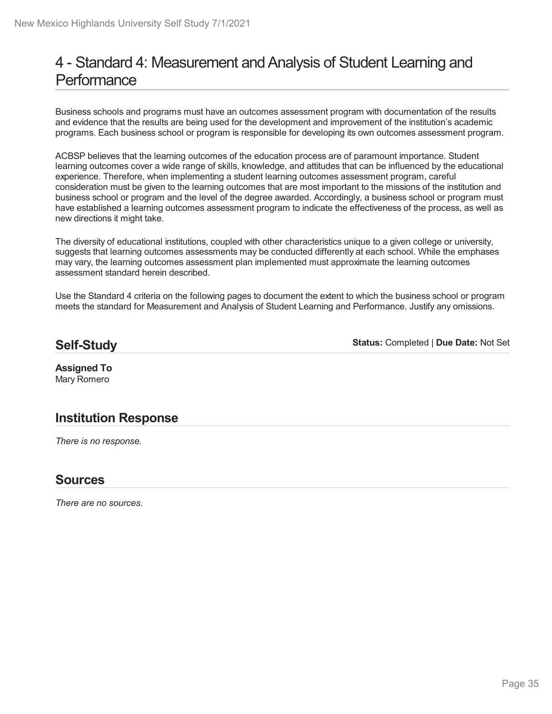# 4 - Standard 4: Measurement and Analysis of Student Learning and **Performance**

Business schools and programs must have an outcomes assessment program with documentation of the results and evidence that the results are being used for the development and improvement of the institution's academic programs. Each business school or program is responsible for developing its own outcomes assessment program.

ACBSP believes that the learning outcomes of the education process are of paramount importance. Student learning outcomes cover a wide range of skills, knowledge, and attitudes that can be influenced by the educational experience. Therefore, when implementing a student learning outcomes assessment program, careful consideration must be given to the learning outcomes that are most important to the missions of the institution and business school or program and the level of the degree awarded. Accordingly, a business school or program must have established a learning outcomes assessment program to indicate the effectiveness of the process, as well as new directions it might take.

The diversity of educational institutions, coupled with other characteristics unique to a given college or university, suggests that learning outcomes assessments may be conducted differently at each school. While the emphases may vary, the learning outcomes assessment plan implemented must approximate the learning outcomes assessment standard herein described.

Use the Standard 4 criteria on the following pages to document the extent to which the business school or program meets the standard for Measurement and Analysis of Student Learning and Performance. Justify any omissions.

# **Self-Study**

**Status:** Completed | **Due Date:** Not Set

**Assigned To** Mary Romero

# **Institution Response**

*There is no response.*

### **Sources**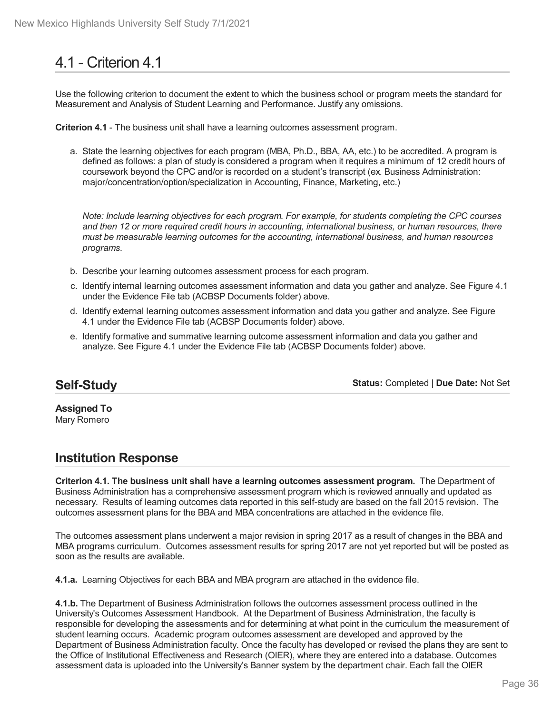# 4.1 - Criterion 4.1

Use the following criterion to document the extent to which the business school or program meets the standard for Measurement and Analysis of Student Learning and Performance. Justify any omissions.

**Criterion 4.1** - The business unit shall have a learning outcomes assessment program.

a. State the learning objectives for each program (MBA, Ph.D., BBA, AA, etc.) to be accredited. A program is defined as follows: a plan of study is considered a program when it requires a minimum of 12 credit hours of coursework beyond the CPC and/or is recorded on a student's transcript (ex. Business Administration: major/concentration/option/specialization in Accounting, Finance, Marketing, etc.)

*Note: Include learning objectives for each program. For example, for students completing the CPC courses and then 12 or more required credit hours in accounting, international business, or human resources, there must be measurable learning outcomes for the accounting, international business, and human resources programs.*

- b. Describe your learning outcomes assessment process for each program.
- c. Identify internal learning outcomes assessment information and data you gather and analyze. See Figure 4.1 under the Evidence File tab (ACBSP Documents folder) above.
- d. Identify external learning outcomes assessment information and data you gather and analyze. See Figure 4.1 under the Evidence File tab (ACBSP Documents folder) above.
- e. Identify formative and summative learning outcome assessment information and data you gather and analyze. See Figure 4.1 under the Evidence File tab (ACBSP Documents folder) above.

# **Self-Study**

**Status:** Completed | **Due Date:** Not Set

**Assigned To** Mary Romero

# **Institution Response**

**Criterion 4.1. The business unit shall have a learning outcomes assessment program.** The Department of Business Administration has a comprehensive assessment program which is reviewed annually and updated as necessary. Results of learning outcomes data reported in this self-study are based on the fall 2015 revision. The outcomes assessment plans for the BBA and MBA concentrations are attached in the evidence file.

The outcomes assessment plans underwent a major revision in spring 2017 as a result of changes in the BBA and MBA programs curriculum. Outcomes assessment results for spring 2017 are not yet reported but will be posted as soon as the results are available.

**4.1.a.** Learning Objectives for each BBA and MBA program are attached in the evidence file.

**4.1.b.** The Department of Business Administration follows the outcomes assessment process outlined in the University's Outcomes Assessment Handbook. At the Department of Business Administration, the faculty is responsible for developing the assessments and for determining at what point in the curriculum the measurement of student learning occurs. Academic program outcomes assessment are developed and approved by the Department of Business Administration faculty. Once the faculty has developed or revised the plans they are sent to the Office of Institutional Effectiveness and Research (OIER), where they are entered into a database. Outcomes assessment data is uploaded into the University's Banner system by the department chair. Each fall the OIER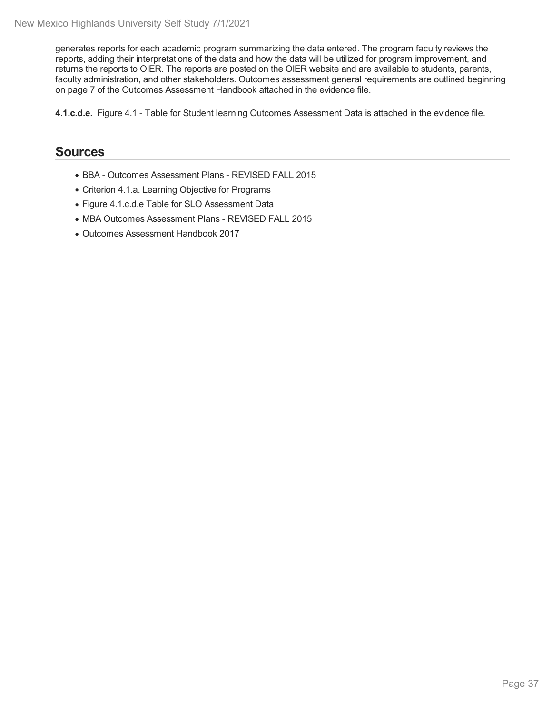generates reports for each academic program summarizing the data entered. The program faculty reviews the reports, adding their interpretations of the data and how the data will be utilized for program improvement, and returns the reports to OIER. The reports are posted on the OIER website and are available to students, parents, faculty administration, and other stakeholders. Outcomes assessment general requirements are outlined beginning on page 7 of the Outcomes Assessment Handbook attached in the evidence file.

**4.1.c.d.e.** Figure 4.1 - Table for Student learning Outcomes Assessment Data is attached in the evidence file.

- BBA Outcomes Assessment Plans REVISED FALL 2015
- Criterion 4.1.a. Learning Objective for Programs
- Figure 4.1.c.d.e Table for SLO Assessment Data
- MBA Outcomes Assessment Plans REVISED FALL 2015
- Outcomes Assessment Handbook 2017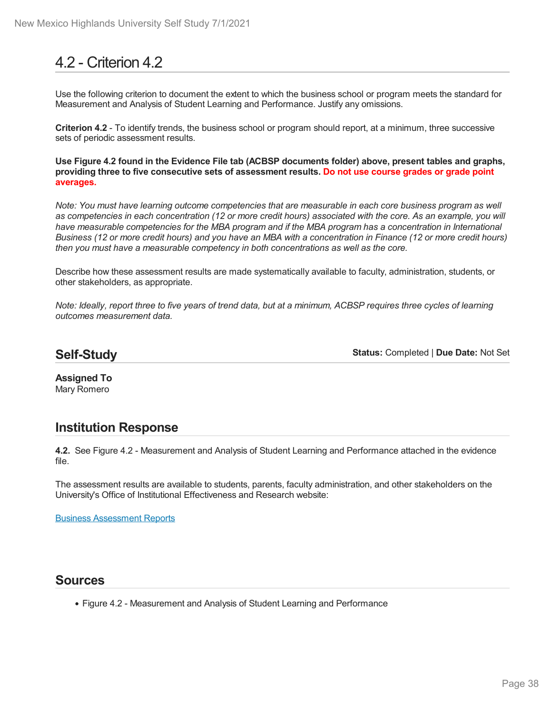# 4.2 - Criterion 4.2

Use the following criterion to document the extent to which the business school or program meets the standard for Measurement and Analysis of Student Learning and Performance. Justify any omissions.

**Criterion 4.2** - To identify trends, the business school or program should report, at a minimum, three successive sets of periodic assessment results.

**Use Figure 4.2 found in the Evidence File tab (ACBSP documents folder) above, present tables and graphs, providing three to five consecutive sets of assessment results. Do not use course grades or grade point averages.**

Note: You must have learning outcome competencies that are measurable in each core business program as well as competencies in each concentration (12 or more credit hours) associated with the core. As an example, you will have measurable competencies for the MBA program and if the MBA program has a concentration in International Business (12 or more credit hours) and you have an MBA with a concentration in Finance (12 or more credit hours) *then you must have a measurable competency in both concentrations as well as the core.*

Describe how these assessment results are made systematically available to faculty, administration, students, or other stakeholders, as appropriate.

Note: Ideally, report three to five years of trend data, but at a minimum, ACBSP requires three cycles of learning *outcomes measurement data.*

### **Self-Study**

**Status:** Completed | **Due Date:** Not Set

**Assigned To** Mary Romero

## **Institution Response**

**4.2.** See Figure 4.2 - Measurement and Analysis of Student Learning and Performance attached in the evidence file.

The assessment results are available to students, parents, faculty administration, and other stakeholders on the University's Office of Institutional Effectiveness and Research website:

Business [Assessment](http://www.nmhu.edu/institutional-research/academic-program-outcomes-assessment/business-outcomes-assessment/) Reports

#### **Sources**

Figure 4.2 - Measurement and Analysis of Student Learning and Performance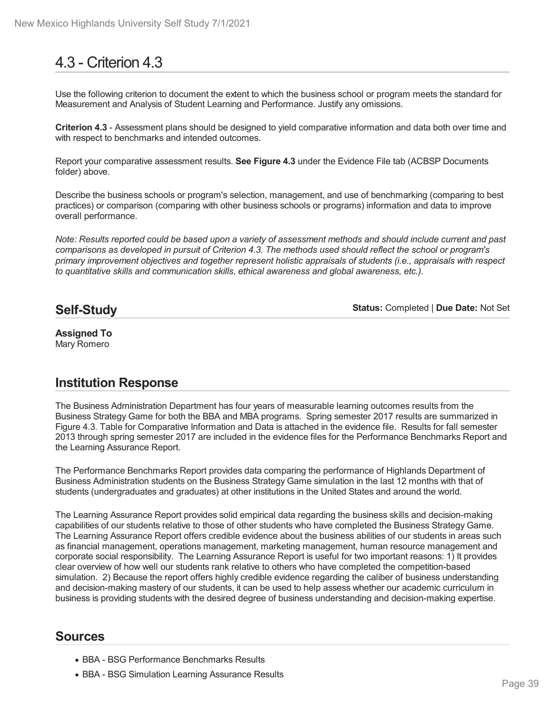# 4.3 - Criterion 4.3

Use the following criterion to document the extent to which the business school or program meets the standard for Measurement and Analysis of Student Learning and Performance. Justify any omissions.

**Criterion 4.3** - Assessment plans should be designed to yield comparative information and data both over time and with respect to benchmarks and intended outcomes.

Report your comparative assessment results. **See Figure 4.3** under the Evidence File tab (ACBSP Documents folder) above.

Describe the business schools or program's selection, management, and use of benchmarking (comparing to best practices) or comparison (comparing with other business schools or programs) information and data to improve overall performance.

Note: Results reported could be based upon a variety of assessment methods and should include current and past comparisons as developed in pursuit of Criterion 4.3. The methods used should reflect the school or program's *primary improvement objectives and together represent holistic appraisals of students (i.e., appraisals with respect to quantitative skills and communication skills, ethical awareness and global awareness, etc.).*

## **Self-Study**

**Status:** Completed | **Due Date:** Not Set

#### **Assigned To** Mary Romero

## **Institution Response**

The Business Administration Department has four years of measurable learning outcomes results from the Business Strategy Game for both the BBA and MBA programs. Spring semester 2017 results are summarized in Figure 4.3. Table for Comparative Information and Data is attached in the evidence file. Results for fall semester 2013 through spring semester 2017 are included in the evidence files for the Performance Benchmarks Report and the Learning Assurance Report.

The Performance Benchmarks Report provides data comparing the performance of Highlands Department of Business Administration students on the Business Strategy Game simulation in the last 12 months with that of students (undergraduates and graduates) at other institutions in the United States and around the world.

The Learning Assurance Report provides solid empirical data regarding the business skills and decision-making capabilities of our students relative to those of other students who have completed the Business Strategy Game. The Learning Assurance Report offers credible evidence about the business abilities of our students in areas such as financial management, operations management, marketing management, human resource management and corporate social responsibility. The Learning Assurance Report is useful for two important reasons: 1) It provides clear overview of how well our students rank relative to others who have completed the competition-based simulation. 2) Because the report offers highly credible evidence regarding the caliber of business understanding and decision-making mastery of our students, it can be used to help assess whether our academic curriculum in business is providing students with the desired degree of business understanding and decision-making expertise.

- BBA BSG Performance Benchmarks Results
- BBA BSG Simulation Learning Assurance Results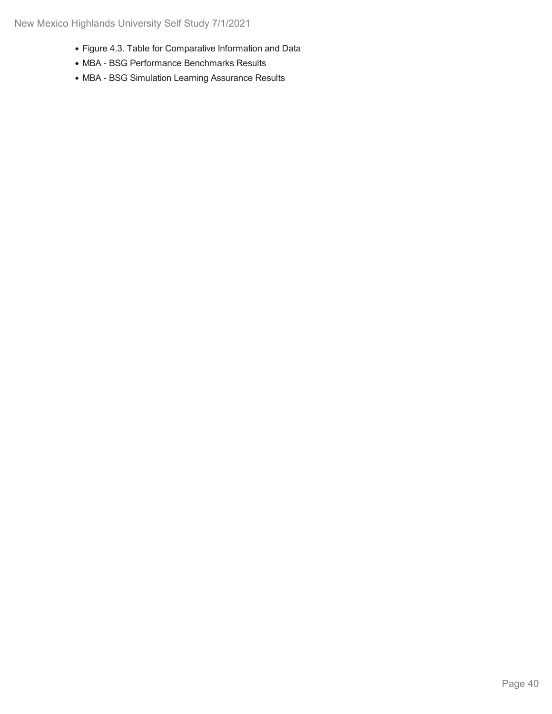- Figure 4.3. Table for Comparative Information and Data
- MBA BSG Performance Benchmarks Results
- MBA BSG Simulation Learning Assurance Results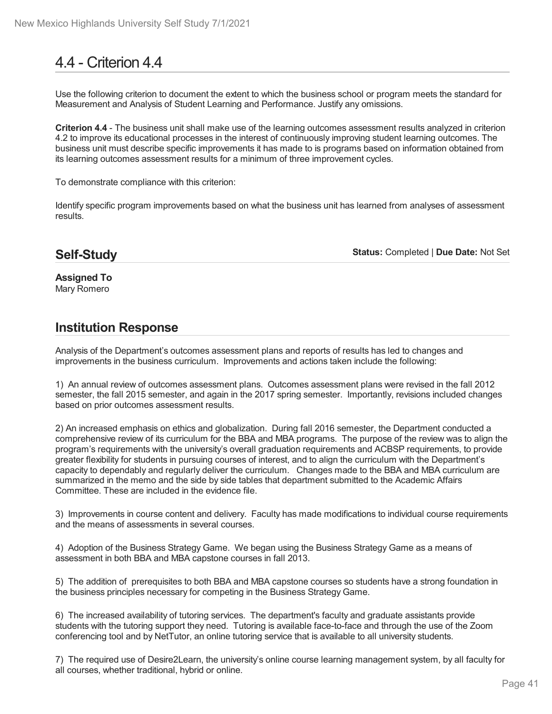# 4.4 - Criterion 4.4

Use the following criterion to document the extent to which the business school or program meets the standard for Measurement and Analysis of Student Learning and Performance. Justify any omissions.

**Criterion 4.4** - The business unit shall make use of the learning outcomes assessment results analyzed in criterion 4.2 to improve its educational processes in the interest of continuously improving student learning outcomes. The business unit must describe specific improvements ithas made to is programs based on information obtained from its learning outcomes assessment results for a minimum of three improvement cycles.

To demonstrate compliance with this criterion:

Identify specific program improvements based on what the business unit has learned from analyses of assessment results.

## **Self-Study**

**Status:** Completed | **Due Date:** Not Set

**Assigned To** Mary Romero

## **Institution Response**

Analysis of the Department's outcomes assessment plans and reports of results has led to changes and improvements in the business curriculum. Improvements and actions taken include the following:

1) An annual review of outcomes assessment plans. Outcomes assessment plans were revised in the fall 2012 semester, the fall 2015 semester, and again in the 2017 spring semester. Importantly, revisions included changes based on prior outcomes assessment results.

2) An increased emphasis on ethics and globalization. During fall 2016 semester, the Department conducted a comprehensive review of its curriculum for the BBA and MBA programs. The purpose of the review was to align the program's requirements with the university's overall graduation requirements and ACBSP requirements, to provide greater flexibility for students in pursuing courses of interest, and to align the curriculum with the Department's capacity to dependably and regularly deliver the curriculum. Changes made to the BBA and MBA curriculum are summarized in the memo and the side by side tables that department submitted to the Academic Affairs Committee. These are included in the evidence file.

3) Improvements in course content and delivery. Faculty has made modifications to individual course requirements and the means of assessments in several courses.

4) Adoption of the Business Strategy Game. We began using the Business Strategy Game as a means of assessment in both BBA and MBA capstone courses in fall 2013.

5) The addition of prerequisites to both BBA and MBA capstone courses so students have a strong foundation in the business principles necessary for competing in the Business Strategy Game.

6) The increased availability of tutoring services. The department's faculty and graduate assistants provide students with the tutoring support they need. Tutoring is available face-to-face and through the use of the Zoom conferencing tool and by NetTutor, an online tutoring service that is available to all university students.

7) The required use of Desire2Learn, the university's online course learning management system, by all faculty for all courses, whether traditional, hybrid or online.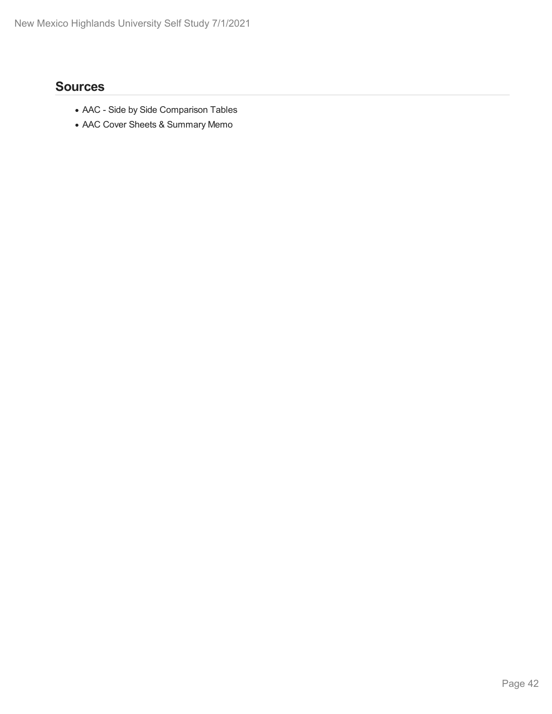- AAC Side by Side Comparison Tables
- AAC Cover Sheets & Summary Memo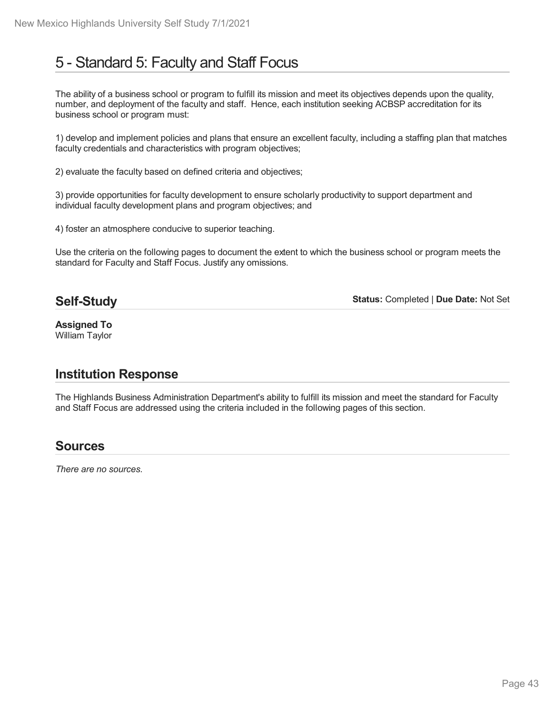# 5 - Standard 5: Faculty and Staff Focus

The ability of a business school or program to fulfill its mission and meet its objectives depends upon the quality, number, and deployment of the faculty and staff. Hence, each institution seeking ACBSP accreditation for its business school or program must:

1) develop and implement policies and plans that ensure an excellent faculty, including a staffing plan that matches faculty credentials and characteristics with program objectives;

2) evaluate the faculty based on defined criteria and objectives;

3) provide opportunities for faculty development to ensure scholarly productivity to support department and individual faculty development plans and program objectives; and

4) foster an atmosphere conducive to superior teaching.

Use the criteria on the following pages to document the extent to which the business school or program meets the standard for Faculty and Staff Focus. Justify any omissions.

## **Self-Study**

**Status:** Completed | **Due Date:** Not Set

**Assigned To** William Taylor

## **Institution Response**

The Highlands Business Administration Department's ability to fulfill its mission and meet the standard for Faculty and Staff Focus are addressed using the criteria included in the following pages of this section.

## **Sources**

*There are no sources.*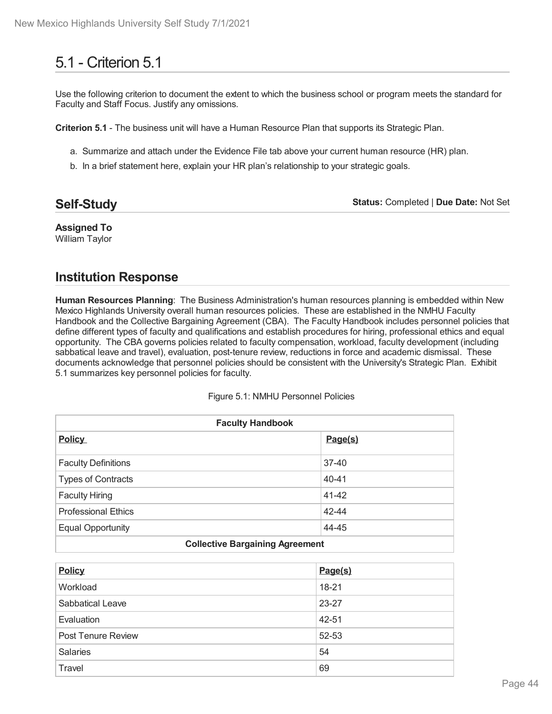# 5.1 - Criterion 5.1

Use the following criterion to document the extent to which the business school or program meets the standard for Faculty and Staff Focus. Justify any omissions.

**Criterion 5.1** - The business unit will have a Human Resource Plan that supports its Strategic Plan.

- a. Summarize and attach under the Evidence File tab above your current human resource (HR) plan.
- b. In a brief statement here, explain your HR plan's relationship to your strategic goals.

| <b>Self-Study</b> | <b>Status: Completed   Due Date: Not Set</b> |
|-------------------|----------------------------------------------|
|-------------------|----------------------------------------------|

**Assigned To** William Taylor

## **Institution Response**

**Human Resources Planning**: The Business Administration's human resources planning is embedded within New Mexico Highlands University overall human resources policies. These are established in the NMHU Faculty Handbook and the Collective Bargaining Agreement (CBA). The Faculty Handbook includes personnel policies that define different types of faculty and qualifications and establish procedures for hiring, professional ethics and equal opportunity. The CBA governs policies related to faculty compensation, workload, faculty development (including sabbatical leave and travel), evaluation, post-tenure review, reductions in force and academic dismissal. These documents acknowledge that personnel policies should be consistent with the University's Strategic Plan. Exhibit 5.1 summarizes key personnel policies for faculty.

| <b>Faculty Handbook</b>                |           |  |
|----------------------------------------|-----------|--|
| <b>Policy</b>                          | Page(s)   |  |
| <b>Faculty Definitions</b>             | $37 - 40$ |  |
| <b>Types of Contracts</b>              | $40 - 41$ |  |
| <b>Faculty Hiring</b>                  | $41 - 42$ |  |
| <b>Professional Ethics</b>             | 42-44     |  |
| <b>Equal Opportunity</b>               | 44-45     |  |
| <b>Collective Bargaining Agreement</b> |           |  |

## **Policy Page(s)** Workload 18-21 Sabbatical Leave 23-27 Evaluation and the set of the set of the set of the set of the set of the set of the set of the set of the set of the set of the set of the set of the set of the set of the set of the set of the set of the set of the set o Post Tenure Review 62-53 Salaries 54 Travel 69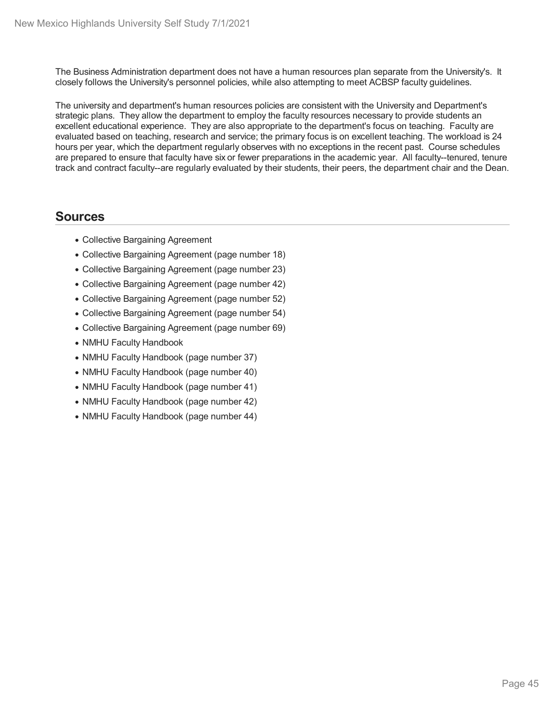The Business Administration department does not have a human resources plan separate from the University's. It closely follows the University's personnel policies, while also attempting to meet ACBSP faculty guidelines.

The university and department's human resources policies are consistent with the University and Department's strategic plans. They allow the department to employ the faculty resources necessary to provide students an excellent educational experience. They are also appropriate to the department's focus on teaching. Faculty are evaluated based on teaching, research and service; the primary focus is on excellent teaching. The workload is 24 hours per year, which the department regularly observes with no exceptions in the recent past. Course schedules are prepared to ensure that faculty have six or fewer preparations in the academic year. All faculty--tenured, tenure track and contract faculty--are regularly evaluated by their students, their peers, the department chair and the Dean.

- Collective Bargaining Agreement
- Collective Bargaining Agreement (page number 18)
- Collective Bargaining Agreement (page number 23)
- Collective Bargaining Agreement (page number 42)
- Collective Bargaining Agreement (page number 52)
- Collective Bargaining Agreement (page number 54)
- Collective Bargaining Agreement (page number 69)
- NMHU Faculty Handbook
- NMHU Faculty Handbook (page number 37)
- NMHU Faculty Handbook (page number 40)
- NMHU Faculty Handbook (page number 41)
- NMHU Faculty Handbook (page number 42)
- NMHU Faculty Handbook (page number 44)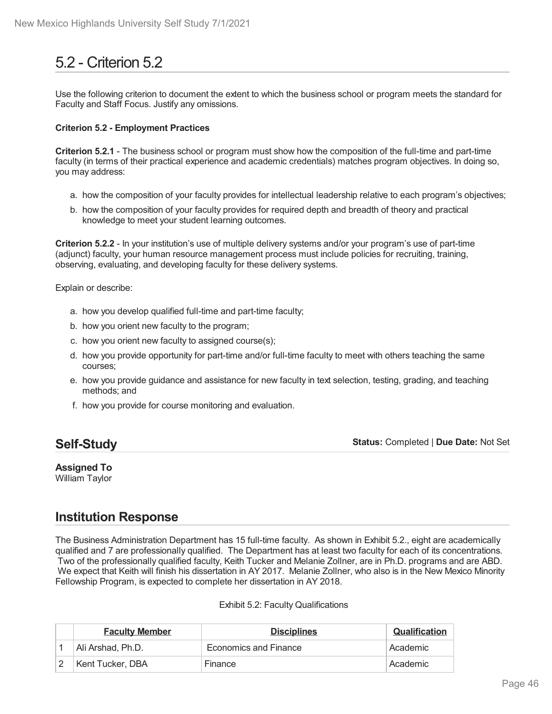# 5.2 - Criterion 5.2

Use the following criterion to document the extent to which the business school or program meets the standard for Faculty and Staff Focus. Justify any omissions.

#### **Criterion 5.2 - Employment Practices**

**Criterion 5.2.1** - The business school or program must show how the composition of the full-time and part-time faculty (in terms of their practical experience and academic credentials) matches program objectives. In doing so, you may address:

- a. how the composition of your faculty provides for intellectual leadership relative to each program's objectives;
- b. how the composition of your faculty provides for required depth and breadth of theory and practical knowledge to meet your student learning outcomes.

**Criterion 5.2.2** - In your institution's use of multiple delivery systems and/or your program's use of part-time (adjunct) faculty, your human resource management process must include policies for recruiting, training, observing, evaluating, and developing faculty for these delivery systems.

Explain or describe:

- a. how you develop qualified full-time and part-time faculty;
- b. how you orient new faculty to the program;
- c. how you orient new faculty to assigned course(s);
- d. how you provide opportunity for part-time and/or full-time faculty to meet with others teaching the same courses;
- e. how you provide guidance and assistance for new faculty in text selection, testing, grading, and teaching methods; and
- f. how you provide for course monitoring and evaluation.

## **Self-Study**

**Status:** Completed | **Due Date:** Not Set

#### **Assigned To** William Taylor

## **Institution Response**

The Business Administration Department has 15 full-time faculty. As shown in Exhibit 5.2., eight are academically qualified and 7 are professionally qualified. The Department has at least two faculty for each of its concentrations. Two of the professionally qualified faculty, Keith Tucker and Melanie Zollner, are in Ph.D. programs and are ABD. We expect that Keith will finish his dissertation in AY 2017. Melanie Zollner, who also is in the New Mexico Minority Fellowship Program, is expected to complete her dissertation in AY 2018.

#### Exhibit 5.2: Faculty Qualifications

| <b>Faculty Member</b> | <b>Disciplines</b>           | <b>Qualification</b> |
|-----------------------|------------------------------|----------------------|
| Ali Arshad, Ph.D.     | <b>Economics and Finance</b> | Academic             |
| Kent Tucker, DBA      | Finance                      | Academic             |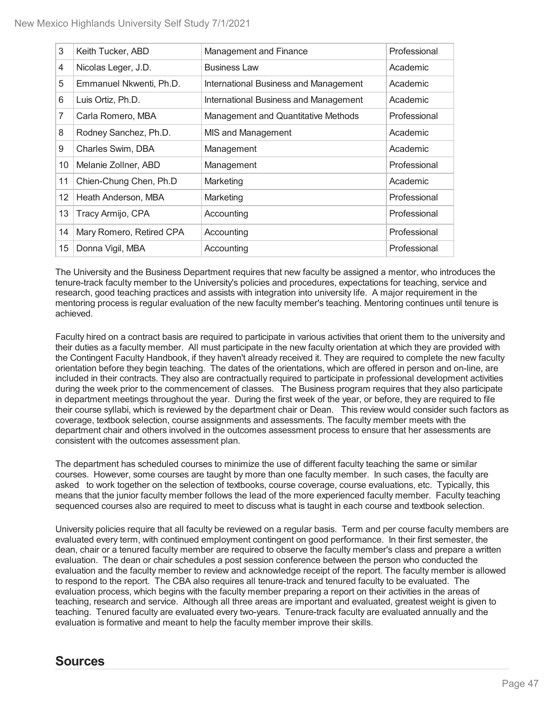| 3                            | Keith Tucker, ABD        | Management and Finance                | Professional |
|------------------------------|--------------------------|---------------------------------------|--------------|
| 4                            | Nicolas Leger, J.D.      | <b>Business Law</b>                   | Academic     |
| Emmanuel Nkwenti, Ph.D.<br>5 |                          | International Business and Management | Academic     |
| 6                            | Luis Ortiz, Ph.D.        | International Business and Management | Academic     |
| 7                            | Carla Romero, MBA        | Management and Quantitative Methods   | Professional |
| 8                            | Rodney Sanchez, Ph.D.    | MIS and Management                    | Academic     |
| 9                            | Charles Swim, DBA        | Management                            | Academic     |
| 10                           | Melanie Zollner, ABD     | Management                            | Professional |
| 11                           | Chien-Chung Chen, Ph.D   | Marketing                             | Academic     |
| 12                           | Heath Anderson, MBA      | Marketing                             | Professional |
| 13                           | Tracy Armijo, CPA        | Accounting                            | Professional |
| 14                           | Mary Romero, Retired CPA | Accounting                            | Professional |
| 15                           | Donna Vigil, MBA         | Accounting                            | Professional |

The University and the Business Department requires that new faculty be assigned a mentor, who introduces the tenure-track faculty member to the University's policies and procedures, expectations for teaching, service and research, good teaching practices and assists with integration into university life. A major requirement in the mentoring process is regular evaluation of the new faculty member's teaching. Mentoring continues until tenure is achieved.

Faculty hired on a contract basis are required to participate in various activities that orient them to the university and their duties as a faculty member. All must participate in the new faculty orientation at which they are provided with the Contingent Faculty Handbook, if they haven't already received it. They are required to complete the new faculty orientation before they begin teaching. The dates of the orientations, which are offered in person and on-line, are included in their contracts. They also are contractually required to participate in professional development activities during the week prior to the commencement of classes. The Business program requires that they also participate in department meetings throughout the year. During the first week of the year, or before, they are required to file their course syllabi, which is reviewed by the department chair or Dean. This review would consider such factors as coverage, textbook selection, course assignments and assessments. The faculty member meets with the department chair and others involved in the outcomes assessment process to ensure that her assessments are consistent with the outcomes assessment plan.

The department has scheduled courses to minimize the use of different faculty teaching the same or similar courses. However, some courses are taught by more than one faculty member. In such cases, the faculty are asked to work together on the selection of textbooks, course coverage, course evaluations, etc. Typically, this means that the junior faculty member follows the lead of the more experienced faculty member. Faculty teaching sequenced courses also are required to meet to discuss what is taught in each course and textbook selection.

University policies require that all faculty be reviewed on a regular basis. Term and per course faculty members are evaluated every term, with continued employment contingent on good performance. In their first semester, the dean, chair or a tenured faculty member are required to observe the faculty member's class and prepare a written evaluation. The dean or chair schedules a post session conference between the person who conducted the evaluation and the faculty member to review and acknowledge receipt of the report. The faculty member is allowed to respond to the report. The CBA also requires all tenure-track and tenured faculty to be evaluated. The evaluation process, which begins with the faculty member preparing a report on their activities in the areas of teaching, research and service. Although all three areas are important and evaluated, greatest weight is given to teaching. Tenured faculty are evaluated every two-years. Tenure-track faculty are evaluated annually and the evaluation is formative and meant to help the faculty member improve their skills.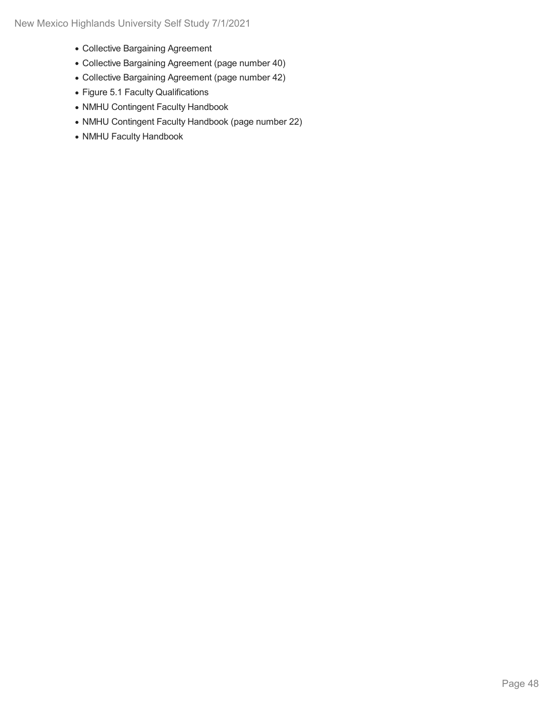- Collective Bargaining Agreement
- Collective Bargaining Agreement (page number 40)
- Collective Bargaining Agreement (page number 42)
- Figure 5.1 Faculty Qualifications
- NMHU Contingent Faculty Handbook
- NMHU Contingent Faculty Handbook (page number 22)
- NMHU Faculty Handbook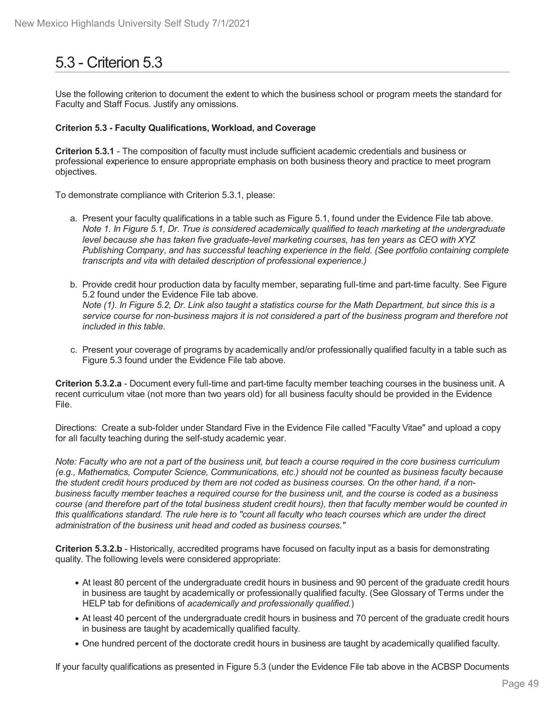# 5.3 - Criterion 5.3

Use the following criterion to document the extent to which the business school or program meets the standard for Faculty and Staff Focus. Justify any omissions.

#### **Criterion 5.3 - Faculty Qualifications, Workload, and Coverage**

**Criterion 5.3.1** - The composition of faculty must include sufficient academic credentials and business or professional experience to ensure appropriate emphasis on both business theory and practice to meet program objectives.

To demonstrate compliance with Criterion 5.3.1, please:

- a. Present your faculty qualifications in a table such as Figure 5.1, found under the Evidence File tab above. Note 1. In Figure 5.1, Dr. True is considered academically qualified to teach marketing at the undergraduate *level because she has taken five graduate-level marketing courses, has ten years as CEO with XYZ Publishing Company, and has successful teaching experience in the field. (See portfolio containing complete transcripts and vita with detailed description of professional experience.)*
- b. Provide credit hour production data by faculty member, separating full-time and part-time faculty. See Figure 5.2 found under the Evidence File tab above. Note (1). In Figure 5.2, Dr. Link also taught a statistics course for the Math Department, but since this is a service course for non-business majors it is not considered a part of the business program and therefore not *included in this table.*
- c. Present your coverage of programs by academically and/or professionally qualified faculty in a table such as Figure 5.3 found under the Evidence File tab above.

**Criterion 5.3.2.a** - Document every full-time and part-time faculty member teaching courses in the business unit. A recent curriculum vitae (not more than two years old) for all business faculty should be provided in the Evidence File.

Directions: Create a sub-folder under Standard Five in the Evidence File called "Faculty Vitae" and upload a copy for all faculty teaching during the self-study academic year.

Note: Faculty who are not a part of the business unit, but teach a course required in the core business curriculum *(e.g., Mathematics, Computer Science, Communications, etc.) should not be counted as business faculty because* the student credit hours produced by them are not coded as business courses. On the other hand, if a nonbusiness faculty member teaches a required course for the business unit, and the course is coded as a business course (and therefore part of the total business student credit hours), then that faculty member would be counted in this qualifications standard. The rule here is to "count all faculty who teach courses which are under the direct *administration of the business unit head and coded as business courses."*

**Criterion 5.3.2.b** - Historically, accredited programs have focused on faculty input as a basis for demonstrating quality. The following levels were considered appropriate:

- At least 80 percent of the undergraduate credit hours in business and 90 percent of the graduate credit hours in business are taught by academically or professionally qualified faculty. (See Glossary of Terms under the HELP tab for definitions of *academically and professionally qualified.*)
- At least 40 percent of the undergraduate credit hours in business and 70 percent of the graduate credit hours in business are taught by academically qualified faculty.
- One hundred percent of the doctorate credit hours in business are taught by academically qualified faculty.

If your faculty qualifications as presented in Figure 5.3 (under the Evidence File tab above in the ACBSP Documents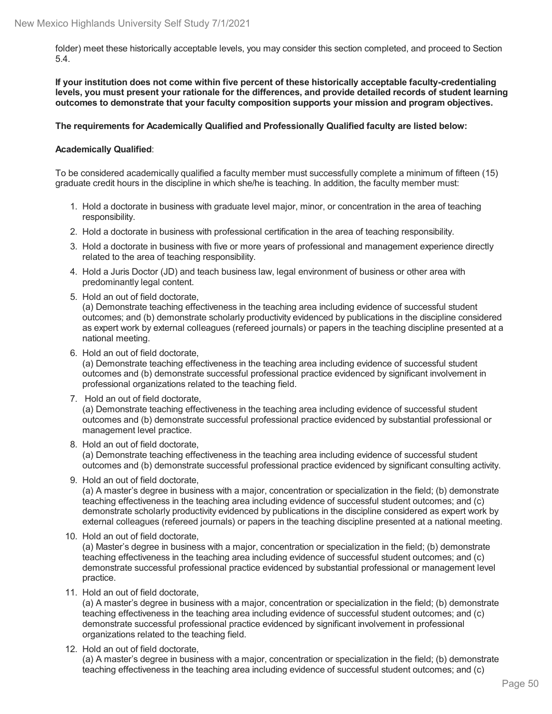folder) meet these historically acceptable levels, you may consider this section completed, and proceed to Section 5.4.

**If your institution does not come within five percent of these historically acceptable faculty-credentialing levels, you must present your rationale for the differences, and provide detailed records of student learning outcomes to demonstrate that your faculty composition supports your mission and program objectives.**

#### **The requirements for Academically Qualified and Professionally Qualified faculty are listed below:**

#### **Academically Qualified**:

To be considered academically qualified a faculty member must successfully complete a minimum of fifteen (15) graduate credit hours in the discipline in which she/he is teaching. In addition, the faculty member must:

- 1. Hold a doctorate in business with graduate level major, minor, or concentration in the area of teaching responsibility.
- 2. Hold a doctorate in business with professional certification in the area of teaching responsibility.
- 3. Hold a doctorate in business with five or more years of professional and management experience directly related to the area of teaching responsibility.
- 4. Hold a Juris Doctor (JD) and teach business law, legal environment of business or other area with predominantly legal content.
- 5. Hold an out of field doctorate,

(a) Demonstrate teaching effectiveness in the teaching area including evidence of successful student outcomes; and (b) demonstrate scholarly productivity evidenced by publications in the discipline considered as expert work by external colleagues (refereed journals) or papers in the teaching discipline presented at a national meeting.

6. Hold an out of field doctorate,

(a) Demonstrate teaching effectiveness in the teaching area including evidence of successful student outcomes and (b) demonstrate successful professional practice evidenced by significant involvement in professional organizations related to the teaching field.

7. Hold an out of field doctorate,

(a) Demonstrate teaching effectiveness in the teaching area including evidence of successful student outcomes and (b) demonstrate successful professional practice evidenced by substantial professional or management level practice.

8. Hold an out of field doctorate,

(a) Demonstrate teaching effectiveness in the teaching area including evidence of successful student outcomes and (b) demonstrate successful professional practice evidenced by significant consulting activity.

9. Hold an out of field doctorate,

(a) A master's degree in business with a major, concentration or specialization in the field; (b) demonstrate teaching effectiveness in the teaching area including evidence of successful student outcomes; and (c) demonstrate scholarly productivity evidenced by publications in the discipline considered as expert work by external colleagues (refereed journals) or papers in the teaching discipline presented at a national meeting.

10. Hold an out of field doctorate,

(a) Master's degree in business with a major, concentration or specialization in the field; (b) demonstrate teaching effectiveness in the teaching area including evidence of successful student outcomes; and (c) demonstrate successful professional practice evidenced by substantial professional or management level practice.

11. Hold an out of field doctorate,

(a) A master's degree in business with a major, concentration or specialization in the field; (b) demonstrate teaching effectiveness in the teaching area including evidence of successful student outcomes; and (c) demonstrate successful professional practice evidenced by significant involvement in professional organizations related to the teaching field.

12. Hold an out of field doctorate,

(a) A master's degree in business with a major, concentration or specialization in the field; (b) demonstrate teaching effectiveness in the teaching area including evidence of successful student outcomes; and (c)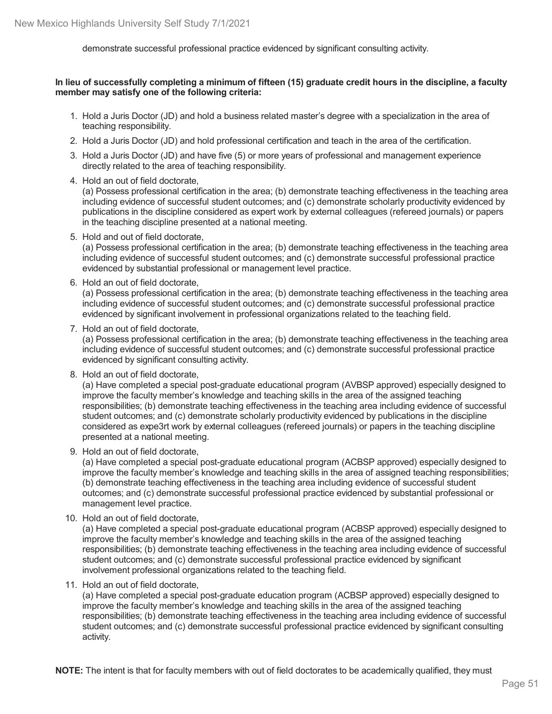demonstrate successful professional practice evidenced by significant consulting activity.

#### In lieu of successfully completing a minimum of fifteen (15) graduate credit hours in the discipline, a faculty **member may satisfy one of the following criteria:**

- 1. Hold a Juris Doctor (JD) and hold a business related master's degree with a specialization in the area of teaching responsibility.
- 2. Hold a Juris Doctor (JD) and hold professional certification and teach in the area of the certification.
- 3. Hold a Juris Doctor (JD) and have five (5) or more years of professional and management experience directly related to the area of teaching responsibility.
- 4. Hold an out of field doctorate,

(a) Possess professional certification in the area; (b) demonstrate teaching effectiveness in the teaching area including evidence of successful student outcomes; and (c) demonstrate scholarly productivity evidenced by publications in the discipline considered as expert work by external colleagues (refereed journals) or papers in the teaching discipline presented at a national meeting.

5. Hold and out of field doctorate,

(a) Possess professional certification in the area; (b) demonstrate teaching effectiveness in the teaching area including evidence of successful student outcomes; and (c) demonstrate successful professional practice evidenced by substantial professional or management level practice.

6. Hold an out of field doctorate,

(a) Possess professional certification in the area; (b) demonstrate teaching effectiveness in the teaching area including evidence of successful student outcomes; and (c) demonstrate successful professional practice evidenced by significant involvement in professional organizations related to the teaching field.

7. Hold an out of field doctorate,

(a) Possess professional certification in the area; (b) demonstrate teaching effectiveness in the teaching area including evidence of successful student outcomes; and (c) demonstrate successful professional practice evidenced by significant consulting activity.

8. Hold an out of field doctorate,

(a) Have completed a special post-graduate educational program (AVBSP approved) especially designed to improve the faculty member's knowledge and teaching skills in the area of the assigned teaching responsibilities; (b) demonstrate teaching effectiveness in the teaching area including evidence of successful student outcomes; and (c) demonstrate scholarly productivity evidenced by publications in the discipline considered as expe3rt work by external colleagues (refereed journals) or papers in the teaching discipline presented at a national meeting.

9. Hold an out of field doctorate,

(a) Have completed a special post-graduate educational program (ACBSP approved) especially designed to improve the faculty member's knowledge and teaching skills in the area of assigned teaching responsibilities; (b) demonstrate teaching effectiveness in the teaching area including evidence of successful student outcomes; and (c) demonstrate successful professional practice evidenced by substantial professional or management level practice.

10. Hold an out of field doctorate,

(a) Have completed a special post-graduate educational program (ACBSP approved) especially designed to improve the faculty member's knowledge and teaching skills in the area of the assigned teaching responsibilities; (b) demonstrate teaching effectiveness in the teaching area including evidence of successful student outcomes; and (c) demonstrate successful professional practice evidenced by significant involvement professional organizations related to the teaching field.

11. Hold an out of field doctorate,

(a) Have completed a special post-graduate education program (ACBSP approved) especially designed to improve the faculty member's knowledge and teaching skills in the area of the assigned teaching responsibilities; (b) demonstrate teaching effectiveness in the teaching area including evidence of successful student outcomes; and (c) demonstrate successful professional practice evidenced by significant consulting activity.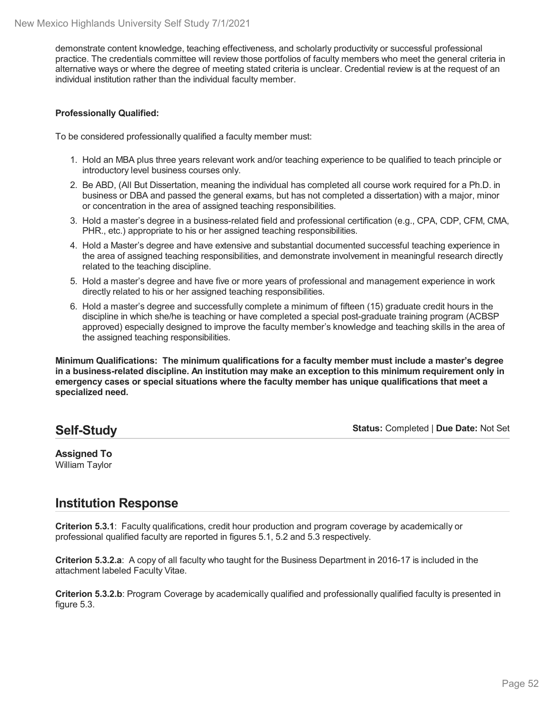demonstrate content knowledge, teaching effectiveness, and scholarly productivity or successful professional practice. The credentials committee will review those portfolios of faculty members who meet the general criteria in alternative ways or where the degree of meeting stated criteria is unclear. Credential review is at the request of an individual institution rather than the individual faculty member.

#### **Professionally Qualified:**

To be considered professionally qualified a faculty member must:

- 1. Hold an MBA plus three years relevant work and/or teaching experience to be qualified to teach principle or introductory level business courses only.
- 2. Be ABD, (All But Dissertation, meaning the individual has completed all course work required for a Ph.D. in business or DBA and passed the general exams, but has not completed a dissertation) with a major, minor or concentration in the area of assigned teaching responsibilities.
- 3. Hold a master's degree in a business-related field and professional certification (e.g., CPA, CDP, CFM, CMA, PHR., etc.) appropriate to his or her assigned teaching responsibilities.
- 4. Hold a Master's degree and have extensive and substantial documented successful teaching experience in the area of assigned teaching responsibilities, and demonstrate involvement in meaningful research directly related to the teaching discipline.
- 5. Hold a master's degree and have five or more years of professional and management experience in work directly related to his or her assigned teaching responsibilities.
- 6. Hold a master's degree and successfully complete a minimum of fifteen (15) graduate credit hours in the discipline in which she/he is teaching or have completed a special post-graduate training program (ACBSP approved) especially designed to improve the faculty member's knowledge and teaching skills in the area of the assigned teaching responsibilities.

**Minimum Qualifications: The minimum qualifications for a faculty member must include a master's degree in a business-related discipline. An institution may make an exception to this minimum requirement only in emergency cases or special situations where the faculty member has unique qualifications that meet a specialized need.**

### **Self-Study**

**Status:** Completed | **Due Date:** Not Set

**Assigned To** William Taylor

## **Institution Response**

**Criterion 5.3.1**: Faculty qualifications, credit hour production and program coverage by academically or professional qualified faculty are reported in figures 5.1, 5.2 and 5.3 respectively.

**Criterion 5.3.2.a**: A copy of all faculty who taught for the Business Department in 2016-17 is included in the attachment labeled Faculty Vitae.

**Criterion 5.3.2.b**: Program Coverage by academically qualified and professionally qualified faculty is presented in figure 5.3.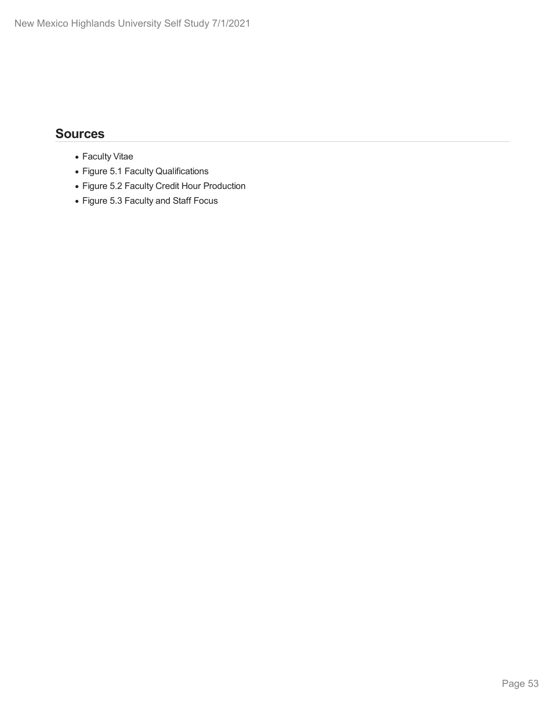- Faculty Vitae
- Figure 5.1 Faculty Qualifications
- Figure 5.2 Faculty Credit Hour Production
- Figure 5.3 Faculty and Staff Focus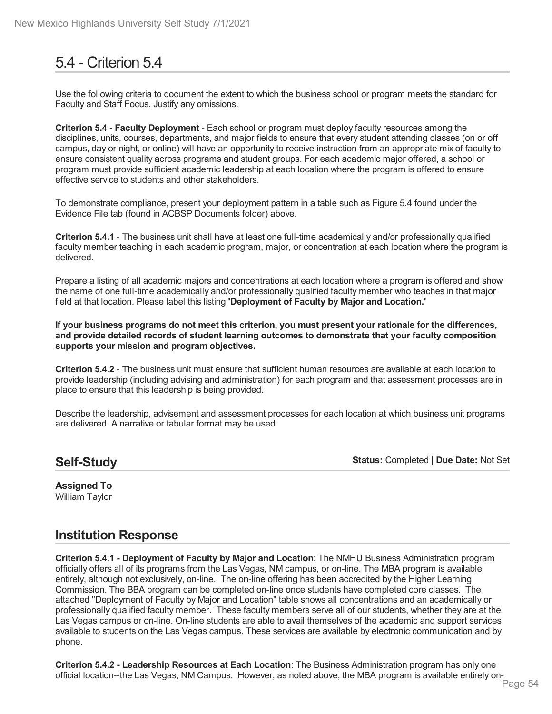# 5.4 - Criterion 5.4

Use the following criteria to document the extent to which the business school or program meets the standard for Faculty and Staff Focus. Justify any omissions.

**Criterion 5.4 - Faculty Deployment** - Each school or program must deploy faculty resources among the disciplines, units, courses, departments, and major fields to ensure that every student attending classes (on or off campus, day or night, or online) will have an opportunity to receive instruction from an appropriate mix of faculty to ensure consistent quality across programs and student groups. For each academic major offered, a school or program must provide sufficient academic leadership at each location where the program isoffered to ensure effective service to students and other stakeholders.

To demonstrate compliance, present your deployment pattern in a table such as Figure 5.4 found under the Evidence File tab (found in ACBSP Documents folder) above.

**Criterion 5.4.1** - The business unit shall have at least one full-time academically and/or professionally qualified faculty member teaching in each academic program, major, or concentration at each location where the program is delivered.

Prepare a listing of all academic majors and concentrations at each location where a program is offered and show the name of one full-time academically and/or professionally qualified faculty member who teaches in that major field at that location. Please label this listing **'Deployment of Faculty by Major and Location.'**

If your business programs do not meet this criterion, you must present your rationale for the differences, **and provide detailed records of student learning outcomes to demonstrate that your faculty composition supports your mission and program objectives.**

**Criterion 5.4.2** - The business unit must ensure that sufficient human resources are available at each location to provide leadership (including advising and administration) for each program and that assessment processes are in place to ensure that this leadership is being provided.

Describe the leadership, advisement and assessment processes for each location at which business unit programs are delivered. A narrative or tabular format may be used.

## **Self-Study**

**Status:** Completed | **Due Date:** Not Set

**Assigned To** William Taylor

## **Institution Response**

**Criterion 5.4.1 - Deployment of Faculty by Major and Location**: The NMHU Business Administration program officially offers all of its programs from the Las Vegas, NM campus, or on-line. The MBA program is available entirely, although not exclusively, on-line. The on-line offering has been accredited by the Higher Learning Commission. The BBA program can be completed on-line once students have completed core classes. The attached "Deployment of Faculty by Major and Location" table shows all concentrations and an academically or professionally qualified faculty member. These faculty members serve all of our students, whether they are at the Las Vegas campus or on-line. On-line students are able to avail themselves of the academic and support services available to students on the Las Vegas campus. These services are available by electronic communication and by phone.

**Criterion 5.4.2 - Leadership Resources at Each Location**: The Business Administration program has only one official location--the Las Vegas, NM Campus. However, as noted above, the MBA program is available entirely on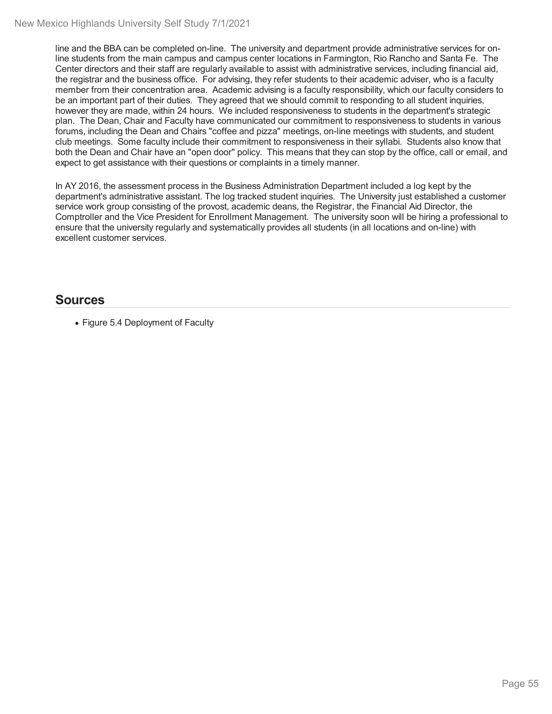line and the BBA can be completed on-line. The university and department provide administrative services for online students from the main campus and campus center locations in Farmington, Rio Rancho and Santa Fe. The Center directors and their staff are regularly available to assist with administrative services, including financial aid, the registrar and the business office. For advising, they refer students to their academic adviser, who is a faculty member from their concentration area. Academic advising is a faculty responsibility, which our faculty considers to be an important part of their duties. They agreed that we should commit to responding to all student inquiries, however they are made, within 24 hours. We included responsiveness to students in the department's strategic plan. The Dean, Chair and Faculty have communicated our commitment to responsiveness to students in various forums, including the Dean and Chairs "coffee and pizza" meetings, on-line meetings with students, and student club meetings. Some faculty include their commitment to responsiveness in their syllabi. Students also know that both the Dean and Chair have an "open door" policy. This means that they can stop by the office, call or email, and expect to get assistance with their questions or complaints in a timely manner.

In AY 2016, the assessment process in the Business Administration Department included a log kept by the department's administrative assistant. The log tracked student inquiries. The University just established a customer service work group consisting of the provost, academic deans, the Registrar, the Financial Aid Director, the Comptroller and the Vice President for Enrollment Management. The university soon will be hiring a professional to ensure that the university regularly and systematically provides all students (in all locations and on-line) with excellent customer services.

### **Sources**

Figure 5.4 Deployment of Faculty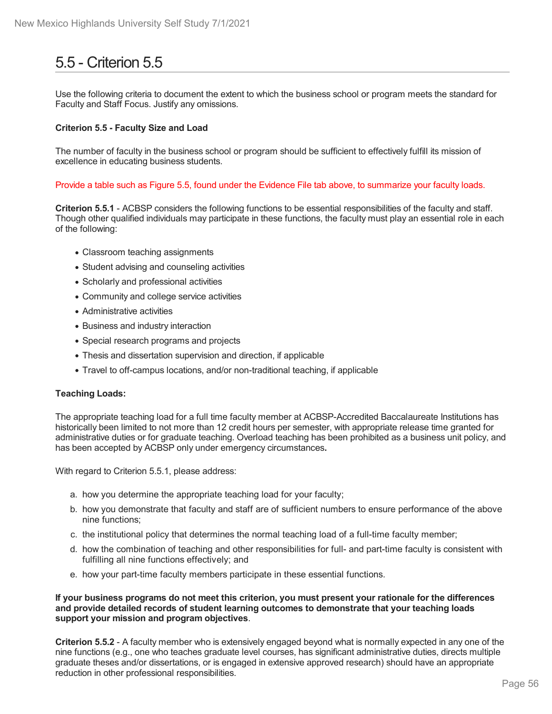# 5.5 - Criterion 5.5

Use the following criteria to document the extent to which the business school or program meets the standard for Faculty and Staff Focus. Justify any omissions.

#### **Criterion 5.5 - Faculty Size and Load**

The number of faculty in the business school or program should be sufficient to effectively fulfill its mission of excellence in educating business students.

Provide a table such as Figure 5.5, found under the Evidence File tab above, to summarize your faculty loads.

**Criterion 5.5.1** - ACBSP considers the following functions to be essential responsibilities of the faculty and staff. Though other qualified individuals may participate in these functions, the faculty must play an essential role in each of the following:

- Classroom teaching assignments
- Student advising and counseling activities
- Scholarly and professional activities
- Community and college service activities
- Administrative activities
- Business and industry interaction
- Special research programs and projects
- Thesis and dissertation supervision and direction, if applicable
- Travel to off-campus locations, and/or non-traditional teaching, if applicable

#### **Teaching Loads:**

The appropriate teaching load for a full time faculty member at ACBSP-Accredited Baccalaureate Institutions has historically been limited to not more than 12 credit hours per semester, with appropriate release time granted for administrative duties or for graduate teaching. Overload teaching has been prohibited as a business unit policy, and has been accepted by ACBSP only under emergency circumstances**.**

With regard to Criterion 5.5.1, please address:

- a. how you determine the appropriate teaching load for your faculty;
- b. how you demonstrate that faculty and staff are of sufficient numbers to ensure performance of the above nine functions;
- c. the institutional policy that determines the normal teaching load of a full-time faculty member;
- d. how the combination of teaching and other responsibilities for full- and part-time faculty is consistent with fulfilling all nine functions effectively; and
- e. how your part-time faculty members participate in these essential functions.

#### **If your business programs do not meet this criterion, you must present your rationale for the differences and provide detailed records of student learning outcomes to demonstrate that your teaching loads support your mission and program objectives**.

**Criterion 5.5.2** - A faculty member who is extensively engaged beyond what is normally expected in any one of the nine functions (e.g., one who teaches graduate level courses, has significant administrative duties, directs multiple graduate theses and/or dissertations, or is engaged in extensive approved research) should have an appropriate reduction in other professional responsibilities.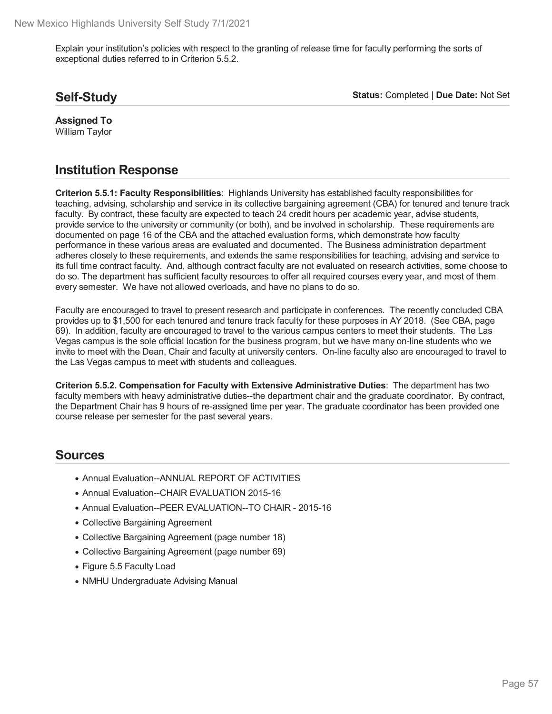Explain your institution's policies with respect to the granting of release time for faculty performing the sorts of exceptional duties referred to in Criterion 5.5.2.

## **Self-Study**

**Status:** Completed | **Due Date:** Not Set

**Assigned To** William Taylor

## **Institution Response**

**Criterion 5.5.1: Faculty Responsibilities**: Highlands University has established faculty responsibilities for teaching, advising, scholarship and service in its collective bargaining agreement (CBA) for tenured and tenure track faculty. By contract, these faculty are expected to teach 24 credit hours per academic year, advise students, provide service to the university or community (or both), and be involved in scholarship. These requirements are documented on page 16 of the CBA and the attached evaluation forms, which demonstrate how faculty performance in these various areas are evaluated and documented. The Business administration department adheres closely to these requirements, and extends the same responsibilities for teaching, advising and service to its full time contract faculty. And, although contract faculty are not evaluated on research activities, some choose to do so. The department has sufficient faculty resources to offer all required courses every year, and most of them every semester. We have not allowed overloads, and have no plans to do so.

Faculty are encouraged to travel to present research and participate in conferences. The recently concluded CBA provides up to \$1,500 for each tenured and tenure track faculty for these purposes in AY 2018. (See CBA, page 69). In addition, faculty are encouraged to travel to the various campus centers to meet their students. The Las Vegas campus is the sole official location for the business program, but we have many on-line students who we invite to meet with the Dean, Chair and faculty at university centers. On-line faculty also are encouraged to travel to the Las Vegas campus to meet with students and colleagues.

**Criterion 5.5.2. Compensation for Faculty with Extensive Administrative Duties**: The department has two faculty members with heavy administrative duties--the department chair and the graduate coordinator. By contract, the Department Chair has 9 hours of re-assigned time per year. The graduate coordinator has been provided one course release per semester for the past several years.

- Annual Evaluation--ANNUAL REPORT OF ACTIVITIES
- Annual Evaluation--CHAIR EVALUATION 2015-16
- Annual Evaluation--PEER EVALUATION--TO CHAIR 2015-16
- Collective Bargaining Agreement
- Collective Bargaining Agreement (page number 18)
- Collective Bargaining Agreement (page number 69)
- Figure 5.5 Faculty Load
- NMHU Undergraduate Advising Manual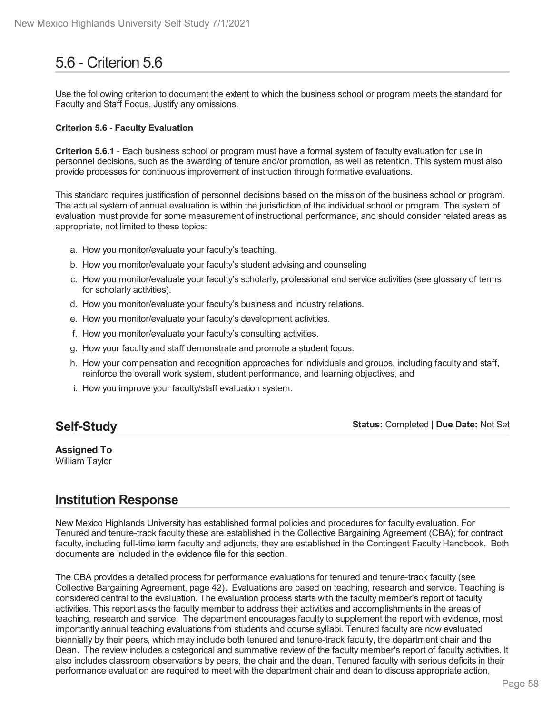# 5.6 - Criterion 5.6

Use the following criterion to document the extent to which the business school or program meets the standard for Faculty and Staff Focus. Justify any omissions.

#### **Criterion 5.6 - Faculty Evaluation**

**Criterion 5.6.1** - Each business school or program must have a formal system of faculty evaluation for use in personnel decisions, such as the awarding of tenure and/or promotion, as well as retention. This system must also provide processes for continuous improvement of instruction through formative evaluations.

This standard requires justification of personnel decisions based on the mission of the business school or program. The actual system of annual evaluation is within the jurisdiction of the individual school or program. The system of evaluation must provide for some measurement of instructional performance, and should consider related areas as appropriate, not limited to these topics:

- a. How you monitor/evaluate your faculty's teaching.
- b. How you monitor/evaluate your faculty's student advising and counseling
- c. How you monitor/evaluate your faculty's scholarly, professional and service activities (see glossary of terms for scholarly activities).
- d. How you monitor/evaluate your faculty's business and industry relations.
- e. How you monitor/evaluate your faculty's development activities.
- f. How you monitor/evaluate your faculty's consulting activities.
- g. How your faculty and staff demonstrate and promote a student focus.
- h. How your compensation and recognition approaches for individuals and groups, including faculty and staff, reinforce the overall work system, student performance, and learning objectives, and
- i. How you improve your faculty/staff evaluation system.

## **Self-Study**

**Status:** Completed | **Due Date:** Not Set

**Assigned To** William Taylor

## **Institution Response**

New Mexico Highlands University has established formal policies and procedures for faculty evaluation. For Tenured and tenure-track faculty these are established in the Collective Bargaining Agreement (CBA); for contract faculty, including full-time term faculty and adjuncts, they are established in the Contingent Faculty Handbook. Both documents are included in the evidence file for this section.

The CBA provides a detailed process for performance evaluations for tenured and tenure-track faculty (see Collective Bargaining Agreement, page 42). Evaluations are based on teaching, research and service. Teaching is considered central to the evaluation. The evaluation process starts with the faculty member's report of faculty activities. This report asks the faculty member to address their activities and accomplishments in the areas of teaching, research and service. The department encourages faculty to supplement the report with evidence, most importantly annual teaching evaluations from students and course syllabi. Tenured faculty are now evaluated biennially by their peers, which may include both tenured and tenure-track faculty, the department chair and the Dean. The review includes a categorical and summative review of the faculty member's report of faculty activities. It also includes classroom observations by peers, the chair and the dean. Tenured faculty with serious deficits in their performance evaluation are required to meet with the department chair and dean to discuss appropriate action,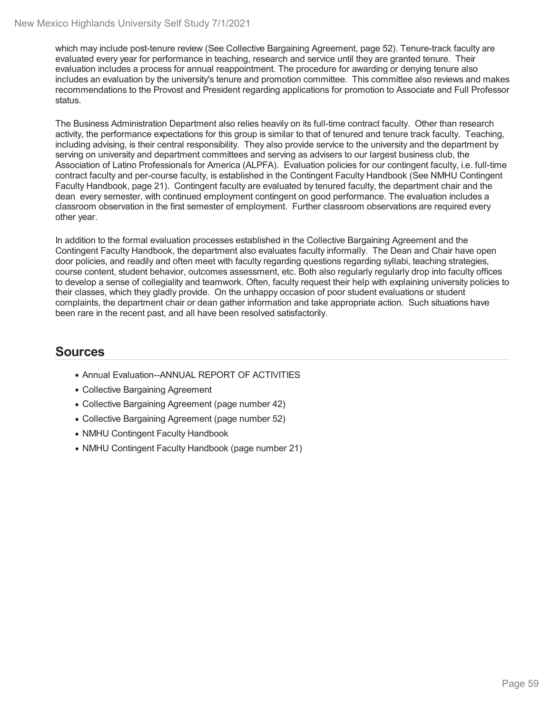which may include post-tenure review (See Collective Bargaining Agreement, page 52). Tenure-track faculty are evaluated every year for performance in teaching, research and service until they are granted tenure. Their evaluation includes a process for annual reappointment. The procedure for awarding or denying tenure also includes an evaluation by the university's tenure and promotion committee. This committee also reviews and makes recommendations to the Provost and President regarding applications for promotion to Associate and Full Professor status.

The Business Administration Department also relies heavily on its full-time contract faculty. Other than research activity, the performance expectations for this group is similar to that of tenured and tenure track faculty. Teaching, including advising, is their central responsibility. They also provide service to the university and the department by serving on university and department committees and serving as advisers to our largest business club, the Association of Latino Professionals for America (ALPFA). Evaluation policies for our contingent faculty, i.e. full-time contract faculty and per-course faculty, is established in the Contingent Faculty Handbook (See NMHU Contingent Faculty Handbook, page 21). Contingent faculty are evaluated by tenured faculty, the department chair and the dean every semester, with continued employment contingent on good performance. The evaluation includes a classroom observation in the first semester of employment. Further classroom observations are required every other year.

In addition to the formal evaluation processes established in the Collective Bargaining Agreement and the Contingent Faculty Handbook, the department also evaluates faculty informally. The Dean and Chair have open door policies, and readily and often meet with faculty regarding questions regarding syllabi, teaching strategies, course content, student behavior, outcomes assessment, etc. Both also regularly regularly drop into faculty offices to develop a sense of collegiality and teamwork. Often, faculty request their help with explaining university policies to their classes, which they gladly provide. On the unhappy occasion of poor student evaluations or student complaints, the department chair or dean gather information and take appropriate action. Such situations have been rare in the recent past, and all have been resolved satisfactorily.

- Annual Evaluation--ANNUAL REPORT OF ACTIVITIES
- Collective Bargaining Agreement
- Collective Bargaining Agreement (page number 42)
- Collective Bargaining Agreement (page number 52)
- NMHU Contingent Faculty Handbook
- NMHU Contingent Faculty Handbook (page number 21)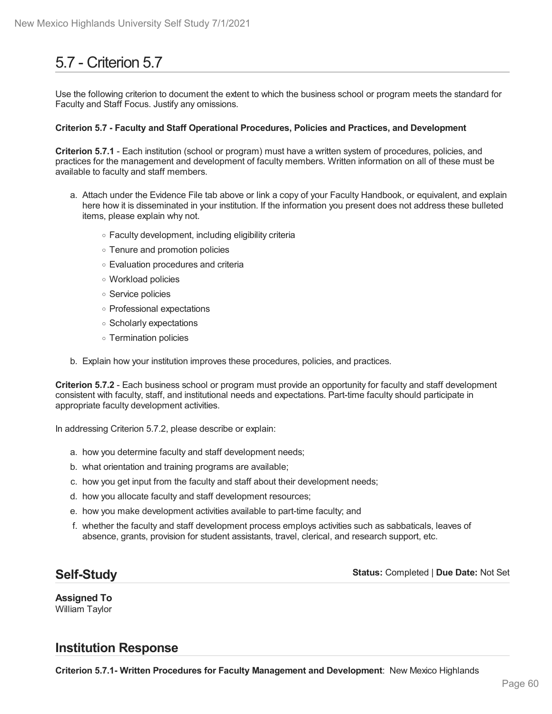# 5.7 - Criterion 5.7

Use the following criterion to document the extent to which the business school or program meets the standard for Faculty and Staff Focus. Justify any omissions.

#### **Criterion 5.7 - Faculty and Staff Operational Procedures, Policies and Practices, and Development**

**Criterion 5.7.1** - Each institution (school or program) must have a written system of procedures, policies, and practices for the management and development of faculty members. Written information on all of these must be available to faculty and staff members.

- a. Attach under the Evidence File tab above or link a copy of your Faculty Handbook, or equivalent, and explain here how it is disseminated in your institution. If the information you present does not address these bulleted items, please explain why not.
	- Faculty development, including eligibility criteria
	- Tenure and promotion policies
	- Evaluation procedures and criteria
	- Workload policies
	- Service policies
	- Professional expectations
	- Scholarly expectations
	- Termination policies
- b. Explain how your institution improves these procedures, policies, and practices.

**Criterion 5.7.2** - Each business school or program must provide an opportunity for faculty and staff development consistent with faculty, staff, and institutional needs and expectations. Part-time faculty should participate in appropriate faculty development activities.

In addressing Criterion 5.7.2, please describe or explain:

- a. how you determine faculty and staff development needs;
- b. what orientation and training programs are available;
- c. how you get input from the faculty and staff about their development needs;
- d. how you allocate faculty and staff development resources;
- e. how you make development activities available to part-time faculty; and
- f. whether the faculty and staff development process employs activities such as sabbaticals, leaves of absence, grants, provision for student assistants, travel, clerical, and research support, etc.

### **Self-Study**

**Status:** Completed | **Due Date:** Not Set

**Assigned To** William Taylor

### **Institution Response**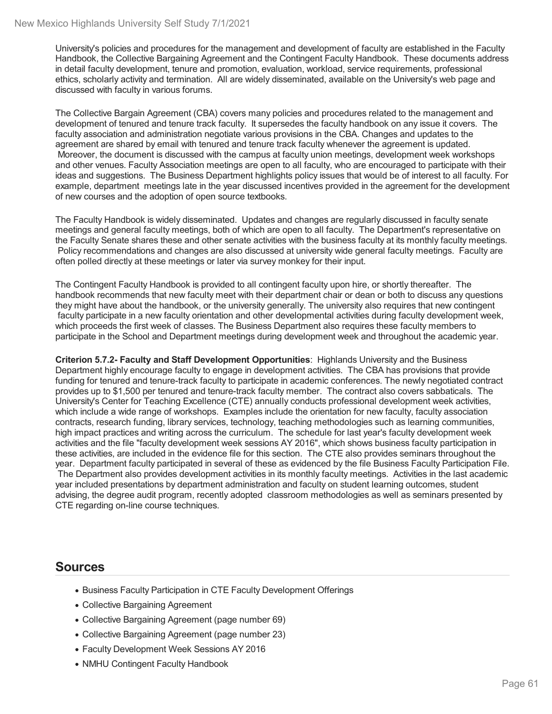University's policies and procedures for the management and development of faculty are established in the Faculty Handbook, the Collective Bargaining Agreement and the Contingent Faculty Handbook. These documents address in detail faculty development, tenure and promotion, evaluation, workload, service requirements, professional ethics, scholarly activity and termination. All are widely disseminated, available on the University's web page and discussed with faculty in various forums.

The Collective Bargain Agreement (CBA) covers many policies and procedures related to the management and development of tenured and tenure track faculty. It supersedes the faculty handbook on any issue it covers. The faculty association and administration negotiate various provisions in the CBA. Changes and updates to the agreement are shared by email with tenured and tenure track faculty whenever the agreement is updated. Moreover, the document is discussed with the campus at faculty union meetings, development week workshops and other venues. Faculty Association meetings are open to all faculty, who are encouraged to participate with their ideas and suggestions. The Business Department highlights policy issues that would be of interest to all faculty. For example, department meetings late in the year discussed incentives provided in the agreement for the development of new courses and the adoption of open source textbooks.

The Faculty Handbook is widely disseminated. Updates and changes are regularly discussed in faculty senate meetings and general faculty meetings, both of which are open to all faculty. The Department's representative on the Faculty Senate shares these and other senate activities with the business faculty at its monthly faculty meetings. Policy recommendations and changes are also discussed at university wide general faculty meetings. Faculty are often polled directly at these meetings or later via survey monkey for their input.

The Contingent Faculty Handbook is provided to all contingent faculty upon hire, or shortly thereafter. The handbook recommends that new faculty meet with their department chair or dean or both to discuss any questions they might have about the handbook, or the university generally. The university also requires that new contingent faculty participate in a new faculty orientation and other developmental activities during faculty development week, which proceeds the first week of classes. The Business Department also requires these faculty members to participate in the School and Department meetings during development week and throughout the academic year.

**Criterion 5.7.2- Faculty and Staff Development Opportunities**: Highlands University and the Business Department highly encourage faculty to engage in development activities. The CBA has provisions that provide funding for tenured and tenure-track faculty to participate in academic conferences. The newly negotiated contract provides up to \$1,500 per tenured and tenure-track faculty member. The contract also covers sabbaticals. The University's Center for Teaching Excellence (CTE) annually conducts professional development week activities, which include a wide range of workshops. Examples include the orientation for new faculty, faculty association contracts, research funding, library services, technology, teaching methodologies such as learning communities, high impact practices and writing across the curriculum. The schedule for last year's faculty development week activities and the file "faculty development week sessions AY 2016", which shows business faculty participation in these activities, are included in the evidence file for this section. The CTE also provides seminars throughout the year. Department faculty participated in several of these as evidenced by the file Business Faculty Participation File. The Department also provides development activities in its monthly faculty meetings. Activities in the last academic year included presentations by department administration and faculty on student learning outcomes, student advising, the degree audit program, recently adopted classroom methodologies as well as seminars presented by CTE regarding on-line course techniques.

- Business Faculty Participation in CTE Faculty Development Offerings
- Collective Bargaining Agreement
- Collective Bargaining Agreement (page number 69)
- Collective Bargaining Agreement (page number 23)
- Faculty Development Week Sessions AY 2016
- NMHU Contingent Faculty Handbook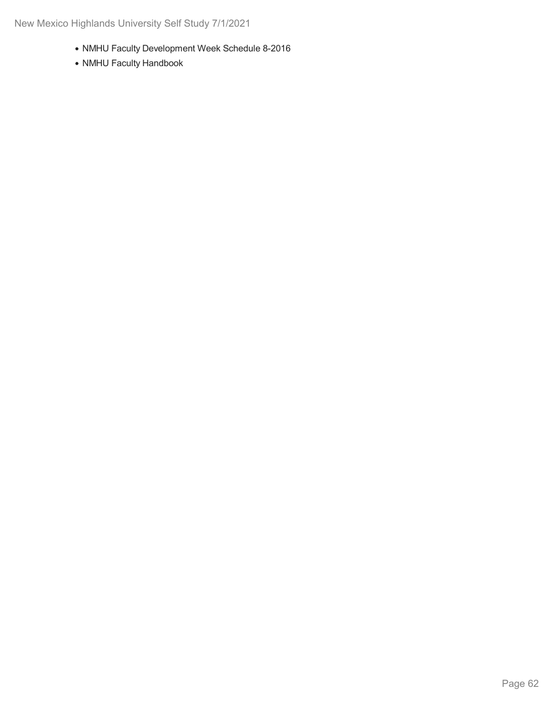- NMHU Faculty Development Week Schedule 8-2016
- NMHU Faculty Handbook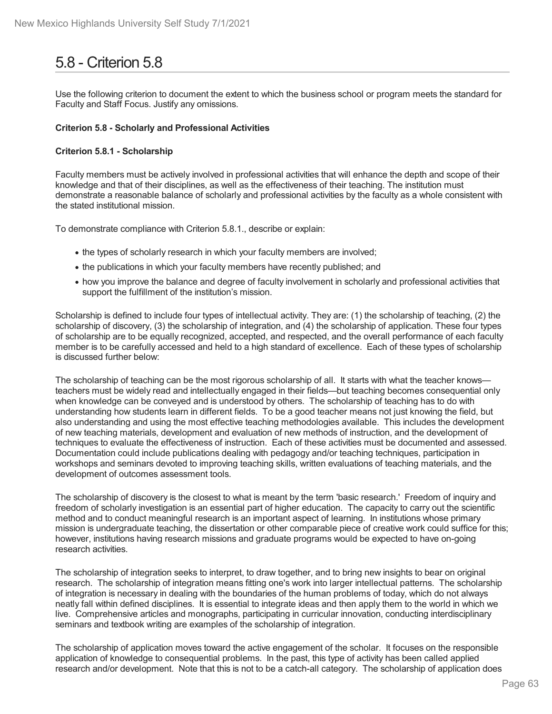# 5.8 - Criterion 5.8

Use the following criterion to document the extent to which the business school or program meets the standard for Faculty and Staff Focus. Justify any omissions.

#### **Criterion 5.8 - Scholarly and Professional Activities**

#### **Criterion 5.8.1 - Scholarship**

Faculty members must be actively involved in professional activities that will enhance the depth and scope of their knowledge and that of their disciplines, as well as the effectiveness of their teaching. The institution must demonstrate a reasonable balance of scholarly and professional activities by the faculty as a whole consistent with the stated institutional mission.

To demonstrate compliance with Criterion 5.8.1., describe or explain:

- the types of scholarly research in which your faculty members are involved;
- the publications in which your faculty members have recently published; and
- how you improve the balance and degree of faculty involvement in scholarly and professional activities that support the fulfillment of the institution's mission.

Scholarship is defined to include four types of intellectual activity. They are: (1) the scholarship of teaching, (2) the scholarship of discovery, (3) the scholarship of integration, and (4) the scholarship of application. These four types of scholarship are to be equally recognized, accepted, and respected, and the overall performance of each faculty member is to be carefully accessed and held to a high standard of excellence. Each of these types of scholarship is discussed further below:

The scholarship of teaching can be the most rigorous scholarship of all. It starts with what the teacher knows teachers must be widely read and intellectually engaged in their fields—but teaching becomes consequential only when knowledge can be conveyed and is understood by others. The scholarship of teaching has to do with understanding how students learn in different fields. To be a good teacher means not just knowing the field, but also understanding and using the most effective teaching methodologies available. This includes the development of new teaching materials, development and evaluation of new methods of instruction, and the development of techniques to evaluate the effectiveness of instruction. Each of these activities must be documented and assessed. Documentation could include publications dealing with pedagogy and/or teaching techniques, participation in workshops and seminars devoted to improving teaching skills, written evaluations of teaching materials, and the development of outcomes assessment tools.

The scholarship of discovery is the closest to what is meant by the term 'basic research.' Freedom of inquiry and freedom of scholarly investigation is an essential part of higher education. The capacity to carry out the scientific method and to conduct meaningful research is an important aspect of learning. In institutions whose primary mission is undergraduate teaching, the dissertation or other comparable piece of creative work could suffice for this; however, institutions having research missions and graduate programs would be expected to have on-going research activities.

The scholarship of integration seeks to interpret, to draw together, and to bring new insights to bear on original research. The scholarship of integration means fitting one's work into larger intellectual patterns. The scholarship of integration is necessary in dealing with the boundaries of the human problems of today, which do not always neatly fall within defined disciplines. It is essential to integrate ideas and then apply them to the world in which we live. Comprehensive articles and monographs, participating in curricular innovation, conducting interdisciplinary seminars and textbook writing are examples of the scholarship of integration.

The scholarship of application moves toward the active engagement of the scholar. It focuses on the responsible application of knowledge to consequential problems. In the past, this type of activity has been called applied research and/or development. Note that this is not to be a catch-all category. The scholarship of application does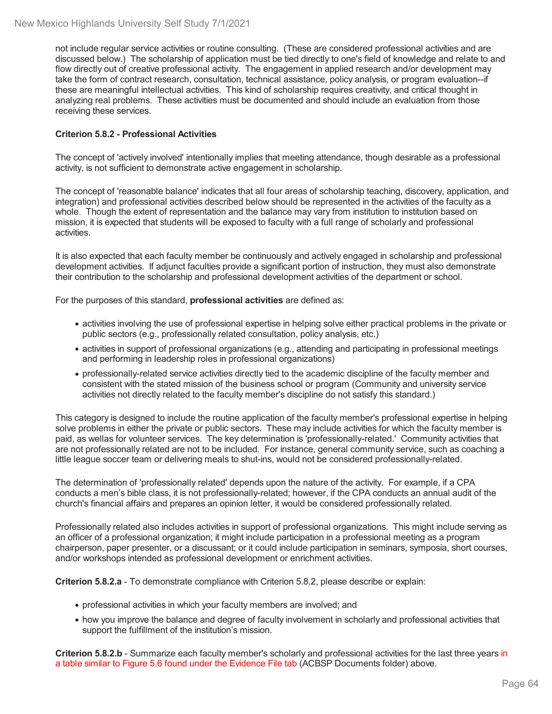not include regular service activities or routine consulting. (These are considered professional activities and are discussed below.) The scholarship of application must be tied directly to one's field of knowledge and relate to and flow directly out of creative professional activity. The engagement in applied research and/or development may take the form of contract research, consultation, technical assistance, policy analysis, or program evaluation--if these are meaningful intellectual activities. This kind of scholarship requires creativity, and critical thought in analyzing real problems. These activities must be documented and should include an evaluation from those receiving these services.

#### **Criterion 5.8.2 - Professional Activities**

The concept of 'actively involved' intentionally implies that meeting attendance, though desirable as a professional activity, is not sufficient to demonstrate active engagement in scholarship.

The concept of 'reasonable balance' indicates that all four areas of scholarship teaching, discovery, application, and integration) and professional activities described below should be represented in the activities of the faculty as a whole. Though the extent of representation and the balance may vary from institution to institution based on mission, it is expected that students will be exposed to faculty with a full range of scholarly and professional activities.

It is also expected that each faculty member be continuously and actively engaged in scholarship and professional development activities. If adjunct faculties provide a significant portion of instruction, they must also demonstrate their contribution to the scholarship and professional development activities of the department or school.

For the purposes of this standard, **professional activities** are defined as:

- activities involving the use of professional expertise in helping solve either practical problems in the private or public sectors (e.g., professionally related consultation, policy analysis, etc.)
- activities in support of professional organizations (e.g., attending and participating in professional meetings and performing in leadership roles in professional organizations)
- professionally-related service activities directly tied to the academic discipline of the faculty member and consistent with the stated mission of the business school or program (Community and university service activities not directly related to the faculty member's discipline do not satisfy this standard.)

This category is designed to include the routine application of the faculty member's professional expertise in helping solve problems in either the private or public sectors. These may include activities for which the faculty member is paid, as wellas for volunteer services. The key determination is 'professionally-related.' Community activities that are not professionally related are not to be included. For instance, general community service, such as coaching a little league soccer team or delivering meals to shut-ins, would not be considered professionally-related.

The determination of 'professionally related' depends upon the nature of the activity. For example, if a CPA conducts a men's bible class, it is not professionally-related; however, if the CPA conducts an annual audit of the church's financial affairs and prepares an opinion letter, it would be considered professionally related.

Professionally related also includes activities in support of professional organizations. This might include serving as an officer of a professional organization; it might include participation in a professional meeting as a program chairperson, paper presenter, or a discussant; or it could include participation in seminars, symposia, short courses, and/or workshops intended as professional development or enrichment activities.

**Criterion 5.8.2.a** - To demonstrate compliance with Criterion 5.8.2, please describe or explain:

- professional activities in which your faculty members are involved; and
- how you improve the balance and degree of faculty involvement in scholarly and professional activities that support the fulfillment of the institution's mission.

**Criterion 5.8.2.b** - Summarize each faculty member's scholarly and professional activities for the last three years in a table similar to Figure 5.6 found under the Evidence File tab (ACBSP Documents folder) above.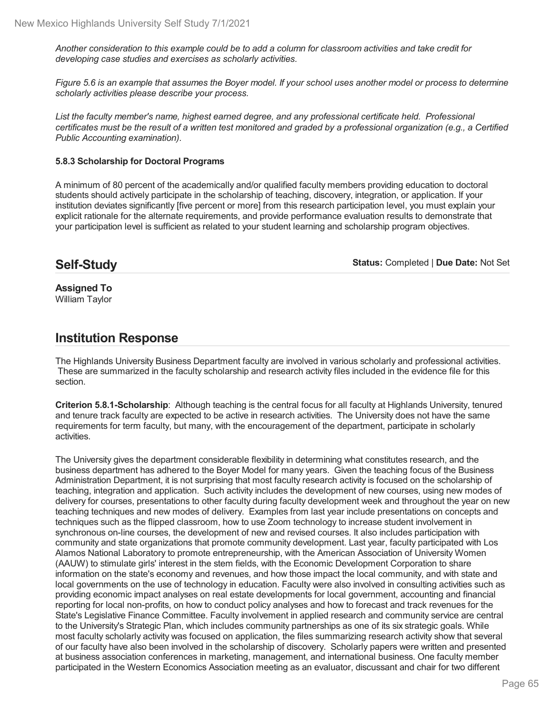Another consideration to this example could be to add a column for classroom activities and take credit for *developing case studies and exercises as scholarly activities.*

Figure 5.6 is an example that assumes the Boyer model. If your school uses another model or process to determine *scholarly activities please describe your process.*

*List the faculty member's name, highest earned degree, and any professional certificate held. Professional* certificates must be the result of a written test monitored and graded by a professional organization (e.g., a Certified *Public Accounting examination).*

#### **5.8.3 Scholarship for Doctoral Programs**

A minimum of 80 percent of the academically and/or qualified faculty members providing education to doctoral students should actively participate in the scholarship of teaching, discovery, integration, or application. If your institution deviates significantly [five percent or more] from this research participation level, you must explain your explicit rationale for the alternate requirements, and provide performance evaluation results to demonstrate that your participation level is sufficient as related to your student learning and scholarship program objectives.

## **Self-Study**

**Status:** Completed | **Due Date:** Not Set

**Assigned To** William Taylor

## **Institution Response**

The Highlands University Business Department faculty are involved in various scholarly and professional activities. These are summarized in the faculty scholarship and research activity files included in the evidence file for this section.

**Criterion 5.8.1-Scholarship**: Although teaching is the central focus for all faculty at Highlands University, tenured and tenure track faculty are expected to be active in research activities. The University does not have the same requirements for term faculty, but many, with the encouragement of the department, participate in scholarly activities.

The University gives the department considerable flexibility in determining what constitutes research, and the business department has adhered to the Boyer Model for many years. Given the teaching focus of the Business Administration Department, it is not surprising that most faculty research activity is focused on the scholarship of teaching, integration and application. Such activity includes the development of new courses, using new modes of delivery for courses, presentations to other faculty during faculty development week and throughout the year on new teaching techniques and new modes of delivery. Examples from lastyear include presentations on concepts and techniques such as the flipped classroom, how to use Zoom technology to increase student involvement in synchronous on-line courses, the development of new and revised courses. It also includes participation with community and state organizations that promote community development. Last year, faculty participated with Los Alamos National Laboratory to promote entrepreneurship, with the American Association of University Women (AAUW) to stimulate girls' interest in the stem fields, with the Economic Development Corporation to share information on the state's economy and revenues, and how those impact the local community, and with state and local governments on the use of technology in education. Faculty were also involved in consulting activities such as providing economic impact analyses on real estate developments for local government, accounting and financial reporting for local non-profits, on how to conduct policy analyses and how to forecast and track revenues for the State's Legislative Finance Committee. Faculty involvement in applied research and community service are central to the University's Strategic Plan, which includes community partnerships as one of its six strategic goals. While most faculty scholarly activity was focused on application, the files summarizing research activity show that several of our faculty have also been involved in the scholarship of discovery. Scholarly papers were written and presented at business association conferences in marketing, management, and international business. One faculty member participated in the Western Economics Association meeting as an evaluator, discussant and chair for two different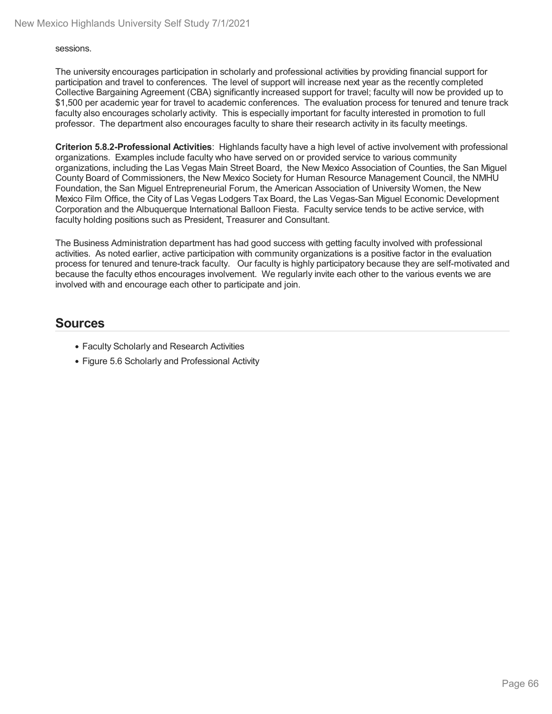sessions.

The university encourages participation in scholarly and professional activities by providing financial support for participation and travel to conferences. The level of support will increase next year as the recently completed Collective Bargaining Agreement (CBA) significantly increased support for travel; faculty will now be provided up to \$1,500 per academic year for travel to academic conferences. The evaluation process for tenured and tenure track faculty also encourages scholarly activity. This is especially important for faculty interested in promotion to full professor. The department also encourages faculty to share their research activity in its faculty meetings.

**Criterion 5.8.2-Professional Activities**: Highlands faculty have a high level of active involvement with professional organizations. Examples include faculty who have served on or provided service to various community organizations, including the Las Vegas Main Street Board, the New Mexico Association of Counties, the San Miguel County Board of Commissioners, the New Mexico Society for Human Resource Management Council, the NMHU Foundation, the San Miguel Entrepreneurial Forum, the American Association of University Women, the New Mexico Film Office, the City of Las Vegas Lodgers Tax Board, the Las Vegas-San Miguel Economic Development Corporation and the Albuquerque International Balloon Fiesta. Faculty service tends to be active service, with faculty holding positions such as President, Treasurer and Consultant.

The Business Administration department has had good success with getting faculty involved with professional activities. As noted earlier, active participation with community organizations is a positive factor in the evaluation process for tenured and tenure-track faculty. Our faculty is highly participatory because they are self-motivated and because the faculty ethos encourages involvement. We regularly invite each other to the various events we are involved with and encourage each other to participate and join.

- Faculty Scholarly and Research Activities
- Figure 5.6 Scholarly and Professional Activity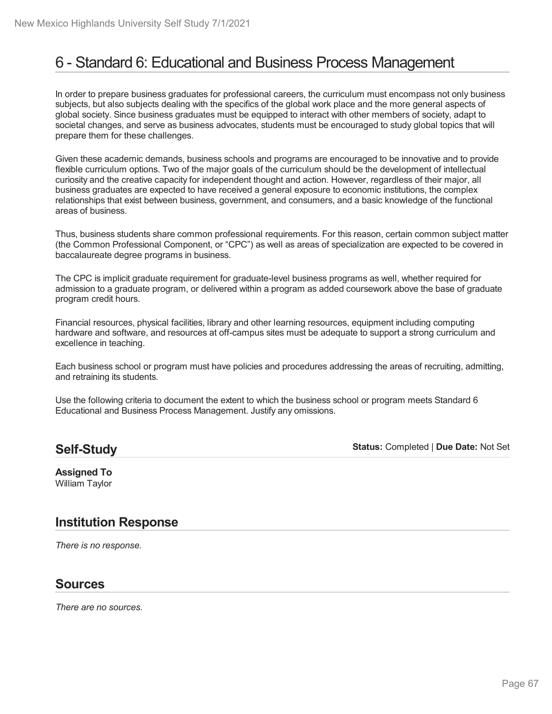# 6 - Standard 6: Educational and Business Process Management

In order to prepare business graduates for professional careers, the curriculum must encompass not only business subjects, but also subjects dealing with the specifics of the global work place and the more general aspects of global society. Since business graduates must be equipped to interact with other members of society, adapt to societal changes, and serve as business advocates, students must be encouraged to study global topics that will prepare them for these challenges.

Given these academic demands, business schools and programs are encouraged to be innovative and to provide flexible curriculum options. Two of the major goals of the curriculum should be the development of intellectual curiosity and the creative capacity for independent thought and action. However, regardless of their major, all business graduates are expected to have received a general exposure to economic institutions, the complex relationships that exist between business, government, and consumers, and a basic knowledge of the functional areas of business.

Thus, business students share common professional requirements. For this reason, certain common subject matter (the Common Professional Component, or "CPC") as well as areas of specialization are expected to be covered in baccalaureate degree programs in business.

The CPC is implicit graduate requirement for graduate-level business programs as well, whether required for admission to a graduate program, or delivered within a program as added coursework above the base of graduate program credit hours.

Financial resources, physical facilities, library and other learning resources, equipment including computing hardware and software, and resources at off-campus sites must be adequate to support a strong curriculum and excellence in teaching.

Each business school or program must have policies and procedures addressing the areas of recruiting, admitting, and retraining its students.

Use the following criteria to document the extent to which the business school or program meets Standard 6 Educational and Business Process Management. Justify any omissions.

### **Self-Study**

**Status:** Completed | **Due Date:** Not Set

**Assigned To** William Taylor

## **Institution Response**

*There is no response.*

### **Sources**

*There are no sources.*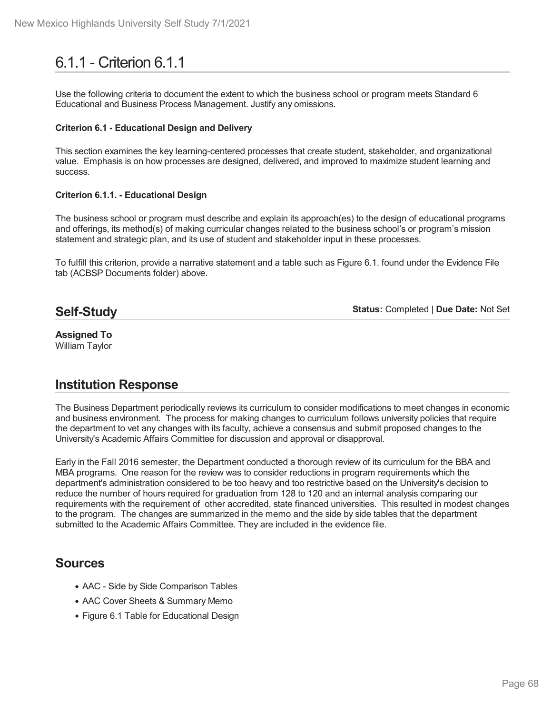# 6.1.1 - Criterion 6.1.1

Use the following criteria to document the extent to which the business school or program meets Standard 6 Educational and Business Process Management. Justify any omissions.

#### **Criterion 6.1 - Educational Design and Delivery**

This section examines the key learning-centered processes that create student, stakeholder, and organizational value. Emphasis is on how processes are designed, delivered, and improved to maximize student learning and success.

#### **Criterion 6.1.1. - Educational Design**

The business school or program must describe and explain its approach(es) to the design of educational programs and offerings, its method(s) of making curricular changes related to the business school's or program's mission statement and strategic plan, and its use of student and stakeholder input in these processes.

To fulfill this criterion, provide a narrative statement and a table such as Figure 6.1. found under the Evidence File tab (ACBSP Documents folder) above.

### **Self-Study**

**Status:** Completed | **Due Date:** Not Set

#### **Assigned To** William Taylor

## **Institution Response**

The Business Department periodically reviews its curriculum to consider modifications to meet changes in economic and business environment. The process for making changes to curriculum follows university policies that require the department to vet any changes with its faculty, achieve a consensus and submit proposed changes to the University's Academic Affairs Committee for discussion and approval or disapproval.

Early in the Fall 2016 semester, the Department conducted a thorough review of its curriculum for the BBA and MBA programs. One reason for the review was to consider reductions in program requirements which the department's administration considered to be too heavy and too restrictive based on the University's decision to reduce the number of hours required for graduation from 128 to 120 and an internal analysis comparing our requirements with the requirement of other accredited, state financed universities. This resulted in modest changes to the program. The changes are summarized in the memo and the side by side tables that the department submitted to the Academic Affairs Committee. They are included in the evidence file.

- AAC Side by Side Comparison Tables
- AAC Cover Sheets & Summary Memo
- Figure 6.1 Table for Educational Design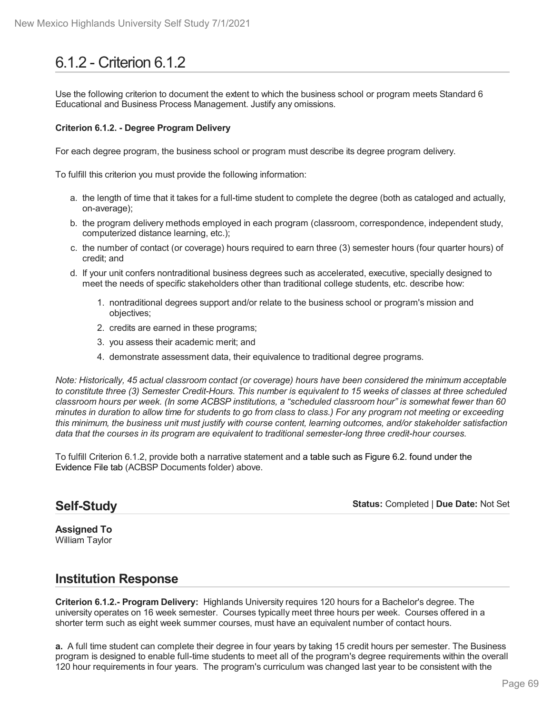# 6.1.2 - Criterion 6.1.2

Use the following criterion to document the extent to which the business school or program meets Standard 6 Educational and Business Process Management. Justify any omissions.

#### **Criterion 6.1.2. - Degree Program Delivery**

For each degree program, the business school or program must describe its degree program delivery.

To fulfill this criterion you must provide the following information:

- a. the length of time that it takes for a full-time student to complete the degree (both as cataloged and actually, on-average);
- b. the program delivery methods employed in each program (classroom, correspondence, independent study, computerized distance learning, etc.);
- c. the number of contact (or coverage) hours required to earn three (3) semester hours (four quarter hours) of credit; and
- d. If your unit confers nontraditional business degrees such as accelerated, executive, specially designed to meet the needs of specific stakeholders other than traditional college students, etc. describe how:
	- 1. nontraditional degrees support and/or relate to the business school or program's mission and objectives;
	- 2. credits are earned in these programs;
	- 3. you assess their academic merit; and
	- 4. demonstrate assessment data, their equivalence to traditional degree programs.

*Note: Historically, 45 actual classroom contact (or coverage) hours have been considered the minimum acceptable* to constitute three (3) Semester Credit-Hours. This number is equivalent to 15 weeks of classes at three scheduled classroom hours per week. (In some ACBSP institutions, a "scheduled classroom hour" is somewhat fewer than 60 minutes in duration to allow time for students to go from class to class.) For any program not meeting or exceeding *this minimum, the business unit must justify with course content, learning outcomes, and/or stakeholder satisfaction data that the courses in its program are equivalent to traditional semester-long three credit-hour courses.*

To fulfill Criterion 6.1.2, provide both a narrative statement and a table such as Figure 6.2. found under the Evidence File tab (ACBSP Documents folder) above.

#### **Self-Study**

**Status:** Completed | **Due Date:** Not Set

**Assigned To** William Taylor

### **Institution Response**

**Criterion 6.1.2.- Program Delivery:** Highlands University requires 120 hours for a Bachelor's degree. The university operates on 16 week semester. Courses typically meet three hours per week. Courses offered in a shorter term such as eight week summer courses, must have an equivalent number of contact hours.

**a.** A full time student can complete their degree in four years by taking 15 credit hours per semester. The Business program is designed to enable full-time students to meet all of the program's degree requirements within the overall 120 hour requirements in four years. The program's curriculum was changed last year to be consistent with the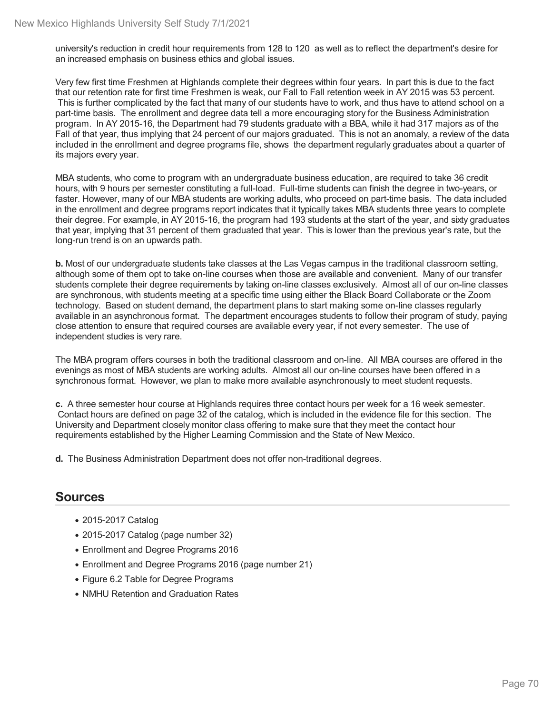university's reduction in credit hour requirements from 128 to 120 as well as to reflect the department's desire for an increased emphasis on business ethics and global issues.

Very few first time Freshmen at Highlands complete their degrees within four years. In part this is due to the fact that our retention rate for first time Freshmen is weak, our Fall to Fall retention week in AY 2015 was 53 percent. This is further complicated by the fact that many of our students have to work, and thus have to attend school on a part-time basis. The enrollment and degree data tell a more encouraging story for the Business Administration program. In AY 2015-16, the Department had 79 students graduate with a BBA, while it had 317 majors as of the Fall of that year, thus implying that 24 percent of our majors graduated. This is not an anomaly, a review of the data included in the enrollment and degree programs file, shows the department regularly graduates about a quarter of its majors every year.

MBA students, who come to program with an undergraduate business education, are required to take 36 credit hours, with 9 hours per semester constituting a full-load. Full-time students can finish the degree in two-years, or faster. However, many of our MBA students are working adults, who proceed on part-time basis. The data included in the enrollment and degree programs report indicates that it typically takes MBA students three years to complete their degree. For example, in AY 2015-16, the program had 193 students at the start of the year, and sixty graduates that year, implying that 31 percent of them graduated that year. This is lower than the previous year's rate, but the long-run trend is on an upwards path.

**b.** Most of our undergraduate students take classes at the Las Vegas campus in the traditional classroom setting, although some of them opt to take on-line courses when those are available and convenient. Many of our transfer students complete their degree requirements by taking on-line classes exclusively. Almost all of our on-line classes are synchronous, with students meeting at a specific time using either the Black Board Collaborate or the Zoom technology. Based on student demand, the department plans to start making some on-line classes regularly available in an asynchronous format. The department encourages students to follow their program of study, paying close attention to ensure that required courses are available every year, if not every semester. The use of independent studies is very rare.

The MBA program offers courses in both the traditional classroom and on-line. All MBA courses are offered in the evenings as most of MBA students are working adults. Almost all our on-line courses have been offered in a synchronous format. However, we plan to make more available asynchronously to meet student requests.

**c.** A three semester hour course at Highlands requires three contact hours per week for a 16 week semester. Contact hours are defined on page 32 of the catalog, which is included in the evidence file for this section. The University and Department closely monitor class offering to make sure that they meet the contact hour requirements established by the Higher Learning Commission and the State of New Mexico.

**d.** The Business Administration Department does not offer non-traditional degrees.

- 2015-2017 Catalog
- 2015-2017 Catalog (page number 32)
- Enrollment and Degree Programs 2016
- Enrollment and Degree Programs 2016 (page number 21)
- Figure 6.2 Table for Degree Programs
- NMHU Retention and Graduation Rates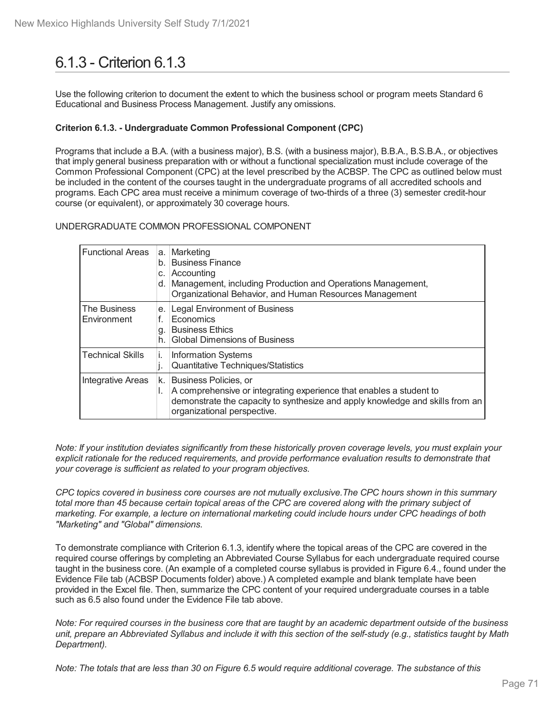# 6.1.3 - Criterion 6.1.3

Use the following criterion to document the extent to which the business school or program meets Standard 6 Educational and Business Process Management. Justify any omissions.

#### **Criterion 6.1.3. - Undergraduate Common Professional Component (CPC)**

Programs that include a B.A. (with a business major), B.S. (with a business major), B.B.A., B.S.B.A., or objectives that imply general business preparation with or without a functional specialization must include coverage of the Common Professional Component (CPC) at the level prescribed by the ACBSP. The CPC as outlined below must be included in the content of the courses taught in the undergraduate programs of all accredited schools and programs. Each CPC area must receive a minimum coverage of two-thirds of a three (3) semester credit-hour course (or equivalent), or approximately 30 coverage hours.

UNDERGRADUATE COMMON PROFESSIONAL COMPONENT

| <b>Functional Areas</b>     | a.<br>b.<br>C.<br>d. | Marketing<br><b>Business Finance</b><br>Accounting<br>Management, including Production and Operations Management,<br>Organizational Behavior, and Human Resources Management                                 |
|-----------------------------|----------------------|--------------------------------------------------------------------------------------------------------------------------------------------------------------------------------------------------------------|
| The Business<br>Environment | е.<br>f.<br>g<br>h.  | <b>Legal Environment of Business</b><br>Economics<br><b>Business Ethics</b><br><b>Global Dimensions of Business</b>                                                                                          |
| <b>Technical Skills</b>     | İ.<br>ı.             | <b>Information Systems</b><br><b>Quantitative Techniques/Statistics</b>                                                                                                                                      |
| Integrative Areas           | k.<br>I.             | Business Policies, or<br>A comprehensive or integrating experience that enables a student to<br>demonstrate the capacity to synthesize and apply knowledge and skills from an<br>organizational perspective. |

Note: If your institution deviates significantly from these historically proven coverage levels, you must explain your *explicit rationale for the reduced requirements, and provide performance evaluation results to demonstrate that your coverage is sufficient as related to your program objectives.*

CPC topics covered in business core courses are not mutually exclusive. The CPC hours shown in this summary total more than 45 because certain topical areas of the CPC are covered along with the primary subject of *marketing. For example, a lecture on international marketing could include hours under CPC headings of both "Marketing" and "Global" dimensions.*

To demonstrate compliance with Criterion 6.1.3, identify where the topical areas of the CPC are covered in the required course offerings by completing an Abbreviated Course Syllabus for each undergraduate required course taught in the business core. (An example of a completed course syllabus is provided in Figure 6.4., found under the Evidence File tab (ACBSP Documents folder) above.) A completed example and blank template have been provided in the Excel file. Then, summarize the CPC content of your required undergraduate courses in a table such as 6.5 also found under the Evidence File tab above.

Note: For required courses in the business core that are taught by an academic department outside of the business unit, prepare an Abbreviated Syllabus and include it with this section of the self-study (e.g., statistics taught by Math *Department).*

Note: The totals that are less than 30 on Figure 6.5 would require additional coverage. The substance of this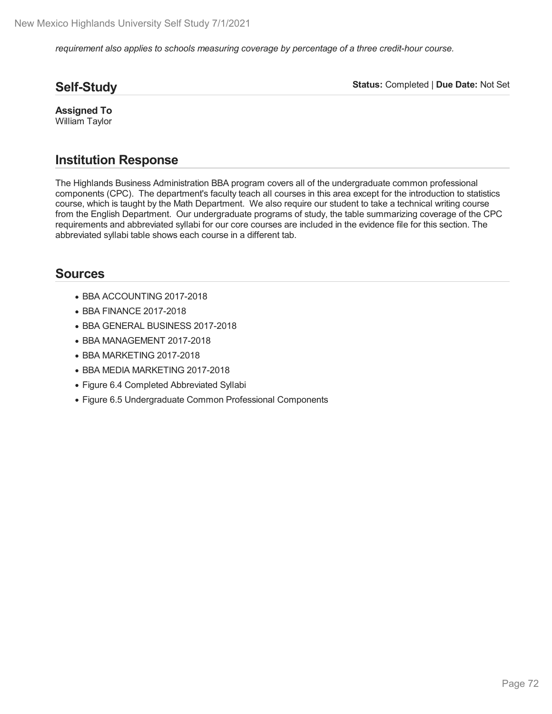*requirement also applies to schools measuring coverage by percentage of a three credit-hour course.*

### **Self-Study**

**Status:** Completed | **Due Date:** Not Set

**Assigned To** William Taylor

## **Institution Response**

The Highlands Business Administration BBA program covers all of the undergraduate common professional components (CPC). The department's faculty teach all courses in this area except for the introduction to statistics course, which is taught by the Math Department. We also require our student to take a technical writing course from the English Department. Our undergraduate programs of study, the table summarizing coverage of the CPC requirements and abbreviated syllabi for our core courses are included in the evidence file for this section. The abbreviated syllabi table shows each course in a different tab.

- BBA ACCOUNTING 2017-2018
- BBA FINANCE 2017-2018
- BBA GENERAL BUSINESS 2017-2018
- BBA MANAGEMENT 2017-2018
- BBA MARKETING 2017-2018
- BBA MEDIA MARKETING 2017-2018
- Figure 6.4 Completed Abbreviated Syllabi
- Figure 6.5 Undergraduate Common Professional Components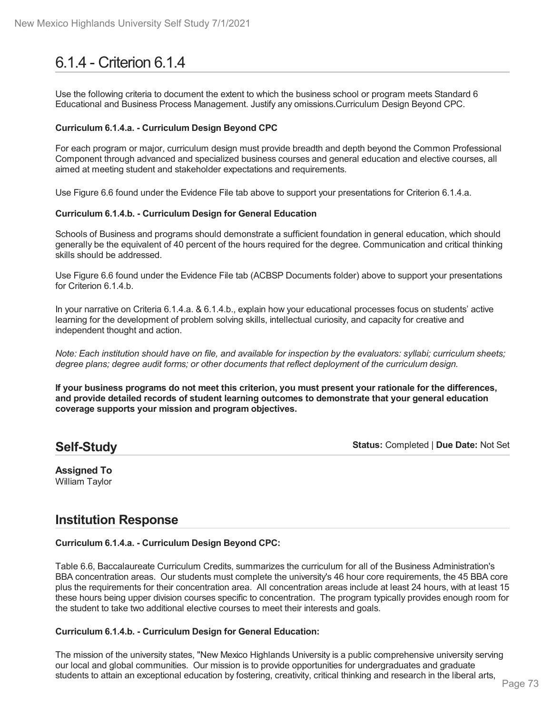# 6.1.4 - Criterion 6.1.4

Use the following criteria to document the extent to which the business school or program meets Standard 6 Educational and Business Process Management. Justify any omissions.Curriculum Design Beyond CPC.

### **Curriculum 6.1.4.a. - Curriculum Design Beyond CPC**

For each program or major, curriculum design must provide breadth and depth beyond the Common Professional Component through advanced and specialized business courses and general education and elective courses, all aimed at meeting student and stakeholder expectations and requirements.

Use Figure 6.6 found under the Evidence File tab above to support your presentations for Criterion 6.1.4.a.

### **Curriculum 6.1.4.b. - Curriculum Design for General Education**

Schools of Business and programs should demonstrate a sufficient foundation in general education, which should generally be the equivalent of 40 percent of the hours required for the degree. Communication and critical thinking skills should be addressed.

Use Figure 6.6 found under the Evidence File tab (ACBSP Documents folder) above to support your presentations for Criterion 6.1.4.b.

In your narrative on Criteria 6.1.4.a. & 6.1.4.b., explain how your educational processes focus on students' active learning for the development of problem solving skills, intellectual curiosity, and capacity for creative and independent thought and action.

Note: Each institution should have on file, and available for inspection by the evaluators: syllabi; curriculum sheets; *degree plans; degree audit forms; or other documents that reflect deployment of the curriculum design.*

If your business programs do not meet this criterion, you must present your rationale for the differences, **and provide detailed records of student learning outcomes to demonstrate that your general education coverage supports your mission and program objectives.**

### **Self-Study**

**Status:** Completed | **Due Date:** Not Set

**Assigned To** William Taylor

## **Institution Response**

### **Curriculum 6.1.4.a. - Curriculum Design Beyond CPC:**

Table 6.6, Baccalaureate Curriculum Credits, summarizes the curriculum for all of the Business Administration's BBA concentration areas. Our students must complete the university's 46 hour core requirements, the 45 BBA core plus the requirements for their concentration area. All concentration areas include at least 24 hours, with at least 15 these hours being upper division courses specific to concentration. The program typically provides enough room for the student to take two additional elective courses to meet their interests and goals.

### **Curriculum 6.1.4.b. - Curriculum Design for General Education:**

The mission of the university states, "New Mexico Highlands University is a public comprehensive university serving our local and global communities. Our mission is to provide opportunities for undergraduates and graduate students to attain an exceptional education by fostering, creativity, critical thinking and research in the liberal arts,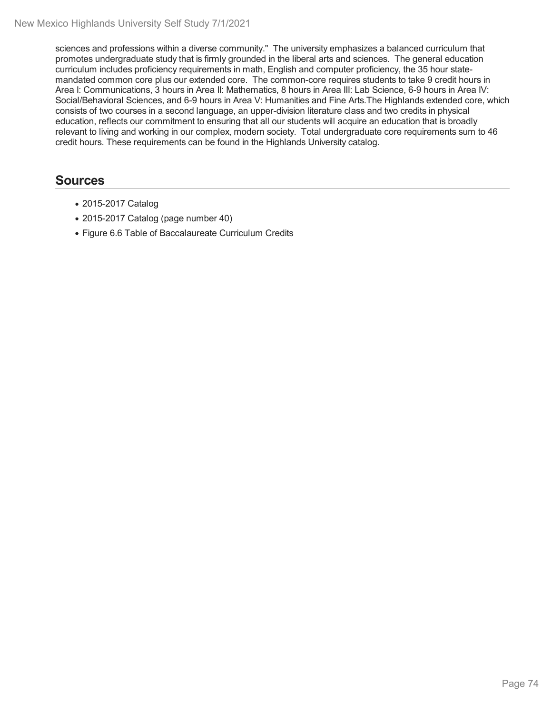sciences and professions within a diverse community." The university emphasizes a balanced curriculum that promotes undergraduate study that is firmly grounded in the liberal arts and sciences. The general education curriculum includes proficiency requirements in math, English and computer proficiency, the 35 hour state mandated common core plus our extended core. The common-core requires students to take 9 credit hours in Area I: Communications, 3 hours in Area II: Mathematics, 8 hours in Area III: Lab Science, 6-9 hours in Area IV: Social/Behavioral Sciences, and 6-9 hours in Area V: Humanities and Fine Arts.The Highlands extended core, which consists of two courses in a second language, an upper-division literature class and two credits in physical education, reflects our commitment to ensuring that all our students will acquire an education that is broadly relevant to living and working in our complex, modern society. Total undergraduate core requirements sum to 46 credit hours. These requirements can be found in the Highlands University catalog.

- 2015-2017 Catalog
- 2015-2017 Catalog (page number 40)
- Figure 6.6 Table of Baccalaureate Curriculum Credits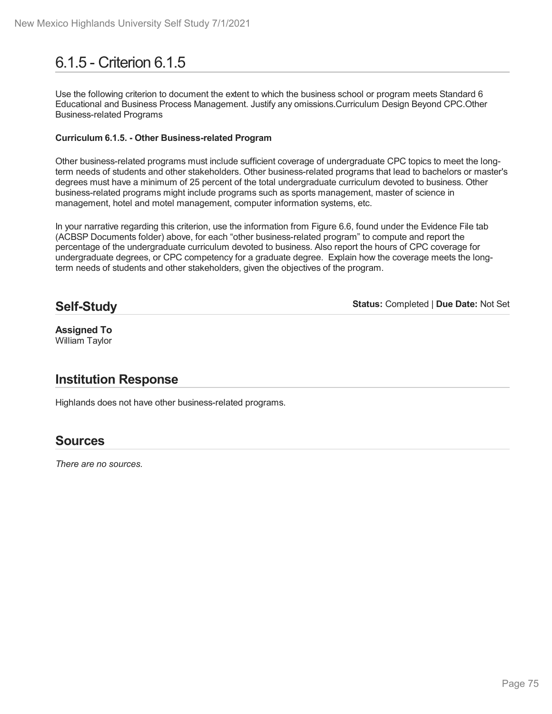# 6.1.5 - Criterion 6.1.5

Use the following criterion to document the extent to which the business school or program meets Standard 6 Educational and Business Process Management. Justify any omissions.Curriculum Design Beyond CPC.Other Business-related Programs

### **Curriculum 6.1.5. - Other Business-related Program**

Other business-related programs must include sufficient coverage of undergraduate CPC topics to meet the longterm needs of students and other stakeholders. Other business-related programs that lead to bachelors or master's degrees must have a minimum of 25 percent of the total undergraduate curriculum devoted to business. Other business-related programs might include programs such as sports management, master of science in management, hotel and motel management, computer information systems, etc.

In your narrative regarding this criterion, use the information from Figure 6.6, found under the Evidence File tab (ACBSP Documents folder) above, for each "other business-related program" to compute and report the percentage of the undergraduate curriculum devoted to business. Also report the hours of CPC coverage for undergraduate degrees, or CPC competency for a graduate degree. Explain how the coverage meets the longterm needs of students and other stakeholders, given the objectives of the program.

## **Self-Study**

**Status:** Completed | **Due Date:** Not Set

**Assigned To** William Taylor

## **Institution Response**

Highlands does not have other business-related programs.

## **Sources**

*There are no sources.*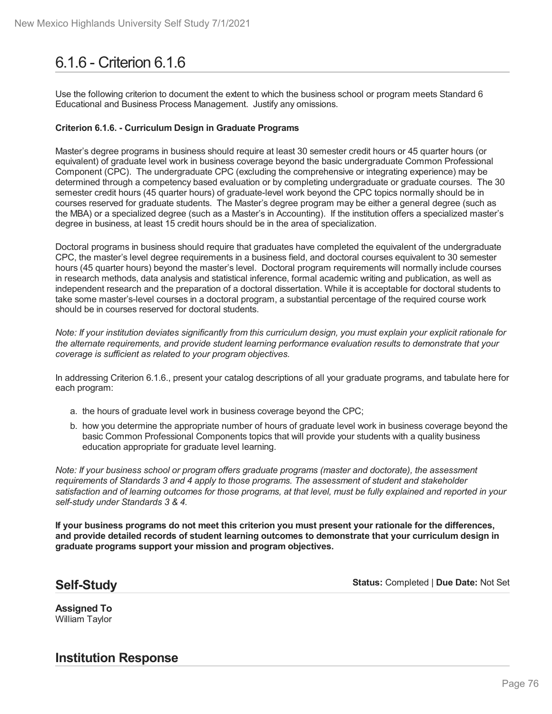# 6.1.6 - Criterion 6.1.6

Use the following criterion to document the extent to which the business school or program meets Standard 6 Educational and Business Process Management. Justify any omissions.

### **Criterion 6.1.6. - Curriculum Design in Graduate Programs**

Master's degree programs in business should require at least 30 semester credit hours or 45 quarter hours (or equivalent) of graduate level work in business coverage beyond the basic undergraduate Common Professional Component (CPC). The undergraduate CPC (excluding the comprehensive or integrating experience) may be determined through a competency based evaluation or by completing undergraduate or graduate courses. The 30 semester credit hours (45 quarter hours) of graduate-level work beyond the CPC topics normally should be in courses reserved for graduate students. The Master's degree program may be either a general degree (such as the MBA) or a specialized degree (such as a Master's in Accounting). If the institution offers a specialized master's degree in business, at least 15 credit hours should be in the area of specialization.

Doctoral programs in business should require that graduates have completed the equivalent of the undergraduate CPC, the master's level degree requirements in a business field, and doctoral courses equivalent to 30 semester hours (45 quarter hours) beyond the master's level. Doctoral program requirements will normally include courses in research methods, data analysis and statistical inference, formal academic writing and publication, as well as independent research and the preparation of a doctoral dissertation. While it is acceptable for doctoral students to take some master's-level courses in a doctoral program, a substantial percentage of the required course work should be in courses reserved for doctoral students.

Note: If your institution deviates significantly from this curriculum design, you must explain your explicit rationale for *the alternate requirements, and provide student learning performance evaluation results to demonstrate that your coverage is sufficient as related to your program objectives.*

In addressing Criterion 6.1.6., present your catalog descriptions of all your graduate programs, and tabulate here for each program:

- a. the hours of graduate level work in business coverage beyond the CPC;
- b. how you determine the appropriate number of hours of graduate level work in business coverage beyond the basic Common Professional Components topics that will provide your students with a quality business education appropriate for graduate level learning.

*Note: If your business school or program offers graduate programs (master and doctorate), the assessment requirements of Standards 3 and 4 apply to those programs. The assessment of student and stakeholder* satisfaction and of learning outcomes for those programs, at that level, must be fully explained and reported in your *self-study under Standards 3 & 4.*

**If your business programs do not meet this criterion you must present your rationale for the differences, and provide detailed records of student learning outcomes to demonstrate that your curriculum design in graduate programs support your mission and program objectives.**

### **Self-Study**

**Status:** Completed | **Due Date:** Not Set

**Assigned To** William Taylor

**Institution Response**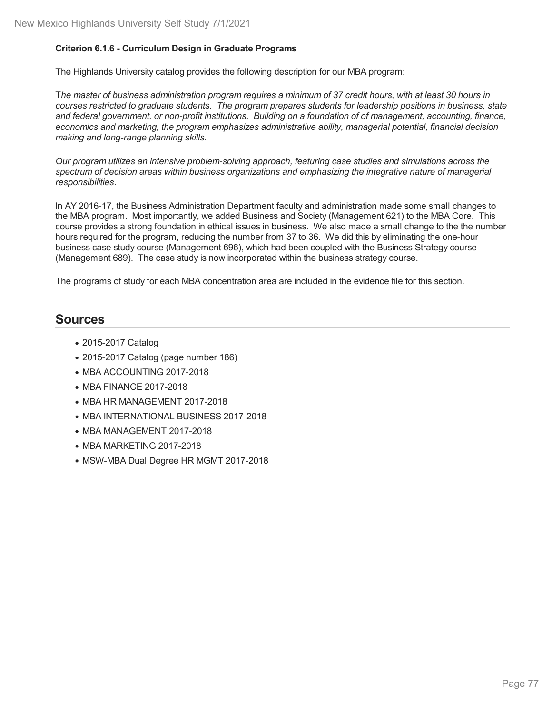### **Criterion 6.1.6 - Curriculum Design in Graduate Programs**

The Highlands University catalog provides the following description for our MBA program:

The master of business administration program requires a minimum of 37 credit hours, with at least 30 hours in *courses restricted to graduate students. The program prepares students for leadership positions in business, state and federal government. or non-profit institutions. Building on a foundation of of management, accounting, finance, economics and marketing, the program emphasizes administrative ability, managerial potential, financial decision making and long-range planning skills.*

*Our program utilizes an intensive problem-solving approach, featuring case studies and simulations across the spectrum of decision areas within business organizations and emphasizing the integrative nature of managerial responsibilities*.

In AY 2016-17, the Business Administration Department faculty and administration made some small changes to the MBA program. Most importantly, we added Business and Society (Management 621) to the MBA Core. This course provides a strong foundation in ethical issues in business. We also made a small change to the the number hours required for the program, reducing the number from 37 to 36. We did this by eliminating the one-hour business case study course (Management 696), which had been coupled with the Business Strategy course (Management 689). The case study is now incorporated within the business strategy course.

The programs of study for each MBA concentration area are included in the evidence file for this section.

- 2015-2017 Catalog
- 2015-2017 Catalog (page number 186)
- MBA ACCOUNTING 2017-2018
- MBA FINANCE 2017-2018
- MBA HR MANAGEMENT 2017-2018
- MBA INTERNATIONAL BUSINESS 2017-2018
- MBA MANAGEMENT 2017-2018
- MBA MARKETING 2017-2018
- MSW-MBA Dual Degree HR MGMT 2017-2018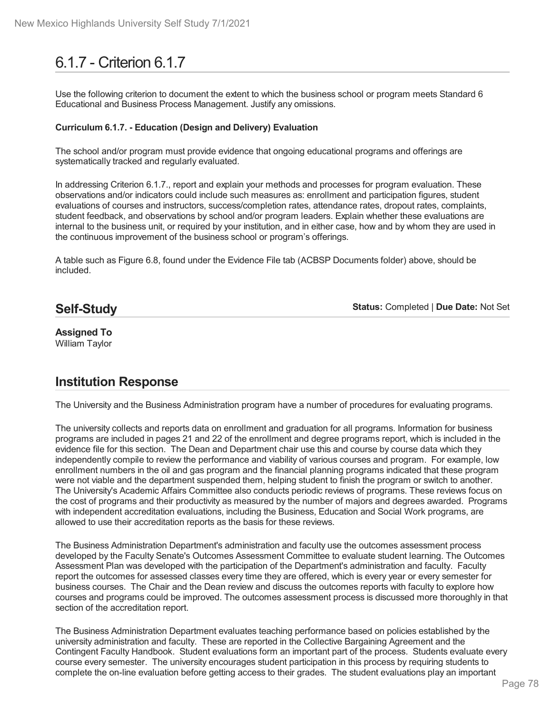# 6.1.7 - Criterion 6.1.7

Use the following criterion to document the extent to which the business school or program meets Standard 6 Educational and Business Process Management. Justify any omissions.

### **Curriculum 6.1.7. - Education (Design and Delivery) Evaluation**

The school and/or program must provide evidence that ongoing educational programs and offerings are systematically tracked and regularly evaluated.

In addressing Criterion 6.1.7., report and explain your methods and processes for program evaluation. These observations and/or indicators could include such measures as: enrollment and participation figures, student evaluations of courses and instructors, success/completion rates, attendance rates, dropout rates, complaints, student feedback, and observations by school and/or program leaders. Explain whether these evaluations are internal to the business unit, or required by your institution, and in either case, how and by whom they are used in the continuous improvement of the business school or program's offerings.

A table such as Figure 6.8, found under the Evidence File tab (ACBSP Documents folder) above, should be included.

## **Self-Study**

**Status:** Completed | **Due Date:** Not Set

### **Assigned To** William Taylor

## **Institution Response**

The University and the Business Administration program have a number of procedures for evaluating programs.

The university collects and reports data on enrollment and graduation for all programs. Information for business programs are included in pages 21 and 22 of the enrollment and degree programs report, which is included in the evidence file for this section. The Dean and Department chair use this and course by course data which they independently compile to review the performance and viability of various courses and program. For example, low enrollment numbers in the oil and gas program and the financial planning programs indicated that these program were not viable and the department suspended them, helping student to finish the program or switch to another. The University's Academic Affairs Committee also conducts periodic reviews of programs. These reviews focus on the cost of programs and their productivity as measured by the number of majors and degrees awarded. Programs with independent accreditation evaluations, including the Business, Education and Social Work programs, are allowed to use their accreditation reports as the basis for these reviews.

The Business Administration Department's administration and faculty use the outcomes assessment process developed by the Faculty Senate's Outcomes Assessment Committee to evaluate student learning. The Outcomes Assessment Plan was developed with the participation of the Department's administration and faculty. Faculty report the outcomes for assessed classes every time they are offered, which is every year or every semester for business courses. The Chair and the Dean review and discuss the outcomes reports with faculty to explore how courses and programs could be improved. The outcomes assessment process is discussed more thoroughly in that section of the accreditation report.

The Business Administration Department evaluates teaching performance based on policies established by the university administration and faculty. These are reported in the Collective Bargaining Agreement and the Contingent Faculty Handbook. Student evaluations form an important part of the process. Students evaluate every course every semester. The university encourages student participation in this process by requiring students to complete the on-line evaluation before getting access to their grades. The student evaluations play an important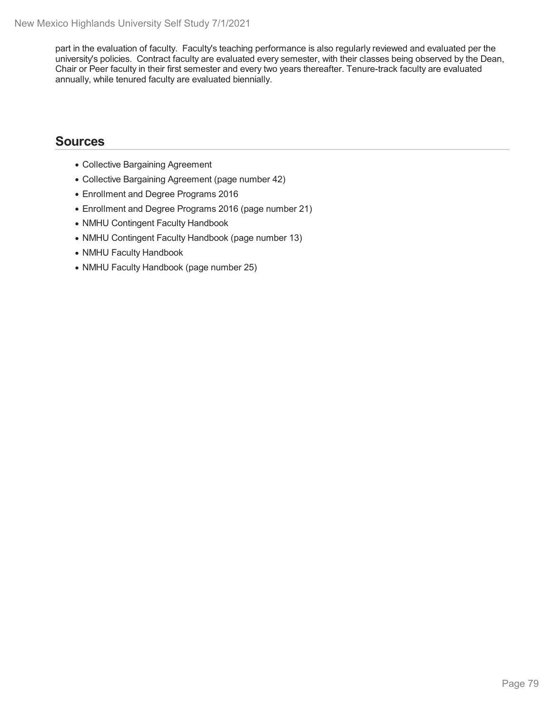part in the evaluation of faculty. Faculty's teaching performance is also regularly reviewed and evaluated per the university's policies. Contract faculty are evaluated every semester, with their classes being observed by the Dean, Chair or Peer faculty in their first semester and every two years thereafter. Tenure-track faculty are evaluated annually, while tenured faculty are evaluated biennially.

- Collective Bargaining Agreement
- Collective Bargaining Agreement (page number 42)
- Enrollment and Degree Programs 2016
- Enrollment and Degree Programs 2016 (page number 21)
- NMHU Contingent Faculty Handbook
- NMHU Contingent Faculty Handbook (page number 13)
- NMHU Faculty Handbook
- NMHU Faculty Handbook (page number 25)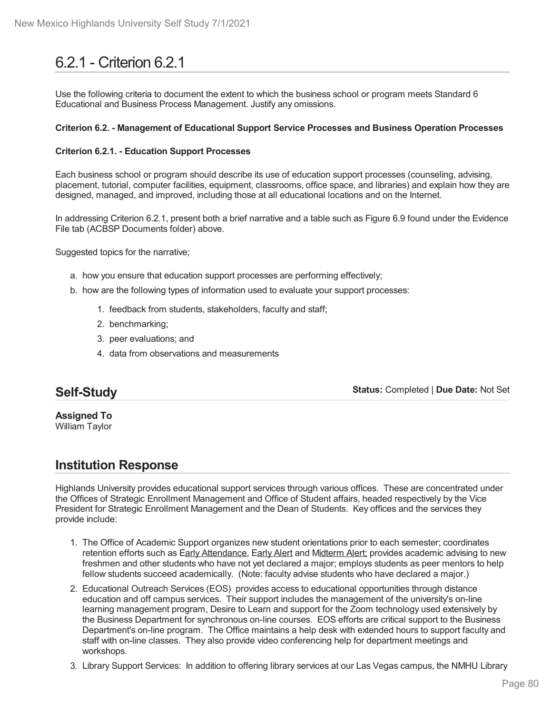# 6.2.1 - Criterion 6.2.1

Use the following criteria to document the extent to which the business school or program meets Standard 6 Educational and Business Process Management. Justify any omissions.

### **Criterion 6.2. - Management of Educational Support Service Processes and Business Operation Processes**

### **Criterion 6.2.1. - Education Support Processes**

Each business school or program should describe its use of education support processes (counseling, advising, placement, tutorial, computer facilities, equipment, classrooms, office space, and libraries) and explain how they are designed, managed, and improved, including those at all educational locations and on the Internet.

In addressing Criterion 6.2.1, present both a brief narrative and a table such as Figure 6.9 found under the Evidence File tab (ACBSP Documents folder) above.

Suggested topics for the narrative;

- a. how you ensure that education support processes are performing effectively;
- b. how are the following types of information used to evaluate your support processes:
	- 1. feedback from students, stakeholders, faculty and staff;
	- 2. benchmarking;
	- 3. peer evaluations; and
	- 4. data from observations and measurements

## **Self-Study**

**Status:** Completed | **Due Date:** Not Set

**Assigned To** William Taylor

## **Institution Response**

Highlands University provides educational support services through various offices. These are concentrated under the Offices of Strategic Enrollment Management and Office of Student affairs, headed respectively by the Vice President for Strategic Enrollment Management and the Dean of Students. Key offices and the services they provide include:

- 1. The Office of Academic Support organizes new student orientations prior to each semester; coordinates retention efforts such as Early Attendance, Early Alert and Midterm Alert; provides academic advising to new freshmen and other students who have not yet declared a major; employs students as peer mentors to help fellow students succeed academically. (Note: faculty advise students who have declared a major.)
- 2. Educational Outreach Services (EOS) provides access to educational opportunities through distance education and off campus services. Their support includes the management of the university's on-line learning management program, Desire to Learn and support for the Zoom technology used extensively by the Business Department for synchronous on-line courses. EOS efforts are critical support to the Business Department's on-line program. The Office maintains a help desk with extended hours to support faculty and staff with on-line classes. They also provide video conferencing help for department meetings and workshops.
- 3. Library Support Services: In addition to offering library services at our Las Vegas campus, the NMHU Library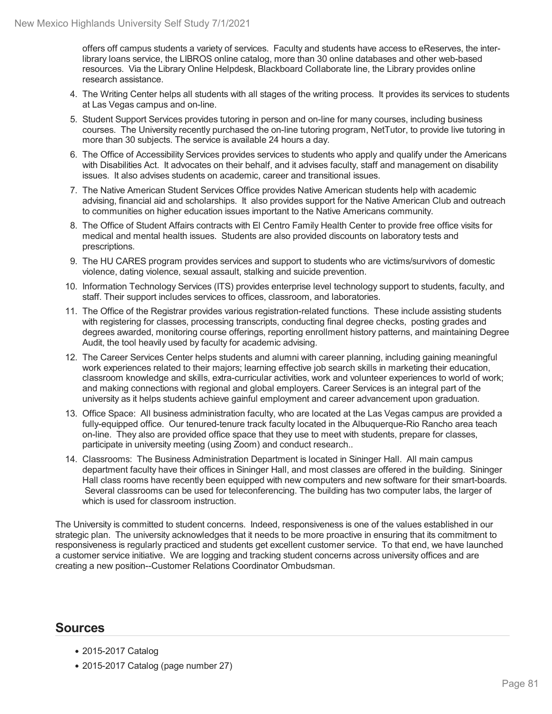offers off campus students a variety of services. Faculty and students have access to eReserves, the interlibrary loans service, the LIBROS online catalog, more than 30 online databases and other web-based resources. Via the Library Online Helpdesk, Blackboard Collaborate line, the Library provides online research assistance.

- 4. The Writing Center helps all students with all stages of the writing process. It provides its services to students at Las Vegas campus and on-line.
- 5. Student Support Services provides tutoring in person and on-line for many courses, including business courses. The University recently purchased the on-line tutoring program, NetTutor, to provide live tutoring in more than 30 subjects. The service is available 24 hours a day.
- 6. The Office of Accessibility Services provides services to students who apply and qualify under the Americans with Disabilities Act. It advocates on their behalf, and it advises faculty, staff and management on disability issues. It also advises students on academic, career and transitional issues.
- 7. The Native American Student Services Office provides Native American students help with academic advising, financial aid and scholarships. It also provides support for the Native American Club and outreach to communities on higher education issues important to the Native Americans community.
- 8. The Office of Student Affairs contracts with El Centro Family Health Center to provide free office visits for medical and mental health issues. Students are also provided discounts on laboratory tests and prescriptions.
- 9. The HU CARES program provides services and support to students who are victims/survivors of domestic violence, dating violence, sexual assault, stalking and suicide prevention.
- 10. Information Technology Services (ITS) provides enterprise level technology support to students, faculty, and staff. Their support includes services to offices, classroom, and laboratories.
- 11. The Office of the Registrar provides various registration-related functions. These include assisting students with registering for classes, processing transcripts, conducting final degree checks, posting grades and degrees awarded, monitoring course offerings, reporting enrollment history patterns, and maintaining Degree Audit, the tool heavily used by faculty for academic advising.
- 12. The Career Services Center helps students and alumni with career planning, including gaining meaningful work experiences related to their majors; learning effective job search skills in marketing their education, classroom knowledge and skills, extra-curricular activities, work and volunteer experiences to world of work; and making connections with regional and global employers. Career Services is an integral part of the university as ithelps students achieve gainful employment and career advancement upon graduation.
- 13. Office Space: All business administration faculty, who are located at the Las Vegas campus are provided a fully-equipped office. Our tenured-tenure track faculty located in the Albuquerque-Rio Rancho area teach on-line. They also are provided office space that they use to meet with students, prepare for classes, participate in university meeting (using Zoom) and conduct research..
- 14. Classrooms: The Business Administration Department is located in Sininger Hall. All main campus department faculty have their offices in Sininger Hall, and most classes are offered in the building. Sininger Hall class rooms have recently been equipped with new computers and new software for their smart-boards. Several classrooms can be used for teleconferencing. The building has two computer labs, the larger of which is used for classroom instruction.

The University is committed to student concerns. Indeed, responsiveness is one of the values established in our strategic plan. The university acknowledges that it needs to be more proactive in ensuring that its commitment to responsiveness is regularly practiced and students get excellent customer service. To that end, we have launched a customer service initiative. We are logging and tracking student concerns across university offices and are creating a new position--Customer Relations Coordinator Ombudsman.

- 2015-2017 Catalog
- 2015-2017 Catalog (page number 27)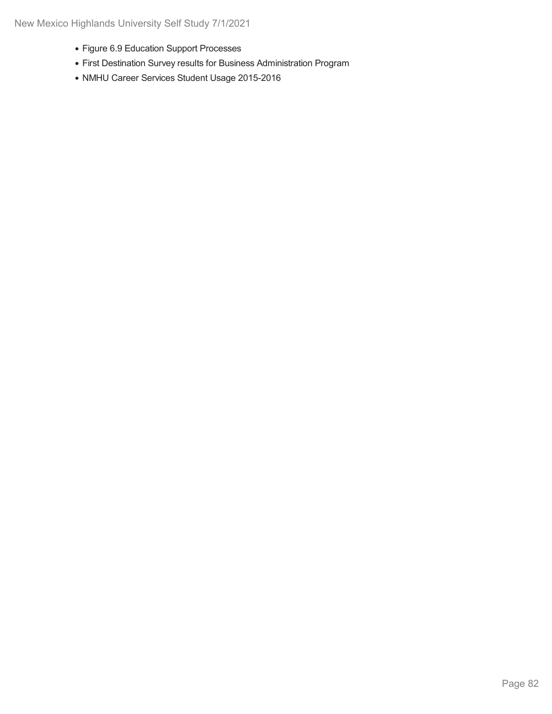- Figure 6.9 Education Support Processes
- First Destination Survey results for Business Administration Program
- NMHU Career Services Student Usage 2015-2016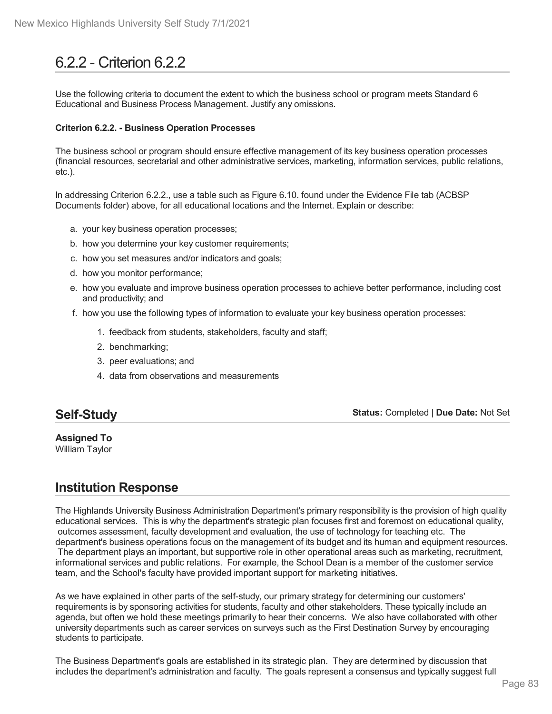# 6.2.2 - Criterion 6.2.2

Use the following criteria to document the extent to which the business school or program meets Standard 6 Educational and Business Process Management. Justify any omissions.

### **Criterion 6.2.2. - Business Operation Processes**

The business school or program should ensure effective management of its key business operation processes (financial resources, secretarial and other administrative services, marketing, information services, public relations, etc.).

In addressing Criterion 6.2.2., use a table such as Figure 6.10. found under the Evidence File tab (ACBSP Documents folder) above, for all educational locations and the Internet. Explain or describe:

- a. your key business operation processes;
- b. how you determine your key customer requirements;
- c. how you set measures and/or indicators and goals;
- d. how you monitor performance;
- e. how you evaluate and improve business operation processes to achieve better performance, including cost and productivity; and
- f. how you use the following types of information to evaluate your key business operation processes:
	- 1. feedback from students, stakeholders, faculty and staff;
	- 2. benchmarking;
	- 3. peer evaluations; and
	- 4. data from observations and measurements

### **Self-Study**

**Status:** Completed | **Due Date:** Not Set

**Assigned To** William Taylor

## **Institution Response**

The Highlands University Business Administration Department's primary responsibility is the provision of high quality educational services. This is why the department's strategic plan focuses first and foremost on educational quality, outcomes assessment, faculty development and evaluation, the use of technology for teaching etc. The department's business operations focus on the management of its budget and its human and equipment resources. The department plays an important, but supportive role in other operational areas such as marketing, recruitment, informational services and public relations. For example, the School Dean is a member of the customer service team, and the School's faculty have provided important support for marketing initiatives.

As we have explained in other parts of the self-study, our primary strategy for determining our customers' requirements is by sponsoring activities for students, faculty and other stakeholders. These typically include an agenda, but often we hold these meetings primarily to hear their concerns. We also have collaborated with other university departments such as career services on surveys such as the First Destination Survey by encouraging students to participate.

The Business Department's goals are established in its strategic plan. They are determined by discussion that includes the department's administration and faculty. The goals represent a consensus and typically suggest full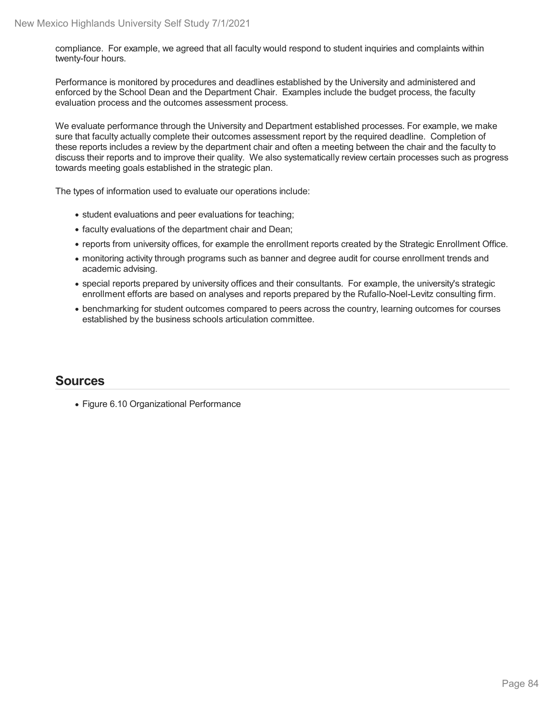compliance. For example, we agreed that all faculty would respond to student inquiries and complaints within twenty-four hours.

Performance is monitored by procedures and deadlines established by the University and administered and enforced by the School Dean and the Department Chair. Examples include the budget process, the faculty evaluation process and the outcomes assessment process.

We evaluate performance through the University and Department established processes. For example, we make sure that faculty actually complete their outcomes assessment report by the required deadline. Completion of these reports includes a review by the department chair and often a meeting between the chair and the faculty to discuss their reports and to improve their quality. We also systematically review certain processes such as progress towards meeting goals established in the strategic plan.

The types of information used to evaluate our operations include:

- student evaluations and peer evaluations for teaching;
- faculty evaluations of the department chair and Dean;
- reports from university offices, for example the enrollment reports created by the Strategic Enrollment Office.
- monitoring activity through programs such as banner and degree audit for course enrollment trends and academic advising.
- special reports prepared by university offices and their consultants. For example, the university's strategic enrollment efforts are based on analyses and reports prepared by the Rufallo-Noel-Levitz consulting firm.
- benchmarking for student outcomes compared to peers across the country, learning outcomes for courses established by the business schools articulation committee.

## **Sources**

Figure 6.10 Organizational Performance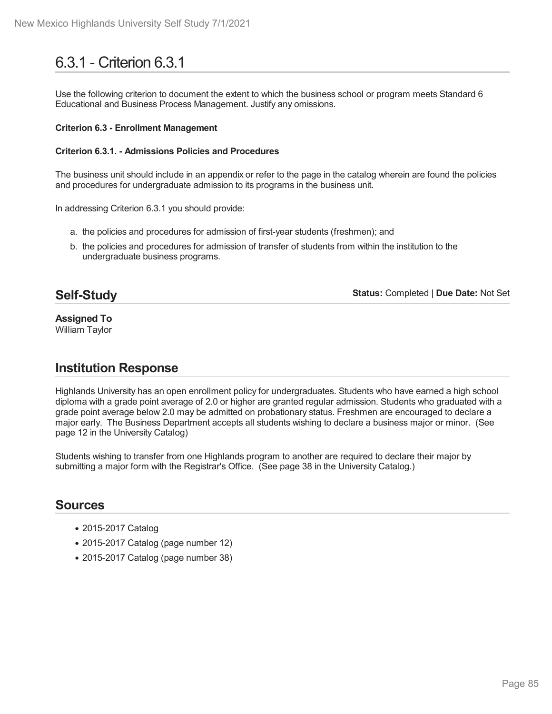# 6.3.1 - Criterion 6.3.1

Use the following criterion to document the extent to which the business school or program meets Standard 6 Educational and Business Process Management. Justify any omissions.

### **Criterion 6.3 - Enrollment Management**

### **Criterion 6.3.1. - Admissions Policies and Procedures**

The business unit should include in an appendix or refer to the page in the catalog wherein are found the policies and procedures for undergraduate admission to its programs in the business unit.

In addressing Criterion 6.3.1 you should provide:

- a. the policies and procedures for admission of first-year students (freshmen); and
- b. the policies and procedures for admission of transfer of students from within the institution to the undergraduate business programs.

### **Self-Study**

**Status:** Completed | **Due Date:** Not Set

**Assigned To** William Taylor

## **Institution Response**

Highlands University has an open enrollment policy for undergraduates. Students who have earned a high school diploma with a grade point average of 2.0 or higher are granted regular admission. Students who graduated with a grade point average below 2.0 may be admitted on probationary status. Freshmen are encouraged to declare a major early. The Business Department accepts all students wishing to declare a business major or minor. (See page 12 in the University Catalog)

Students wishing to transfer from one Highlands program to another are required to declare their major by submitting a major form with the Registrar's Office. (See page 38 in the University Catalog.)

- 2015-2017 Catalog
- 2015-2017 Catalog (page number 12)
- 2015-2017 Catalog (page number 38)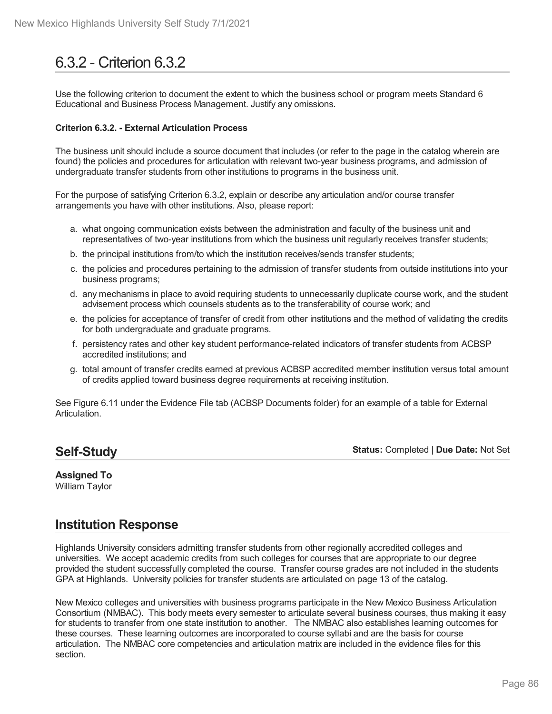# 6.3.2 - Criterion 6.3.2

Use the following criterion to document the extent to which the business school or program meets Standard 6 Educational and Business Process Management. Justify any omissions.

### **Criterion 6.3.2. - External Articulation Process**

The business unit should include a source document that includes (or refer to the page in the catalog wherein are found) the policies and procedures for articulation with relevant two-year business programs, and admission of undergraduate transfer students from other institutions to programs in the business unit.

For the purpose of satisfying Criterion 6.3.2, explain or describe any articulation and/or course transfer arrangements you have with other institutions. Also, please report:

- a. what ongoing communication exists between the administration and faculty of the business unit and representatives of two-year institutions from which the business unit regularly receives transfer students;
- b. the principal institutions from/to which the institution receives/sends transfer students;
- c. the policies and procedures pertaining to the admission of transfer students from outside institutions into your business programs;
- d. any mechanisms in place to avoid requiring students to unnecessarily duplicate course work, and the student advisement process which counsels students as to the transferability of course work; and
- e. the policies for acceptance of transfer of credit from other institutions and the method of validating the credits for both undergraduate and graduate programs.
- f. persistency rates and other key student performance-related indicators of transfer students from ACBSP accredited institutions; and
- g. total amount of transfer credits earned at previous ACBSP accredited member institution versus total amount of credits applied toward business degree requirements at receiving institution.

See Figure 6.11 under the Evidence File tab (ACBSP Documents folder) for an example of a table for External Articulation.

## **Self-Study**

**Status:** Completed | **Due Date:** Not Set

#### **Assigned To** William Taylor

## **Institution Response**

Highlands University considers admitting transfer students from other regionally accredited colleges and universities. We accept academic credits from such colleges for courses that are appropriate to our degree provided the student successfully completed the course. Transfer course grades are not included in the students GPA at Highlands. University policies for transfer students are articulated on page 13 of the catalog.

New Mexico colleges and universities with business programs participate in the New Mexico Business Articulation Consortium (NMBAC). This body meets every semester to articulate several business courses, thus making it easy for students to transfer from one state institution to another. The NMBAC also establishes learning outcomes for these courses. These learning outcomes are incorporated to course syllabi and are the basis for course articulation. The NMBAC core competencies and articulation matrix are included in the evidence files for this section.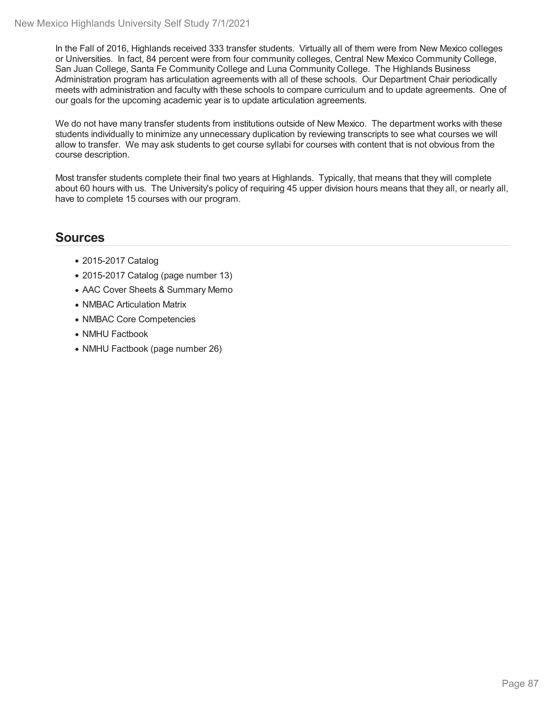In the Fall of 2016, Highlands received 333 transfer students. Virtually all of them were from New Mexico colleges or Universities. In fact, 84 percent were from four community colleges, Central New Mexico Community College, San Juan College, Santa Fe Community College and Luna Community College. The Highlands Business Administration program has articulation agreements with all of these schools. Our Department Chair periodically meets with administration and faculty with these schools to compare curriculum and to update agreements. One of our goals for the upcoming academic year is to update articulation agreements.

We do not have many transfer students from institutions outside of New Mexico. The department works with these students individually to minimize any unnecessary duplication by reviewing transcripts to see what courses we will allow to transfer. We may ask students to get course syllabi for courses with content that is not obvious from the course description.

Most transfer students complete their final two years at Highlands. Typically, that means that they will complete about 60 hours with us. The University's policy of requiring 45 upper division hours means that they all, or nearly all, have to complete 15 courses with our program.

- 2015-2017 Catalog
- 2015-2017 Catalog (page number 13)
- AAC Cover Sheets & Summary Memo
- NMBAC Articulation Matrix
- NMBAC Core Competencies
- NMHU Factbook
- NMHU Factbook (page number 26)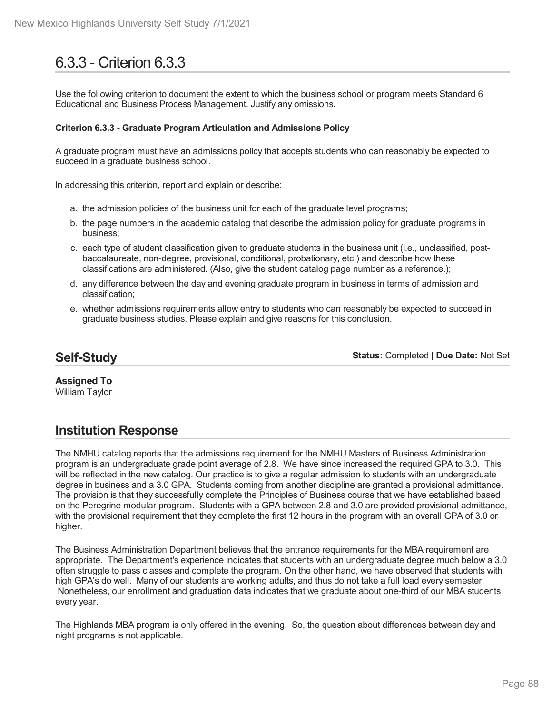# 6.3.3 - Criterion 6.3.3

Use the following criterion to document the extent to which the business school or program meets Standard 6 Educational and Business Process Management. Justify any omissions.

### **Criterion 6.3.3 - Graduate Program Articulation and Admissions Policy**

A graduate program must have an admissions policy that accepts students who can reasonably be expected to succeed in a graduate business school.

In addressing this criterion, report and explain or describe:

- a. the admission policies of the business unit for each of the graduate level programs;
- b. the page numbers in the academic catalog that describe the admission policy for graduate programs in business;
- c. each type of student classification given to graduate students in the business unit (i.e., unclassified, post baccalaureate, non-degree, provisional, conditional, probationary, etc.) and describe how these classifications are administered. (Also, give the student catalog page number as a reference.);
- d. any difference between the day and evening graduate program in business in terms of admission and classification;
- e. whether admissions requirements allow entry to students who can reasonably be expected to succeed in graduate business studies. Please explain and give reasons for this conclusion.

## **Self-Study**

**Status:** Completed | **Due Date:** Not Set

**Assigned To** William Taylor

## **Institution Response**

The NMHU catalog reports that the admissions requirement for the NMHU Masters of Business Administration program is an undergraduate grade point average of 2.8. We have since increased the required GPA to 3.0. This will be reflected in the new catalog. Our practice is to give a regular admission to students with an undergraduate degree in business and a 3.0 GPA. Students coming from another discipline are granted a provisional admittance. The provision is that they successfully complete the Principles of Business course that we have established based on the Peregrine modular program. Students with a GPA between 2.8 and 3.0 are provided provisional admittance, with the provisional requirement that they complete the first 12 hours in the program with an overall GPA of 3.0 or higher.

The Business Administration Department believes that the entrance requirements for the MBA requirement are appropriate. The Department's experience indicates that students with an undergraduate degree much below a 3.0 often struggle to pass classes and complete the program. On the other hand, we have observed that students with high GPA's do well. Many of our students are working adults, and thus do not take a full load every semester. Nonetheless, our enrollment and graduation data indicates that we graduate about one-third of our MBA students every year.

The Highlands MBA program is only offered in the evening. So, the question about differences between day and night programs is not applicable.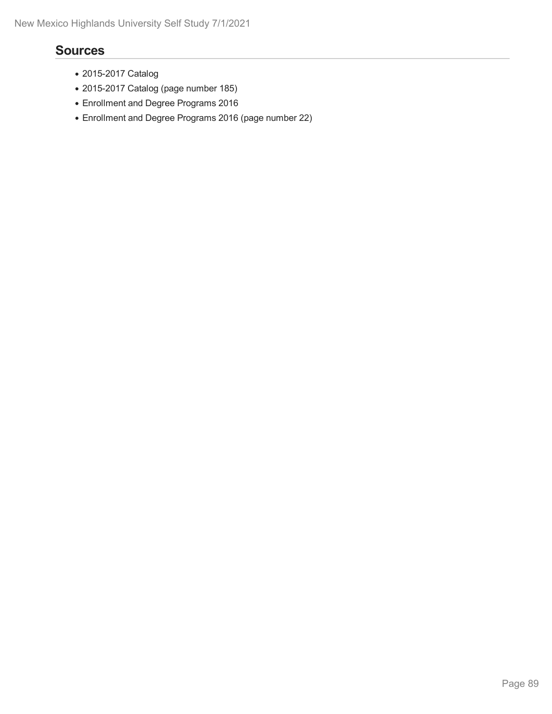- 2015-2017 Catalog
- 2015-2017 Catalog (page number 185)
- Enrollment and Degree Programs 2016
- Enrollment and Degree Programs 2016 (page number 22)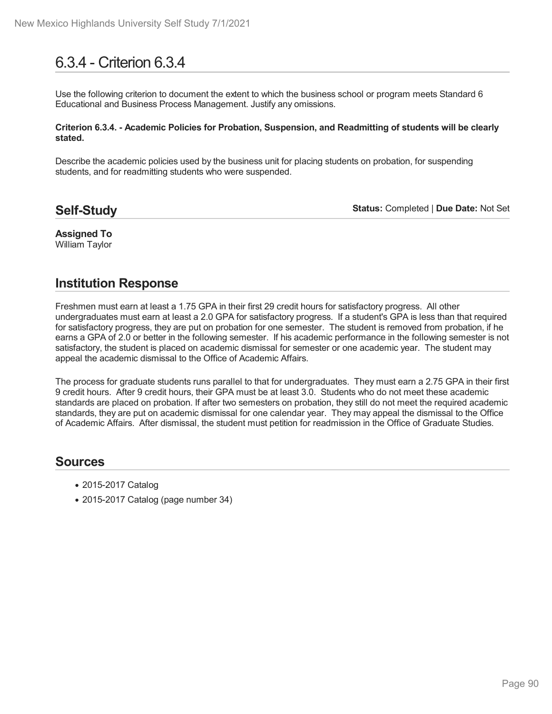# 6.3.4 - Criterion 6.3.4

Use the following criterion to document the extent to which the business school or program meets Standard 6 Educational and Business Process Management. Justify any omissions.

#### **Criterion 6.3.4. - Academic Policies for Probation, Suspension, and Readmitting of students will be clearly stated.**

Describe the academic policies used by the business unit for placing students on probation, for suspending students, and for readmitting students who were suspended.

### **Self-Study**

**Status:** Completed | **Due Date:** Not Set

### **Assigned To** William Taylor

## **Institution Response**

Freshmen must earn at least a 1.75 GPA in their first 29 credit hours for satisfactory progress. All other undergraduates must earn at least a 2.0 GPA for satisfactory progress. If a student's GPA is less than that required for satisfactory progress, they are put on probation for one semester. The student is removed from probation, if he earns a GPA of 2.0 or better in the following semester. If his academic performance in the following semester is not satisfactory, the student is placed on academic dismissal for semester or one academic year. The student may appeal the academic dismissal to the Office of Academic Affairs.

The process for graduate students runs parallel to that for undergraduates. They must earn a 2.75 GPA in their first 9 credit hours. After 9 credit hours, their GPA must be at least 3.0. Students who do not meet these academic standards are placed on probation. If after two semesters on probation, they still do not meet the required academic standards, they are put on academic dismissal for one calendar year. They may appeal the dismissal to the Office of Academic Affairs. After dismissal, the student must petition for readmission in the Office of Graduate Studies.

- 2015-2017 Catalog
- 2015-2017 Catalog (page number 34)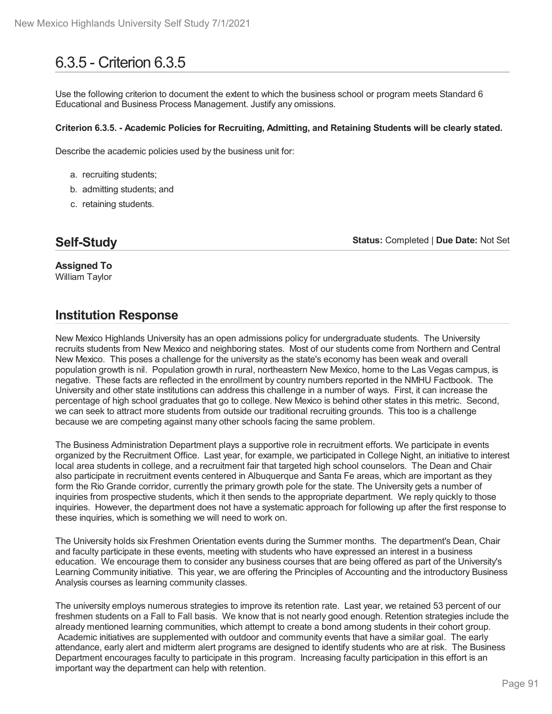# 6.3.5 - Criterion 6.3.5

Use the following criterion to document the extent to which the business school or program meets Standard 6 Educational and Business Process Management. Justify any omissions.

### **Criterion 6.3.5. - Academic Policies for Recruiting, Admitting, and Retaining Students will be clearly stated.**

Describe the academic policies used by the business unit for:

- a. recruiting students;
- b. admitting students; and
- c. retaining students.

## **Self-Study**

**Status:** Completed | **Due Date:** Not Set

**Assigned To** William Taylor

## **Institution Response**

New Mexico Highlands University has an open admissions policy for undergraduate students. The University recruits students from New Mexico and neighboring states. Most of our students come from Northern and Central New Mexico. This poses a challenge for the university as the state's economy has been weak and overall population growth is nil. Population growth in rural, northeastern New Mexico, home to the Las Vegas campus, is negative. These facts are reflected in the enrollment by country numbers reported in the NMHU Factbook. The University and other state institutions can address this challenge in a number of ways. First, it can increase the percentage of high school graduates that go to college. New Mexico is behind other states in this metric. Second, we can seek to attract more students from outside our traditional recruiting grounds. This too is a challenge because we are competing against many other schools facing the same problem.

The Business Administration Department plays a supportive role in recruitment efforts. We participate in events organized by the Recruitment Office. Last year, for example, we participated in College Night, an initiative to interest local area students in college, and a recruitment fair that targeted high school counselors. The Dean and Chair also participate in recruitment events centered in Albuquerque and Santa Fe areas, which are important as they form the Rio Grande corridor, currently the primary growth pole for the state. The University gets a number of inquiries from prospective students, which it then sends to the appropriate department. We reply quickly to those inquiries. However, the department does not have a systematic approach for following up after the first response to these inquiries, which is something we will need to work on.

The University holds six Freshmen Orientation events during the Summer months. The department's Dean, Chair and faculty participate in these events, meeting with students who have expressed an interest in a business education. We encourage them to consider any business courses that are being offered as part of the University's Learning Community initiative. This year, we are offering the Principles of Accounting and the introductory Business Analysis courses as learning community classes.

The university employs numerous strategies to improve its retention rate. Last year, we retained 53 percent of our freshmen students on a Fall to Fall basis. We know that is not nearly good enough. Retention strategies include the already mentioned learning communities, which attempt to create a bond among students in their cohort group. Academic initiatives are supplemented with outdoor and community events that have a similar goal. The early attendance, early alert and midterm alert programs are designed to identify students who are at risk. The Business Department encourages faculty to participate in this program. Increasing faculty participation in this effort is an important way the department can help with retention.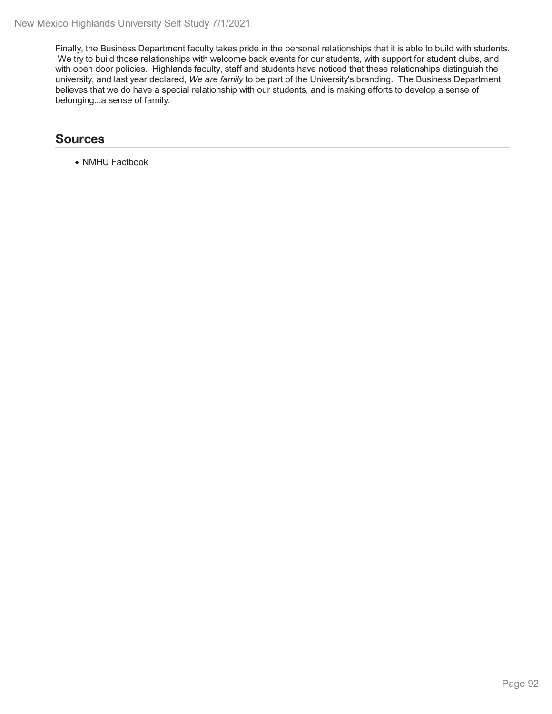Finally, the Business Department faculty takes pride in the personal relationships that it is able to build with students. We try to build those relationships with welcome back events for our students, with support for student clubs, and with open door policies. Highlands faculty, staff and students have noticed that these relationships distinguish the university, and last year declared, *We are family* to be part of the University's branding. The Business Department believes that we do have a special relationship with our students, and is making efforts to develop a sense of belonging...a sense of family.

## **Sources**

• NMHU Factbook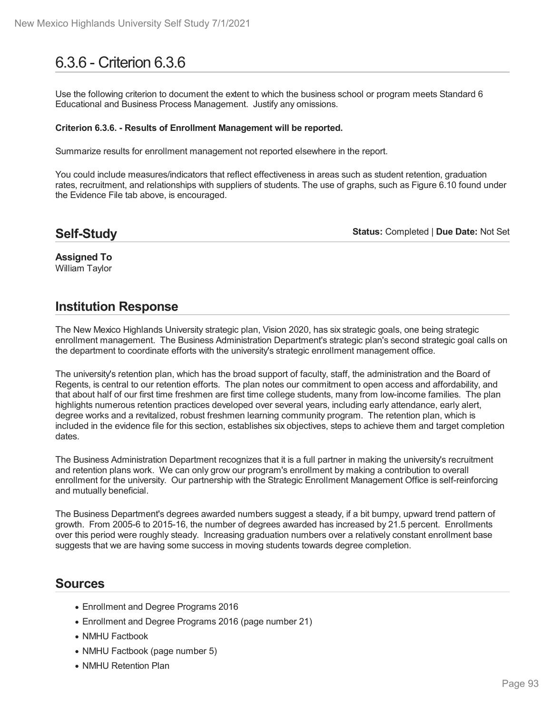# 6.3.6 - Criterion 6.3.6

Use the following criterion to document the extent to which the business school or program meets Standard 6 Educational and Business Process Management. Justify any omissions.

#### **Criterion 6.3.6. - Results of Enrollment Management will be reported.**

Summarize results for enrollment management not reported elsewhere in the report.

You could include measures/indicators that reflect effectiveness in areas such as student retention, graduation rates, recruitment, and relationships with suppliers of students. The use of graphs, such as Figure 6.10 found under the Evidence File tab above, is encouraged.

**Self-Study**

**Status:** Completed | **Due Date:** Not Set

**Assigned To** William Taylor

## **Institution Response**

The New Mexico Highlands University strategic plan, Vision 2020, has six strategic goals, one being strategic enrollment management. The Business Administration Department's strategic plan's second strategic goal calls on the department to coordinate efforts with the university's strategic enrollment management office.

The university's retention plan, which has the broad support of faculty, staff, the administration and the Board of Regents, is central to our retention efforts. The plan notes our commitment to open access and affordability, and that about half of our first time freshmen are first time college students, many from low-income families. The plan highlights numerous retention practices developed over several years, including early attendance, early alert, degree works and a revitalized, robust freshmen learning community program. The retention plan, which is included in the evidence file for this section, establishes six objectives, steps to achieve them and target completion dates.

The Business Administration Department recognizes that it is a full partner in making the university's recruitment and retention plans work. We can only grow our program's enrollment by making a contribution to overall enrollment for the university. Our partnership with the Strategic Enrollment Management Office is self-reinforcing and mutually beneficial.

The Business Department's degrees awarded numbers suggest a steady, if a bit bumpy, upward trend pattern of growth. From 2005-6 to 2015-16, the number of degrees awarded has increased by 21.5 percent. Enrollments over this period were roughly steady. Increasing graduation numbers over a relatively constant enrollment base suggests that we are having some success in moving students towards degree completion.

- Enrollment and Degree Programs 2016
- Enrollment and Degree Programs 2016 (page number 21)
- NMHU Factbook
- NMHU Factbook (page number 5)
- NMHU Retention Plan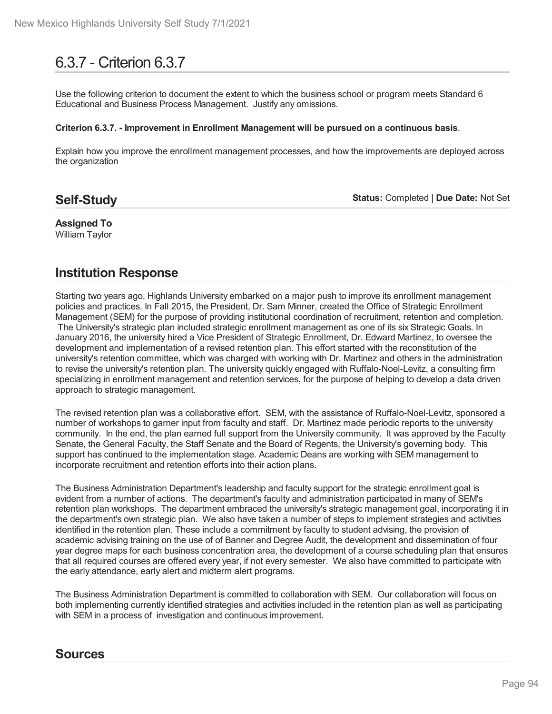# 6.3.7 - Criterion 6.3.7

Use the following criterion to document the extent to which the business school or program meets Standard 6 Educational and Business Process Management. Justify any omissions.

#### **Criterion 6.3.7. - Improvement in Enrollment Management will be pursued on a continuous basis**.

Explain how you improve the enrollment management processes, and how the improvements are deployed across the organization

## **Self-Study**

**Status:** Completed | **Due Date:** Not Set

**Assigned To** William Taylor

## **Institution Response**

Starting two years ago, Highlands University embarked on a major push to improve its enrollment management policies and practices. In Fall 2015, the President, Dr. Sam Minner, created the Office of Strategic Enrollment Management (SEM) for the purpose of providing institutional coordination of recruitment, retention and completion. The University's strategic plan included strategic enrollment management as one of its six Strategic Goals. In January 2016, the university hired a Vice President of Strategic Enrollment, Dr. Edward Martinez, to oversee the development and implementation of a revised retention plan. This effort started with the reconstitution of the university's retention committee, which was charged with working with Dr. Martinez and others in the administration to revise the university's retention plan. The university quickly engaged with Ruffalo-Noel-Levitz, a consulting firm specializing in enrollment management and retention services, for the purpose of helping to develop a data driven approach to strategic management.

The revised retention plan was a collaborative effort. SEM, with the assistance of Ruffalo-Noel-Levitz, sponsored a number of workshops to garner input from faculty and staff. Dr. Martinez made periodic reports to the university community. In the end, the plan earned full support from the University community. It was approved by the Faculty Senate, the General Faculty, the Staff Senate and the Board of Regents, the University's governing body. This support has continued to the implementation stage. Academic Deans are working with SEM management to incorporate recruitment and retention efforts into their action plans.

The Business Administration Department's leadership and faculty support for the strategic enrollment goal is evident from a number of actions. The department's faculty and administration participated in many of SEM's retention plan workshops. The department embraced the university's strategic management goal, incorporating it in the department's own strategic plan. We also have taken a number of steps to implement strategies and activities identified in the retention plan. These include a commitment by faculty to student advising, the provision of academic advising training on the use of of Banner and Degree Audit, the development and dissemination of four year degree maps for each business concentration area, the development of a course scheduling plan that ensures that all required courses are offered every year, if not every semester. We also have committed to participate with the early attendance, early alert and midterm alert programs.

The Business Administration Department is committed to collaboration with SEM. Our collaboration will focus on both implementing currently identified strategies and activities included in the retention plan as well as participating with SEM in a process of investigation and continuous improvement.